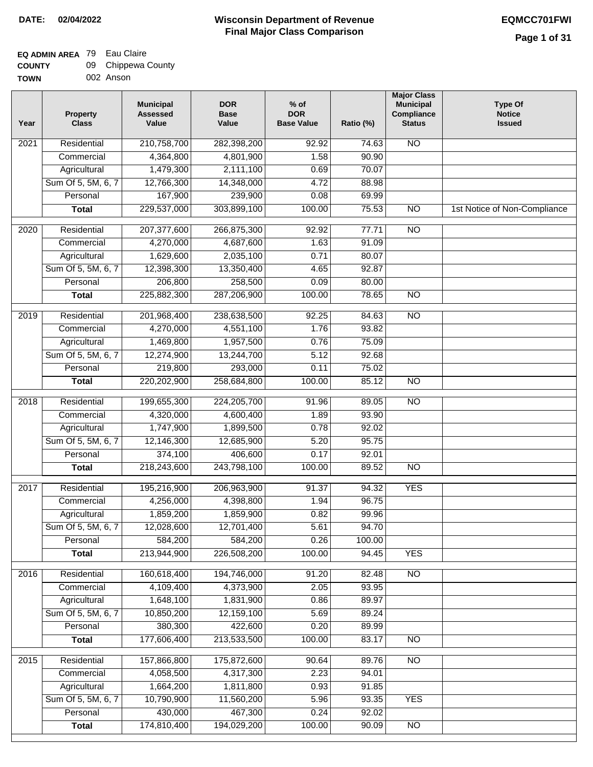### **EQ ADMIN AREA** 79 Eau Claire **COUNTY**

| <b>COUNTY</b> | 09 Chippewa County |
|---------------|--------------------|
| <b>TOWN</b>   | 002 Anson          |

| Year | <b>Property</b><br><b>Class</b> | <b>Municipal</b><br><b>Assessed</b><br>Value | <b>DOR</b><br><b>Base</b><br>Value | $%$ of<br><b>DOR</b><br><b>Base Value</b> | Ratio (%) | <b>Major Class</b><br><b>Municipal</b><br>Compliance<br><b>Status</b> | <b>Type Of</b><br><b>Notice</b><br><b>Issued</b> |
|------|---------------------------------|----------------------------------------------|------------------------------------|-------------------------------------------|-----------|-----------------------------------------------------------------------|--------------------------------------------------|
| 2021 | Residential                     | 210,758,700                                  | 282,398,200                        | 92.92                                     | 74.63     | $\overline{NO}$                                                       |                                                  |
|      | Commercial                      | 4,364,800                                    | 4,801,900                          | 1.58                                      | 90.90     |                                                                       |                                                  |
|      | Agricultural                    | 1,479,300                                    | 2,111,100                          | 0.69                                      | 70.07     |                                                                       |                                                  |
|      | Sum Of 5, 5M, 6, 7              | 12,766,300                                   | 14,348,000                         | 4.72                                      | 88.98     |                                                                       |                                                  |
|      | Personal                        | 167,900                                      | 239,900                            | 0.08                                      | 69.99     |                                                                       |                                                  |
|      | <b>Total</b>                    | 229,537,000                                  | 303,899,100                        | 100.00                                    | 75.53     | $\overline{NO}$                                                       | 1st Notice of Non-Compliance                     |
| 2020 | Residential                     | 207, 377, 600                                | 266,875,300                        | 92.92                                     | 77.71     | $\overline{N}$                                                        |                                                  |
|      | Commercial                      | 4,270,000                                    | 4,687,600                          | 1.63                                      | 91.09     |                                                                       |                                                  |
|      | Agricultural                    | 1,629,600                                    | 2,035,100                          | 0.71                                      | 80.07     |                                                                       |                                                  |
|      | Sum Of 5, 5M, 6, 7              | 12,398,300                                   | 13,350,400                         | 4.65                                      | 92.87     |                                                                       |                                                  |
|      | Personal                        | 206,800                                      | 258,500                            | 0.09                                      | 80.00     |                                                                       |                                                  |
|      | <b>Total</b>                    | 225,882,300                                  | 287,206,900                        | 100.00                                    | 78.65     | $\overline{NO}$                                                       |                                                  |
|      |                                 |                                              |                                    |                                           |           |                                                                       |                                                  |
| 2019 | Residential                     | 201,968,400                                  | 238,638,500                        | 92.25                                     | 84.63     | N <sub>O</sub>                                                        |                                                  |
|      | Commercial                      | 4,270,000                                    | 4,551,100                          | 1.76                                      | 93.82     |                                                                       |                                                  |
|      | Agricultural                    | 1,469,800                                    | 1,957,500                          | 0.76                                      | 75.09     |                                                                       |                                                  |
|      | Sum Of 5, 5M, 6, 7              | 12,274,900                                   | 13,244,700                         | 5.12                                      | 92.68     |                                                                       |                                                  |
|      | Personal                        | 219,800                                      | 293,000                            | 0.11                                      | 75.02     |                                                                       |                                                  |
|      | <b>Total</b>                    | 220,202,900                                  | 258,684,800                        | 100.00                                    | 85.12     | <b>NO</b>                                                             |                                                  |
| 2018 | Residential                     | 199,655,300                                  | 224,205,700                        | 91.96                                     | 89.05     | $\overline{N}$                                                        |                                                  |
|      | Commercial                      | 4,320,000                                    | 4,600,400                          | 1.89                                      | 93.90     |                                                                       |                                                  |
|      | Agricultural                    | 1,747,900                                    | 1,899,500                          | 0.78                                      | 92.02     |                                                                       |                                                  |
|      | Sum Of 5, 5M, 6, 7              | 12,146,300                                   | 12,685,900                         | 5.20                                      | 95.75     |                                                                       |                                                  |
|      | Personal                        | 374,100                                      | 406,600                            | 0.17                                      | 92.01     |                                                                       |                                                  |
|      | <b>Total</b>                    | 218,243,600                                  | 243,798,100                        | 100.00                                    | 89.52     | $\overline{NO}$                                                       |                                                  |
| 2017 | Residential                     | 195,216,900                                  | 206,963,900                        | 91.37                                     | 94.32     | <b>YES</b>                                                            |                                                  |
|      | Commercial                      | 4,256,000                                    | 4,398,800                          | 1.94                                      | 96.75     |                                                                       |                                                  |
|      | Agricultural                    | 1,859,200                                    | 1,859,900                          | 0.82                                      | 99.96     |                                                                       |                                                  |
|      | Sum Of 5, 5M, 6, 7              | 12,028,600                                   | 12,701,400                         | 5.61                                      | 94.70     |                                                                       |                                                  |
|      | Personal                        | 584,200                                      | 584,200                            | 0.26                                      | 100.00    |                                                                       |                                                  |
|      | <b>Total</b>                    | 213,944,900                                  | 226,508,200                        | 100.00                                    | 94.45     | <b>YES</b>                                                            |                                                  |
|      |                                 |                                              |                                    |                                           |           |                                                                       |                                                  |
| 2016 | Residential                     | 160,618,400                                  | 194,746,000                        | 91.20                                     | 82.48     | $\overline{NO}$                                                       |                                                  |
|      | Commercial                      | 4,109,400                                    | 4,373,900                          | 2.05                                      | 93.95     |                                                                       |                                                  |
|      | Agricultural                    | 1,648,100                                    | 1,831,900                          | 0.86                                      | 89.97     |                                                                       |                                                  |
|      | Sum Of 5, 5M, 6, 7<br>Personal  | 10,850,200                                   | 12,159,100                         | 5.69                                      | 89.24     |                                                                       |                                                  |
|      |                                 | 380,300                                      | 422,600                            | 0.20                                      | 89.99     |                                                                       |                                                  |
|      | <b>Total</b>                    | 177,606,400                                  | 213,533,500                        | 100.00                                    | 83.17     | N <sub>O</sub>                                                        |                                                  |
| 2015 | Residential                     | 157,866,800                                  | 175,872,600                        | 90.64                                     | 89.76     | N <sub>O</sub>                                                        |                                                  |
|      | Commercial                      | 4,058,500                                    | 4,317,300                          | 2.23                                      | 94.01     |                                                                       |                                                  |
|      | Agricultural                    | 1,664,200                                    | 1,811,800                          | 0.93                                      | 91.85     |                                                                       |                                                  |
|      | Sum Of 5, 5M, 6, 7              | 10,790,900                                   | 11,560,200                         | 5.96                                      | 93.35     | <b>YES</b>                                                            |                                                  |
|      | Personal                        | 430,000                                      | 467,300                            | 0.24                                      | 92.02     |                                                                       |                                                  |
|      | <b>Total</b>                    | 174,810,400                                  | 194,029,200                        | 100.00                                    | 90.09     | $\overline{NO}$                                                       |                                                  |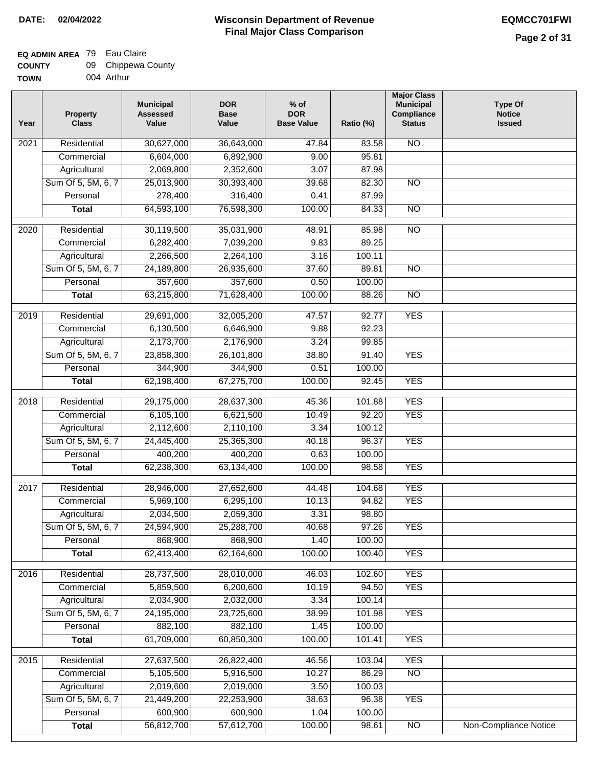### **Wisconsin Department of Revenue Final Major Class Comparison DATE: 02/04/2022 EQMCC701FWI**

#### **EQ ADMIN AREA** 79 Eau Claire  $\sim$

| <b>COUNTY</b> | 09 Chippewa County |
|---------------|--------------------|
| <b>TOWN</b>   | 004 Arthur         |

| Year              | <b>Property</b><br><b>Class</b> | <b>Municipal</b><br><b>Assessed</b><br>Value | <b>DOR</b><br><b>Base</b><br>Value | $%$ of<br><b>DOR</b><br><b>Base Value</b> | Ratio (%) | <b>Major Class</b><br><b>Municipal</b><br>Compliance<br><b>Status</b> | <b>Type Of</b><br><b>Notice</b><br><b>Issued</b> |
|-------------------|---------------------------------|----------------------------------------------|------------------------------------|-------------------------------------------|-----------|-----------------------------------------------------------------------|--------------------------------------------------|
| 2021              | Residential                     | 30,627,000                                   | 36,643,000                         | 47.84                                     | 83.58     | <b>NO</b>                                                             |                                                  |
|                   | Commercial                      | 6,604,000                                    | 6,892,900                          | 9.00                                      | 95.81     |                                                                       |                                                  |
|                   | Agricultural                    | 2,069,800                                    | 2,352,600                          | 3.07                                      | 87.98     |                                                                       |                                                  |
|                   | Sum Of 5, 5M, 6, 7              | 25,013,900                                   | 30,393,400                         | 39.68                                     | 82.30     | $\overline{NO}$                                                       |                                                  |
|                   | Personal                        | 278,400                                      | 316,400                            | 0.41                                      | 87.99     |                                                                       |                                                  |
|                   | <b>Total</b>                    | 64,593,100                                   | 76,598,300                         | 100.00                                    | 84.33     | $\overline{NO}$                                                       |                                                  |
| $\overline{2020}$ | Residential                     | 30,119,500                                   | 35,031,900                         | 48.91                                     | 85.98     | $\overline{10}$                                                       |                                                  |
|                   | Commercial                      | 6,282,400                                    | 7,039,200                          | 9.83                                      | 89.25     |                                                                       |                                                  |
|                   | Agricultural                    | 2,266,500                                    | 2,264,100                          | 3.16                                      | 100.11    |                                                                       |                                                  |
|                   | Sum Of 5, 5M, 6, 7              | 24,189,800                                   | 26,935,600                         | 37.60                                     | 89.81     | $\overline{NO}$                                                       |                                                  |
|                   | Personal                        | 357,600                                      | 357,600                            | 0.50                                      | 100.00    |                                                                       |                                                  |
|                   | <b>Total</b>                    | 63,215,800                                   | 71,628,400                         | 100.00                                    | 88.26     | <b>NO</b>                                                             |                                                  |
| $\frac{1}{2019}$  | Residential                     | 29,691,000                                   | 32,005,200                         | 47.57                                     | 92.77     | <b>YES</b>                                                            |                                                  |
|                   | Commercial                      | 6,130,500                                    | 6,646,900                          | 9.88                                      | 92.23     |                                                                       |                                                  |
|                   | Agricultural                    | 2,173,700                                    | 2,176,900                          | 3.24                                      | 99.85     |                                                                       |                                                  |
|                   | Sum Of 5, 5M, 6, 7              | 23,858,300                                   | 26,101,800                         | 38.80                                     | 91.40     | <b>YES</b>                                                            |                                                  |
|                   | Personal                        | 344,900                                      | 344,900                            | 0.51                                      | 100.00    |                                                                       |                                                  |
|                   | <b>Total</b>                    | 62,198,400                                   | 67,275,700                         | 100.00                                    | 92.45     | <b>YES</b>                                                            |                                                  |
| $\overline{2018}$ | Residential                     | 29,175,000                                   | 28,637,300                         | 45.36                                     | 101.88    | <b>YES</b>                                                            |                                                  |
|                   | Commercial                      | 6,105,100                                    | 6,621,500                          | 10.49                                     | 92.20     | <b>YES</b>                                                            |                                                  |
|                   | Agricultural                    | 2,112,600                                    | 2,110,100                          | 3.34                                      | 100.12    |                                                                       |                                                  |
|                   | Sum Of 5, 5M, 6, 7              | 24,445,400                                   | 25,365,300                         | 40.18                                     | 96.37     | <b>YES</b>                                                            |                                                  |
|                   | Personal                        | 400,200                                      | 400,200                            | 0.63                                      | 100.00    |                                                                       |                                                  |
|                   | <b>Total</b>                    | 62,238,300                                   | 63,134,400                         | 100.00                                    | 98.58     | <b>YES</b>                                                            |                                                  |
| 2017              | Residential                     | 28,946,000                                   | 27,652,600                         | 44.48                                     | 104.68    | <b>YES</b>                                                            |                                                  |
|                   | Commercial                      | 5,969,100                                    | 6,295,100                          | 10.13                                     | 94.82     | <b>YES</b>                                                            |                                                  |
|                   | Agricultural                    | 2,034,500                                    | 2,059,300                          | 3.31                                      | 98.80     |                                                                       |                                                  |
|                   | Sum Of 5, 5M, 6, 7              | 24,594,900                                   | 25,288,700                         | 40.68                                     | 97.26     | <b>YES</b>                                                            |                                                  |
|                   | Personal                        | 868,900                                      | 868,900                            | 1.40                                      | 100.00    |                                                                       |                                                  |
|                   | <b>Total</b>                    | 62,413,400                                   | 62,164,600                         | 100.00                                    | 100.40    | <b>YES</b>                                                            |                                                  |
|                   |                                 |                                              |                                    |                                           |           |                                                                       |                                                  |
| 2016              | Residential                     | 28,737,500                                   | 28,010,000                         | 46.03                                     | 102.60    | <b>YES</b>                                                            |                                                  |
|                   | Commercial                      | 5,859,500                                    | 6,200,600                          | 10.19                                     | 94.50     | <b>YES</b>                                                            |                                                  |
|                   | Agricultural                    | 2,034,900                                    | 2,032,000                          | 3.34                                      | 100.14    |                                                                       |                                                  |
|                   | Sum Of 5, 5M, 6, 7              | 24,195,000                                   | 23,725,600                         | 38.99                                     | 101.98    | <b>YES</b>                                                            |                                                  |
|                   | Personal                        | 882,100                                      | 882,100                            | 1.45                                      | 100.00    |                                                                       |                                                  |
|                   | <b>Total</b>                    | 61,709,000                                   | 60,850,300                         | 100.00                                    | 101.41    | <b>YES</b>                                                            |                                                  |
| 2015              | Residential                     | 27,637,500                                   | 26,822,400                         | 46.56                                     | 103.04    | <b>YES</b>                                                            |                                                  |
|                   | Commercial                      | 5,105,500                                    | 5,916,500                          | 10.27                                     | 86.29     | $\overline{NO}$                                                       |                                                  |
|                   | Agricultural                    | 2,019,600                                    | 2,019,000                          | 3.50                                      | 100.03    |                                                                       |                                                  |
|                   | Sum Of 5, 5M, 6, 7              | 21,449,200                                   | 22,253,900                         | 38.63                                     | 96.38     | <b>YES</b>                                                            |                                                  |
|                   | Personal                        | 600,900                                      | 600,900                            | 1.04                                      | 100.00    |                                                                       |                                                  |
|                   | <b>Total</b>                    | 56,812,700                                   | 57,612,700                         | 100.00                                    | 98.61     | $\overline{NO}$                                                       | Non-Compliance Notice                            |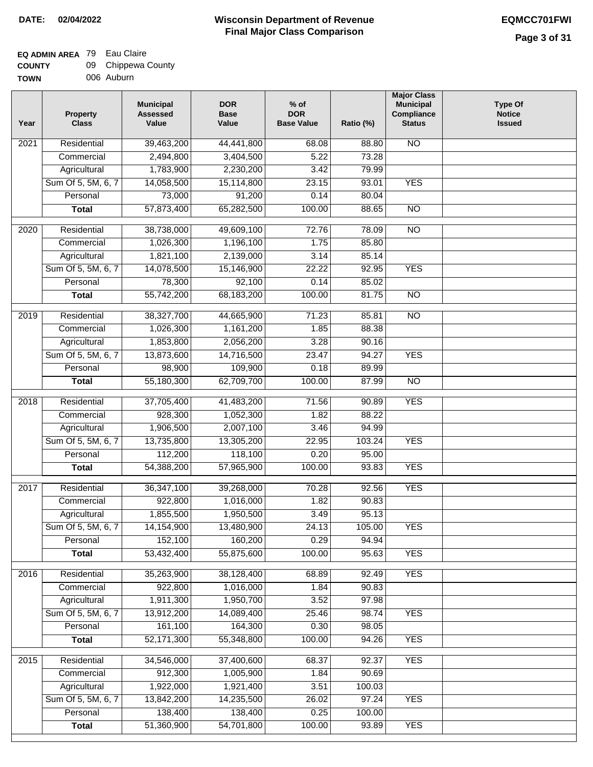## **EQ ADMIN AREA** 79 Eau Claire

| <b>COUNTY</b> | 09 Chippewa County |
|---------------|--------------------|
| <b>TOWN</b>   | 006 Auburn         |

| Year             | <b>Property</b><br><b>Class</b> | <b>Municipal</b><br><b>Assessed</b><br>Value | <b>DOR</b><br><b>Base</b><br>Value | $%$ of<br><b>DOR</b><br><b>Base Value</b> | Ratio (%) | <b>Major Class</b><br><b>Municipal</b><br>Compliance<br><b>Status</b> | <b>Type Of</b><br><b>Notice</b><br><b>Issued</b> |
|------------------|---------------------------------|----------------------------------------------|------------------------------------|-------------------------------------------|-----------|-----------------------------------------------------------------------|--------------------------------------------------|
| 2021             | Residential                     | 39,463,200                                   | 44,441,800                         | 68.08                                     | 88.80     | $\overline{NO}$                                                       |                                                  |
|                  | Commercial                      | 2,494,800                                    | 3,404,500                          | 5.22                                      | 73.28     |                                                                       |                                                  |
|                  | Agricultural                    | 1,783,900                                    | 2,230,200                          | 3.42                                      | 79.99     |                                                                       |                                                  |
|                  | Sum Of 5, 5M, 6, 7              | 14,058,500                                   | 15,114,800                         | 23.15                                     | 93.01     | <b>YES</b>                                                            |                                                  |
|                  | Personal                        | 73,000                                       | 91,200                             | 0.14                                      | 80.04     |                                                                       |                                                  |
|                  | <b>Total</b>                    | 57,873,400                                   | 65,282,500                         | 100.00                                    | 88.65     | $\overline{NO}$                                                       |                                                  |
| $\frac{1}{2020}$ | Residential                     | 38,738,000                                   | 49,609,100                         | 72.76                                     | 78.09     | $\overline{NO}$                                                       |                                                  |
|                  | Commercial                      | 1,026,300                                    | 1,196,100                          | 1.75                                      | 85.80     |                                                                       |                                                  |
|                  | Agricultural                    | 1,821,100                                    | 2,139,000                          | 3.14                                      | 85.14     |                                                                       |                                                  |
|                  | Sum Of 5, 5M, 6, 7              | 14,078,500                                   | 15,146,900                         | 22.22                                     | 92.95     | <b>YES</b>                                                            |                                                  |
|                  | Personal                        | 78,300                                       | 92,100                             | 0.14                                      | 85.02     |                                                                       |                                                  |
|                  | <b>Total</b>                    | 55,742,200                                   | 68,183,200                         | 100.00                                    | 81.75     | $\overline{NO}$                                                       |                                                  |
|                  |                                 |                                              |                                    |                                           |           |                                                                       |                                                  |
| 2019             | Residential                     | 38,327,700                                   | 44,665,900                         | 71.23                                     | 85.81     | <b>NO</b>                                                             |                                                  |
|                  | Commercial                      | 1,026,300                                    | 1,161,200                          | 1.85                                      | 88.38     |                                                                       |                                                  |
|                  | Agricultural                    | 1,853,800                                    | 2,056,200                          | 3.28                                      | 90.16     |                                                                       |                                                  |
|                  | Sum Of 5, 5M, 6, 7              | 13,873,600                                   | 14,716,500                         | 23.47                                     | 94.27     | <b>YES</b>                                                            |                                                  |
|                  | Personal                        | 98,900                                       | 109,900                            | 0.18                                      | 89.99     |                                                                       |                                                  |
|                  | <b>Total</b>                    | 55,180,300                                   | 62,709,700                         | 100.00                                    | 87.99     | N <sub>O</sub>                                                        |                                                  |
| 2018             | Residential                     | 37,705,400                                   | 41,483,200                         | 71.56                                     | 90.89     | <b>YES</b>                                                            |                                                  |
|                  | Commercial                      | 928,300                                      | 1,052,300                          | 1.82                                      | 88.22     |                                                                       |                                                  |
|                  | Agricultural                    | 1,906,500                                    | 2,007,100                          | 3.46                                      | 94.99     |                                                                       |                                                  |
|                  | Sum Of 5, 5M, 6, 7              | 13,735,800                                   | 13,305,200                         | 22.95                                     | 103.24    | <b>YES</b>                                                            |                                                  |
|                  | Personal                        | 112,200                                      | 118,100                            | 0.20                                      | 95.00     |                                                                       |                                                  |
|                  | <b>Total</b>                    | 54,388,200                                   | 57,965,900                         | 100.00                                    | 93.83     | <b>YES</b>                                                            |                                                  |
| 2017             | Residential                     | 36,347,100                                   | 39,268,000                         | 70.28                                     | 92.56     | <b>YES</b>                                                            |                                                  |
|                  | Commercial                      | 922,800                                      | 1,016,000                          | 1.82                                      | 90.83     |                                                                       |                                                  |
|                  | Agricultural                    | 1,855,500                                    | 1,950,500                          | 3.49                                      | 95.13     |                                                                       |                                                  |
|                  | Sum Of 5, 5M, 6, 7              | 14,154,900                                   | 13,480,900                         | 24.13                                     | 105.00    | YES                                                                   |                                                  |
|                  | Personal                        | 152,100                                      | 160,200                            | 0.29                                      | 94.94     |                                                                       |                                                  |
|                  | <b>Total</b>                    | 53,432,400                                   | 55,875,600                         | 100.00                                    | 95.63     | <b>YES</b>                                                            |                                                  |
| 2016             | Residential                     | 35,263,900                                   | 38,128,400                         | 68.89                                     | 92.49     | <b>YES</b>                                                            |                                                  |
|                  | Commercial                      | 922,800                                      | 1,016,000                          | 1.84                                      | 90.83     |                                                                       |                                                  |
|                  | Agricultural                    | 1,911,300                                    | 1,950,700                          | 3.52                                      | 97.98     |                                                                       |                                                  |
|                  | Sum Of 5, 5M, 6, 7              | 13,912,200                                   | 14,089,400                         | 25.46                                     | 98.74     | <b>YES</b>                                                            |                                                  |
|                  | Personal                        | 161,100                                      | 164,300                            | 0.30                                      | 98.05     |                                                                       |                                                  |
|                  | <b>Total</b>                    | 52,171,300                                   | 55,348,800                         | 100.00                                    | 94.26     | <b>YES</b>                                                            |                                                  |
|                  |                                 |                                              |                                    |                                           |           |                                                                       |                                                  |
| 2015             | Residential                     | 34,546,000                                   | 37,400,600                         | 68.37                                     | 92.37     | <b>YES</b>                                                            |                                                  |
|                  | Commercial                      | 912,300                                      | 1,005,900                          | 1.84                                      | 90.69     |                                                                       |                                                  |
|                  | Agricultural                    | 1,922,000                                    | 1,921,400                          | 3.51                                      | 100.03    |                                                                       |                                                  |
|                  | Sum Of 5, 5M, 6, 7              | 13,842,200                                   | 14,235,500                         | 26.02                                     | 97.24     | <b>YES</b>                                                            |                                                  |
|                  | Personal                        | 138,400                                      | 138,400                            | 0.25                                      | 100.00    |                                                                       |                                                  |
|                  | <b>Total</b>                    | 51,360,900                                   | 54,701,800                         | 100.00                                    | 93.89     | <b>YES</b>                                                            |                                                  |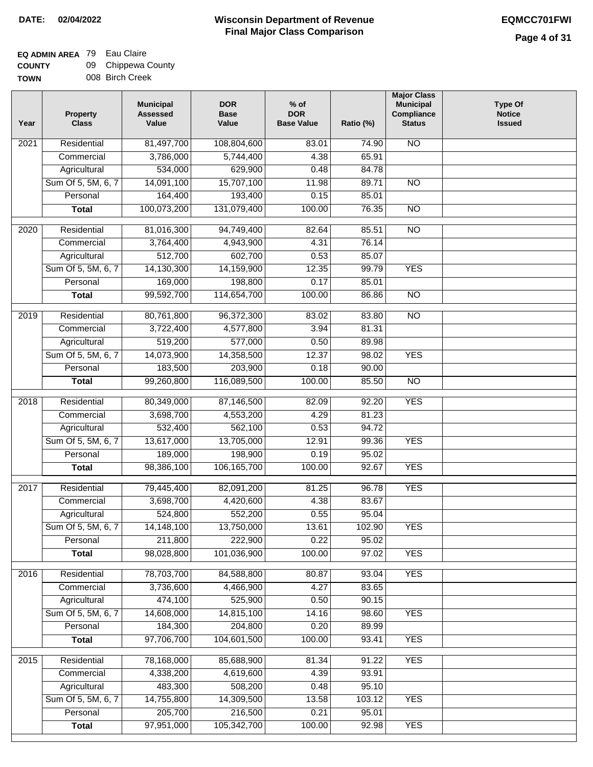### **EQ ADMIN AREA** 79 Eau Claire **COUNTY**

| <b>COUNTY</b> | 09 Chippewa County |
|---------------|--------------------|
| <b>TOWN</b>   | 008 Birch Creek    |

| 81,497,700<br>Residential<br>108,804,600<br>83.01<br>74.90<br><b>NO</b><br>2021<br>3,786,000<br>5,744,400<br>65.91<br>Commercial<br>4.38<br>534,000<br>629,900<br>84.78<br>Agricultural<br>0.48<br>Sum Of 5, 5M, 6, 7<br>14,091,100<br>15,707,100<br>11.98<br>89.71<br>$\overline{NO}$<br>164,400<br>193,400<br>Personal<br>0.15<br>85.01<br>100,073,200<br>131,079,400<br>100.00<br>$\overline{NO}$<br>76.35<br><b>Total</b><br>Residential<br>81,016,300<br>85.51<br>$\overline{NO}$<br>2020<br>94,749,400<br>82.64<br>76.14<br>Commercial<br>3,764,400<br>4,943,900<br>4.31<br>512,700<br>602,700<br>0.53<br>85.07<br>Agricultural<br>Sum Of 5, 5M, 6, 7<br>14,130,300<br>14,159,900<br>12.35<br>99.79<br><b>YES</b><br>169,000<br>198,800<br>0.17<br>85.01<br>Personal<br>99,592,700<br><b>Total</b><br>114,654,700<br>100.00<br>86.86<br><b>NO</b><br>$\overline{NO}$<br>2019<br>Residential<br>80,761,800<br>96,372,300<br>83.80<br>83.02<br>3.94<br>81.31<br>Commercial<br>3,722,400<br>4,577,800<br>519,200<br>577,000<br>Agricultural<br>0.50<br>89.98<br>Sum Of 5, 5M, 6, 7<br>14,358,500<br><b>YES</b><br>14,073,900<br>12.37<br>98.02<br>183,500<br>203,900<br>0.18<br>Personal<br>90.00<br>99,260,800<br>116,089,500<br>100.00<br>85.50<br>$\overline{NO}$<br><b>Total</b><br><b>YES</b><br>Residential<br>80,349,000<br>87,146,500<br>82.09<br>92.20<br>2018<br>4.29<br>Commercial<br>3,698,700<br>4,553,200<br>81.23<br>532,400<br>562,100<br>0.53<br>94.72<br>Agricultural<br>Sum Of 5, 5M, 6, 7<br>13,617,000<br>13,705,000<br>12.91<br>99.36<br><b>YES</b><br>189,000<br>198,900<br>95.02<br>0.19<br>Personal<br><b>YES</b><br>98,386,100<br>106, 165, 700<br>100.00<br>92.67<br><b>Total</b><br><b>YES</b><br>2017<br>Residential<br>79,445,400<br>81.25<br>96.78<br>82,091,200<br>3,698,700<br>4.38<br>83.67<br>Commercial<br>4,420,600<br>524,800<br>552,200<br>0.55<br>95.04<br>Agricultural<br>Sum Of 5, 5M, 6, 7<br>14, 148, 100<br>13,750,000<br>13.61<br>102.90<br><b>YES</b><br>211,800<br>Personal<br>222,900<br>0.22<br>95.02<br>98,028,800<br>101,036,900<br>100.00<br>97.02<br><b>YES</b><br><b>Total</b><br>2016<br>Residential<br>78,703,700<br>84,588,800<br>80.87<br>93.04<br><b>YES</b><br>3,736,600<br>Commercial<br>4,466,900<br>4.27<br>83.65<br>474,100<br>525,900<br>0.50<br>90.15<br>Agricultural<br>Sum Of 5, 5M, 6, 7<br>14,608,000<br>14,815,100<br>14.16<br>98.60<br><b>YES</b><br>184,300<br>204,800<br>Personal<br>0.20<br>89.99<br>97,706,700<br>104,601,500<br>100.00<br>93.41<br><b>YES</b><br><b>Total</b><br>78,168,000<br>85,688,900<br><b>YES</b><br>2015<br>Residential<br>81.34<br>91.22<br>4.39<br>93.91<br>Commercial<br>4,338,200<br>4,619,600<br>483,300<br>508,200<br>0.48<br>95.10<br>Agricultural<br>Sum Of 5, 5M, 6, 7<br>14,755,800<br>14,309,500<br>103.12<br><b>YES</b><br>13.58<br>205,700<br>216,500<br>0.21<br>95.01<br>Personal<br>97,951,000<br>105,342,700<br>100.00<br><b>YES</b><br>92.98<br><b>Total</b> | Year | <b>Property</b><br><b>Class</b> | <b>Municipal</b><br><b>Assessed</b><br>Value | <b>DOR</b><br><b>Base</b><br>Value | $%$ of<br><b>DOR</b><br><b>Base Value</b> | Ratio (%) | <b>Major Class</b><br><b>Municipal</b><br>Compliance<br><b>Status</b> | <b>Type Of</b><br><b>Notice</b><br><b>Issued</b> |
|---------------------------------------------------------------------------------------------------------------------------------------------------------------------------------------------------------------------------------------------------------------------------------------------------------------------------------------------------------------------------------------------------------------------------------------------------------------------------------------------------------------------------------------------------------------------------------------------------------------------------------------------------------------------------------------------------------------------------------------------------------------------------------------------------------------------------------------------------------------------------------------------------------------------------------------------------------------------------------------------------------------------------------------------------------------------------------------------------------------------------------------------------------------------------------------------------------------------------------------------------------------------------------------------------------------------------------------------------------------------------------------------------------------------------------------------------------------------------------------------------------------------------------------------------------------------------------------------------------------------------------------------------------------------------------------------------------------------------------------------------------------------------------------------------------------------------------------------------------------------------------------------------------------------------------------------------------------------------------------------------------------------------------------------------------------------------------------------------------------------------------------------------------------------------------------------------------------------------------------------------------------------------------------------------------------------------------------------------------------------------------------------------------------------------------------------------------------------------------------------------------------------------------------------------------------------------------------------------------------------------------------------------------------------------------------------------------------------------------------------------------------------------------------------------------------------------------------------------------------------------------------------------------------------------------------------------------------------------------------|------|---------------------------------|----------------------------------------------|------------------------------------|-------------------------------------------|-----------|-----------------------------------------------------------------------|--------------------------------------------------|
|                                                                                                                                                                                                                                                                                                                                                                                                                                                                                                                                                                                                                                                                                                                                                                                                                                                                                                                                                                                                                                                                                                                                                                                                                                                                                                                                                                                                                                                                                                                                                                                                                                                                                                                                                                                                                                                                                                                                                                                                                                                                                                                                                                                                                                                                                                                                                                                                                                                                                                                                                                                                                                                                                                                                                                                                                                                                                                                                                                                       |      |                                 |                                              |                                    |                                           |           |                                                                       |                                                  |
|                                                                                                                                                                                                                                                                                                                                                                                                                                                                                                                                                                                                                                                                                                                                                                                                                                                                                                                                                                                                                                                                                                                                                                                                                                                                                                                                                                                                                                                                                                                                                                                                                                                                                                                                                                                                                                                                                                                                                                                                                                                                                                                                                                                                                                                                                                                                                                                                                                                                                                                                                                                                                                                                                                                                                                                                                                                                                                                                                                                       |      |                                 |                                              |                                    |                                           |           |                                                                       |                                                  |
|                                                                                                                                                                                                                                                                                                                                                                                                                                                                                                                                                                                                                                                                                                                                                                                                                                                                                                                                                                                                                                                                                                                                                                                                                                                                                                                                                                                                                                                                                                                                                                                                                                                                                                                                                                                                                                                                                                                                                                                                                                                                                                                                                                                                                                                                                                                                                                                                                                                                                                                                                                                                                                                                                                                                                                                                                                                                                                                                                                                       |      |                                 |                                              |                                    |                                           |           |                                                                       |                                                  |
|                                                                                                                                                                                                                                                                                                                                                                                                                                                                                                                                                                                                                                                                                                                                                                                                                                                                                                                                                                                                                                                                                                                                                                                                                                                                                                                                                                                                                                                                                                                                                                                                                                                                                                                                                                                                                                                                                                                                                                                                                                                                                                                                                                                                                                                                                                                                                                                                                                                                                                                                                                                                                                                                                                                                                                                                                                                                                                                                                                                       |      |                                 |                                              |                                    |                                           |           |                                                                       |                                                  |
|                                                                                                                                                                                                                                                                                                                                                                                                                                                                                                                                                                                                                                                                                                                                                                                                                                                                                                                                                                                                                                                                                                                                                                                                                                                                                                                                                                                                                                                                                                                                                                                                                                                                                                                                                                                                                                                                                                                                                                                                                                                                                                                                                                                                                                                                                                                                                                                                                                                                                                                                                                                                                                                                                                                                                                                                                                                                                                                                                                                       |      |                                 |                                              |                                    |                                           |           |                                                                       |                                                  |
|                                                                                                                                                                                                                                                                                                                                                                                                                                                                                                                                                                                                                                                                                                                                                                                                                                                                                                                                                                                                                                                                                                                                                                                                                                                                                                                                                                                                                                                                                                                                                                                                                                                                                                                                                                                                                                                                                                                                                                                                                                                                                                                                                                                                                                                                                                                                                                                                                                                                                                                                                                                                                                                                                                                                                                                                                                                                                                                                                                                       |      |                                 |                                              |                                    |                                           |           |                                                                       |                                                  |
|                                                                                                                                                                                                                                                                                                                                                                                                                                                                                                                                                                                                                                                                                                                                                                                                                                                                                                                                                                                                                                                                                                                                                                                                                                                                                                                                                                                                                                                                                                                                                                                                                                                                                                                                                                                                                                                                                                                                                                                                                                                                                                                                                                                                                                                                                                                                                                                                                                                                                                                                                                                                                                                                                                                                                                                                                                                                                                                                                                                       |      |                                 |                                              |                                    |                                           |           |                                                                       |                                                  |
|                                                                                                                                                                                                                                                                                                                                                                                                                                                                                                                                                                                                                                                                                                                                                                                                                                                                                                                                                                                                                                                                                                                                                                                                                                                                                                                                                                                                                                                                                                                                                                                                                                                                                                                                                                                                                                                                                                                                                                                                                                                                                                                                                                                                                                                                                                                                                                                                                                                                                                                                                                                                                                                                                                                                                                                                                                                                                                                                                                                       |      |                                 |                                              |                                    |                                           |           |                                                                       |                                                  |
|                                                                                                                                                                                                                                                                                                                                                                                                                                                                                                                                                                                                                                                                                                                                                                                                                                                                                                                                                                                                                                                                                                                                                                                                                                                                                                                                                                                                                                                                                                                                                                                                                                                                                                                                                                                                                                                                                                                                                                                                                                                                                                                                                                                                                                                                                                                                                                                                                                                                                                                                                                                                                                                                                                                                                                                                                                                                                                                                                                                       |      |                                 |                                              |                                    |                                           |           |                                                                       |                                                  |
|                                                                                                                                                                                                                                                                                                                                                                                                                                                                                                                                                                                                                                                                                                                                                                                                                                                                                                                                                                                                                                                                                                                                                                                                                                                                                                                                                                                                                                                                                                                                                                                                                                                                                                                                                                                                                                                                                                                                                                                                                                                                                                                                                                                                                                                                                                                                                                                                                                                                                                                                                                                                                                                                                                                                                                                                                                                                                                                                                                                       |      |                                 |                                              |                                    |                                           |           |                                                                       |                                                  |
|                                                                                                                                                                                                                                                                                                                                                                                                                                                                                                                                                                                                                                                                                                                                                                                                                                                                                                                                                                                                                                                                                                                                                                                                                                                                                                                                                                                                                                                                                                                                                                                                                                                                                                                                                                                                                                                                                                                                                                                                                                                                                                                                                                                                                                                                                                                                                                                                                                                                                                                                                                                                                                                                                                                                                                                                                                                                                                                                                                                       |      |                                 |                                              |                                    |                                           |           |                                                                       |                                                  |
|                                                                                                                                                                                                                                                                                                                                                                                                                                                                                                                                                                                                                                                                                                                                                                                                                                                                                                                                                                                                                                                                                                                                                                                                                                                                                                                                                                                                                                                                                                                                                                                                                                                                                                                                                                                                                                                                                                                                                                                                                                                                                                                                                                                                                                                                                                                                                                                                                                                                                                                                                                                                                                                                                                                                                                                                                                                                                                                                                                                       |      |                                 |                                              |                                    |                                           |           |                                                                       |                                                  |
|                                                                                                                                                                                                                                                                                                                                                                                                                                                                                                                                                                                                                                                                                                                                                                                                                                                                                                                                                                                                                                                                                                                                                                                                                                                                                                                                                                                                                                                                                                                                                                                                                                                                                                                                                                                                                                                                                                                                                                                                                                                                                                                                                                                                                                                                                                                                                                                                                                                                                                                                                                                                                                                                                                                                                                                                                                                                                                                                                                                       |      |                                 |                                              |                                    |                                           |           |                                                                       |                                                  |
|                                                                                                                                                                                                                                                                                                                                                                                                                                                                                                                                                                                                                                                                                                                                                                                                                                                                                                                                                                                                                                                                                                                                                                                                                                                                                                                                                                                                                                                                                                                                                                                                                                                                                                                                                                                                                                                                                                                                                                                                                                                                                                                                                                                                                                                                                                                                                                                                                                                                                                                                                                                                                                                                                                                                                                                                                                                                                                                                                                                       |      |                                 |                                              |                                    |                                           |           |                                                                       |                                                  |
|                                                                                                                                                                                                                                                                                                                                                                                                                                                                                                                                                                                                                                                                                                                                                                                                                                                                                                                                                                                                                                                                                                                                                                                                                                                                                                                                                                                                                                                                                                                                                                                                                                                                                                                                                                                                                                                                                                                                                                                                                                                                                                                                                                                                                                                                                                                                                                                                                                                                                                                                                                                                                                                                                                                                                                                                                                                                                                                                                                                       |      |                                 |                                              |                                    |                                           |           |                                                                       |                                                  |
|                                                                                                                                                                                                                                                                                                                                                                                                                                                                                                                                                                                                                                                                                                                                                                                                                                                                                                                                                                                                                                                                                                                                                                                                                                                                                                                                                                                                                                                                                                                                                                                                                                                                                                                                                                                                                                                                                                                                                                                                                                                                                                                                                                                                                                                                                                                                                                                                                                                                                                                                                                                                                                                                                                                                                                                                                                                                                                                                                                                       |      |                                 |                                              |                                    |                                           |           |                                                                       |                                                  |
|                                                                                                                                                                                                                                                                                                                                                                                                                                                                                                                                                                                                                                                                                                                                                                                                                                                                                                                                                                                                                                                                                                                                                                                                                                                                                                                                                                                                                                                                                                                                                                                                                                                                                                                                                                                                                                                                                                                                                                                                                                                                                                                                                                                                                                                                                                                                                                                                                                                                                                                                                                                                                                                                                                                                                                                                                                                                                                                                                                                       |      |                                 |                                              |                                    |                                           |           |                                                                       |                                                  |
|                                                                                                                                                                                                                                                                                                                                                                                                                                                                                                                                                                                                                                                                                                                                                                                                                                                                                                                                                                                                                                                                                                                                                                                                                                                                                                                                                                                                                                                                                                                                                                                                                                                                                                                                                                                                                                                                                                                                                                                                                                                                                                                                                                                                                                                                                                                                                                                                                                                                                                                                                                                                                                                                                                                                                                                                                                                                                                                                                                                       |      |                                 |                                              |                                    |                                           |           |                                                                       |                                                  |
|                                                                                                                                                                                                                                                                                                                                                                                                                                                                                                                                                                                                                                                                                                                                                                                                                                                                                                                                                                                                                                                                                                                                                                                                                                                                                                                                                                                                                                                                                                                                                                                                                                                                                                                                                                                                                                                                                                                                                                                                                                                                                                                                                                                                                                                                                                                                                                                                                                                                                                                                                                                                                                                                                                                                                                                                                                                                                                                                                                                       |      |                                 |                                              |                                    |                                           |           |                                                                       |                                                  |
|                                                                                                                                                                                                                                                                                                                                                                                                                                                                                                                                                                                                                                                                                                                                                                                                                                                                                                                                                                                                                                                                                                                                                                                                                                                                                                                                                                                                                                                                                                                                                                                                                                                                                                                                                                                                                                                                                                                                                                                                                                                                                                                                                                                                                                                                                                                                                                                                                                                                                                                                                                                                                                                                                                                                                                                                                                                                                                                                                                                       |      |                                 |                                              |                                    |                                           |           |                                                                       |                                                  |
|                                                                                                                                                                                                                                                                                                                                                                                                                                                                                                                                                                                                                                                                                                                                                                                                                                                                                                                                                                                                                                                                                                                                                                                                                                                                                                                                                                                                                                                                                                                                                                                                                                                                                                                                                                                                                                                                                                                                                                                                                                                                                                                                                                                                                                                                                                                                                                                                                                                                                                                                                                                                                                                                                                                                                                                                                                                                                                                                                                                       |      |                                 |                                              |                                    |                                           |           |                                                                       |                                                  |
|                                                                                                                                                                                                                                                                                                                                                                                                                                                                                                                                                                                                                                                                                                                                                                                                                                                                                                                                                                                                                                                                                                                                                                                                                                                                                                                                                                                                                                                                                                                                                                                                                                                                                                                                                                                                                                                                                                                                                                                                                                                                                                                                                                                                                                                                                                                                                                                                                                                                                                                                                                                                                                                                                                                                                                                                                                                                                                                                                                                       |      |                                 |                                              |                                    |                                           |           |                                                                       |                                                  |
|                                                                                                                                                                                                                                                                                                                                                                                                                                                                                                                                                                                                                                                                                                                                                                                                                                                                                                                                                                                                                                                                                                                                                                                                                                                                                                                                                                                                                                                                                                                                                                                                                                                                                                                                                                                                                                                                                                                                                                                                                                                                                                                                                                                                                                                                                                                                                                                                                                                                                                                                                                                                                                                                                                                                                                                                                                                                                                                                                                                       |      |                                 |                                              |                                    |                                           |           |                                                                       |                                                  |
|                                                                                                                                                                                                                                                                                                                                                                                                                                                                                                                                                                                                                                                                                                                                                                                                                                                                                                                                                                                                                                                                                                                                                                                                                                                                                                                                                                                                                                                                                                                                                                                                                                                                                                                                                                                                                                                                                                                                                                                                                                                                                                                                                                                                                                                                                                                                                                                                                                                                                                                                                                                                                                                                                                                                                                                                                                                                                                                                                                                       |      |                                 |                                              |                                    |                                           |           |                                                                       |                                                  |
|                                                                                                                                                                                                                                                                                                                                                                                                                                                                                                                                                                                                                                                                                                                                                                                                                                                                                                                                                                                                                                                                                                                                                                                                                                                                                                                                                                                                                                                                                                                                                                                                                                                                                                                                                                                                                                                                                                                                                                                                                                                                                                                                                                                                                                                                                                                                                                                                                                                                                                                                                                                                                                                                                                                                                                                                                                                                                                                                                                                       |      |                                 |                                              |                                    |                                           |           |                                                                       |                                                  |
|                                                                                                                                                                                                                                                                                                                                                                                                                                                                                                                                                                                                                                                                                                                                                                                                                                                                                                                                                                                                                                                                                                                                                                                                                                                                                                                                                                                                                                                                                                                                                                                                                                                                                                                                                                                                                                                                                                                                                                                                                                                                                                                                                                                                                                                                                                                                                                                                                                                                                                                                                                                                                                                                                                                                                                                                                                                                                                                                                                                       |      |                                 |                                              |                                    |                                           |           |                                                                       |                                                  |
|                                                                                                                                                                                                                                                                                                                                                                                                                                                                                                                                                                                                                                                                                                                                                                                                                                                                                                                                                                                                                                                                                                                                                                                                                                                                                                                                                                                                                                                                                                                                                                                                                                                                                                                                                                                                                                                                                                                                                                                                                                                                                                                                                                                                                                                                                                                                                                                                                                                                                                                                                                                                                                                                                                                                                                                                                                                                                                                                                                                       |      |                                 |                                              |                                    |                                           |           |                                                                       |                                                  |
|                                                                                                                                                                                                                                                                                                                                                                                                                                                                                                                                                                                                                                                                                                                                                                                                                                                                                                                                                                                                                                                                                                                                                                                                                                                                                                                                                                                                                                                                                                                                                                                                                                                                                                                                                                                                                                                                                                                                                                                                                                                                                                                                                                                                                                                                                                                                                                                                                                                                                                                                                                                                                                                                                                                                                                                                                                                                                                                                                                                       |      |                                 |                                              |                                    |                                           |           |                                                                       |                                                  |
|                                                                                                                                                                                                                                                                                                                                                                                                                                                                                                                                                                                                                                                                                                                                                                                                                                                                                                                                                                                                                                                                                                                                                                                                                                                                                                                                                                                                                                                                                                                                                                                                                                                                                                                                                                                                                                                                                                                                                                                                                                                                                                                                                                                                                                                                                                                                                                                                                                                                                                                                                                                                                                                                                                                                                                                                                                                                                                                                                                                       |      |                                 |                                              |                                    |                                           |           |                                                                       |                                                  |
|                                                                                                                                                                                                                                                                                                                                                                                                                                                                                                                                                                                                                                                                                                                                                                                                                                                                                                                                                                                                                                                                                                                                                                                                                                                                                                                                                                                                                                                                                                                                                                                                                                                                                                                                                                                                                                                                                                                                                                                                                                                                                                                                                                                                                                                                                                                                                                                                                                                                                                                                                                                                                                                                                                                                                                                                                                                                                                                                                                                       |      |                                 |                                              |                                    |                                           |           |                                                                       |                                                  |
|                                                                                                                                                                                                                                                                                                                                                                                                                                                                                                                                                                                                                                                                                                                                                                                                                                                                                                                                                                                                                                                                                                                                                                                                                                                                                                                                                                                                                                                                                                                                                                                                                                                                                                                                                                                                                                                                                                                                                                                                                                                                                                                                                                                                                                                                                                                                                                                                                                                                                                                                                                                                                                                                                                                                                                                                                                                                                                                                                                                       |      |                                 |                                              |                                    |                                           |           |                                                                       |                                                  |
|                                                                                                                                                                                                                                                                                                                                                                                                                                                                                                                                                                                                                                                                                                                                                                                                                                                                                                                                                                                                                                                                                                                                                                                                                                                                                                                                                                                                                                                                                                                                                                                                                                                                                                                                                                                                                                                                                                                                                                                                                                                                                                                                                                                                                                                                                                                                                                                                                                                                                                                                                                                                                                                                                                                                                                                                                                                                                                                                                                                       |      |                                 |                                              |                                    |                                           |           |                                                                       |                                                  |
|                                                                                                                                                                                                                                                                                                                                                                                                                                                                                                                                                                                                                                                                                                                                                                                                                                                                                                                                                                                                                                                                                                                                                                                                                                                                                                                                                                                                                                                                                                                                                                                                                                                                                                                                                                                                                                                                                                                                                                                                                                                                                                                                                                                                                                                                                                                                                                                                                                                                                                                                                                                                                                                                                                                                                                                                                                                                                                                                                                                       |      |                                 |                                              |                                    |                                           |           |                                                                       |                                                  |
|                                                                                                                                                                                                                                                                                                                                                                                                                                                                                                                                                                                                                                                                                                                                                                                                                                                                                                                                                                                                                                                                                                                                                                                                                                                                                                                                                                                                                                                                                                                                                                                                                                                                                                                                                                                                                                                                                                                                                                                                                                                                                                                                                                                                                                                                                                                                                                                                                                                                                                                                                                                                                                                                                                                                                                                                                                                                                                                                                                                       |      |                                 |                                              |                                    |                                           |           |                                                                       |                                                  |
|                                                                                                                                                                                                                                                                                                                                                                                                                                                                                                                                                                                                                                                                                                                                                                                                                                                                                                                                                                                                                                                                                                                                                                                                                                                                                                                                                                                                                                                                                                                                                                                                                                                                                                                                                                                                                                                                                                                                                                                                                                                                                                                                                                                                                                                                                                                                                                                                                                                                                                                                                                                                                                                                                                                                                                                                                                                                                                                                                                                       |      |                                 |                                              |                                    |                                           |           |                                                                       |                                                  |
|                                                                                                                                                                                                                                                                                                                                                                                                                                                                                                                                                                                                                                                                                                                                                                                                                                                                                                                                                                                                                                                                                                                                                                                                                                                                                                                                                                                                                                                                                                                                                                                                                                                                                                                                                                                                                                                                                                                                                                                                                                                                                                                                                                                                                                                                                                                                                                                                                                                                                                                                                                                                                                                                                                                                                                                                                                                                                                                                                                                       |      |                                 |                                              |                                    |                                           |           |                                                                       |                                                  |
|                                                                                                                                                                                                                                                                                                                                                                                                                                                                                                                                                                                                                                                                                                                                                                                                                                                                                                                                                                                                                                                                                                                                                                                                                                                                                                                                                                                                                                                                                                                                                                                                                                                                                                                                                                                                                                                                                                                                                                                                                                                                                                                                                                                                                                                                                                                                                                                                                                                                                                                                                                                                                                                                                                                                                                                                                                                                                                                                                                                       |      |                                 |                                              |                                    |                                           |           |                                                                       |                                                  |
|                                                                                                                                                                                                                                                                                                                                                                                                                                                                                                                                                                                                                                                                                                                                                                                                                                                                                                                                                                                                                                                                                                                                                                                                                                                                                                                                                                                                                                                                                                                                                                                                                                                                                                                                                                                                                                                                                                                                                                                                                                                                                                                                                                                                                                                                                                                                                                                                                                                                                                                                                                                                                                                                                                                                                                                                                                                                                                                                                                                       |      |                                 |                                              |                                    |                                           |           |                                                                       |                                                  |
|                                                                                                                                                                                                                                                                                                                                                                                                                                                                                                                                                                                                                                                                                                                                                                                                                                                                                                                                                                                                                                                                                                                                                                                                                                                                                                                                                                                                                                                                                                                                                                                                                                                                                                                                                                                                                                                                                                                                                                                                                                                                                                                                                                                                                                                                                                                                                                                                                                                                                                                                                                                                                                                                                                                                                                                                                                                                                                                                                                                       |      |                                 |                                              |                                    |                                           |           |                                                                       |                                                  |
|                                                                                                                                                                                                                                                                                                                                                                                                                                                                                                                                                                                                                                                                                                                                                                                                                                                                                                                                                                                                                                                                                                                                                                                                                                                                                                                                                                                                                                                                                                                                                                                                                                                                                                                                                                                                                                                                                                                                                                                                                                                                                                                                                                                                                                                                                                                                                                                                                                                                                                                                                                                                                                                                                                                                                                                                                                                                                                                                                                                       |      |                                 |                                              |                                    |                                           |           |                                                                       |                                                  |
|                                                                                                                                                                                                                                                                                                                                                                                                                                                                                                                                                                                                                                                                                                                                                                                                                                                                                                                                                                                                                                                                                                                                                                                                                                                                                                                                                                                                                                                                                                                                                                                                                                                                                                                                                                                                                                                                                                                                                                                                                                                                                                                                                                                                                                                                                                                                                                                                                                                                                                                                                                                                                                                                                                                                                                                                                                                                                                                                                                                       |      |                                 |                                              |                                    |                                           |           |                                                                       |                                                  |
|                                                                                                                                                                                                                                                                                                                                                                                                                                                                                                                                                                                                                                                                                                                                                                                                                                                                                                                                                                                                                                                                                                                                                                                                                                                                                                                                                                                                                                                                                                                                                                                                                                                                                                                                                                                                                                                                                                                                                                                                                                                                                                                                                                                                                                                                                                                                                                                                                                                                                                                                                                                                                                                                                                                                                                                                                                                                                                                                                                                       |      |                                 |                                              |                                    |                                           |           |                                                                       |                                                  |
|                                                                                                                                                                                                                                                                                                                                                                                                                                                                                                                                                                                                                                                                                                                                                                                                                                                                                                                                                                                                                                                                                                                                                                                                                                                                                                                                                                                                                                                                                                                                                                                                                                                                                                                                                                                                                                                                                                                                                                                                                                                                                                                                                                                                                                                                                                                                                                                                                                                                                                                                                                                                                                                                                                                                                                                                                                                                                                                                                                                       |      |                                 |                                              |                                    |                                           |           |                                                                       |                                                  |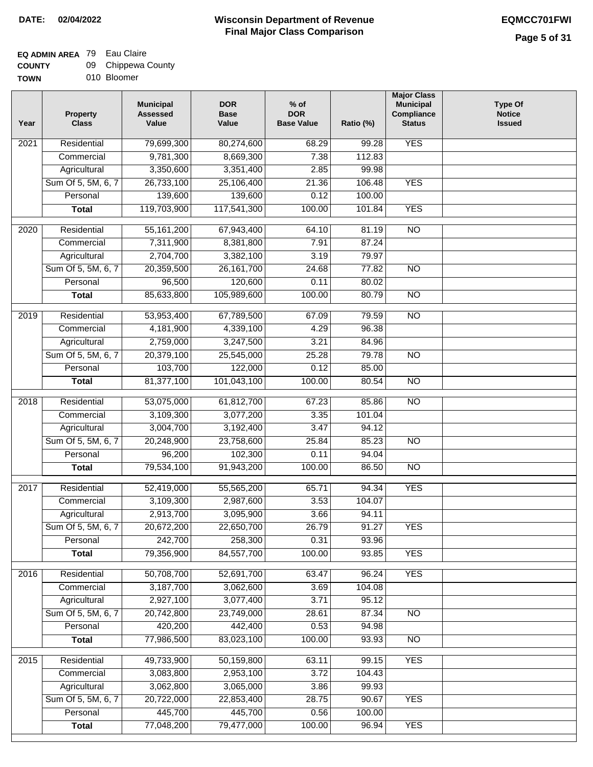## **EQ ADMIN AREA** 79 Eau Claire

| <b>COUNTY</b> |  | 09 Chippewa County |
|---------------|--|--------------------|
|---------------|--|--------------------|

**TOWN** 010 Bloomer

| Year              | <b>Property</b><br><b>Class</b> | <b>Municipal</b><br><b>Assessed</b><br>Value | <b>DOR</b><br><b>Base</b><br>Value | % of<br><b>DOR</b><br><b>Base Value</b> | Ratio (%) | <b>Major Class</b><br><b>Municipal</b><br>Compliance<br><b>Status</b> | <b>Type Of</b><br><b>Notice</b><br><b>Issued</b> |
|-------------------|---------------------------------|----------------------------------------------|------------------------------------|-----------------------------------------|-----------|-----------------------------------------------------------------------|--------------------------------------------------|
| 2021              | Residential                     | 79,699,300                                   | 80,274,600                         | 68.29                                   | 99.28     | <b>YES</b>                                                            |                                                  |
|                   | Commercial                      | 9,781,300                                    | 8,669,300                          | 7.38                                    | 112.83    |                                                                       |                                                  |
|                   | Agricultural                    | 3,350,600                                    | 3,351,400                          | 2.85                                    | 99.98     |                                                                       |                                                  |
|                   | Sum Of 5, 5M, 6, 7              | 26,733,100                                   | 25,106,400                         | 21.36                                   | 106.48    | <b>YES</b>                                                            |                                                  |
|                   | Personal                        | 139,600                                      | 139,600                            | 0.12                                    | 100.00    |                                                                       |                                                  |
|                   | <b>Total</b>                    | 119,703,900                                  | 117,541,300                        | 100.00                                  | 101.84    | <b>YES</b>                                                            |                                                  |
| $\overline{2020}$ | Residential                     | 55, 161, 200                                 | 67,943,400                         | 64.10                                   | 81.19     | $\overline{10}$                                                       |                                                  |
|                   | Commercial                      | 7,311,900                                    | 8,381,800                          | 7.91                                    | 87.24     |                                                                       |                                                  |
|                   | Agricultural                    | 2,704,700                                    | 3,382,100                          | 3.19                                    | 79.97     |                                                                       |                                                  |
|                   | Sum Of 5, 5M, 6, 7              | 20,359,500                                   | 26, 161, 700                       | 24.68                                   | 77.82     | <b>NO</b>                                                             |                                                  |
|                   | Personal                        | 96,500                                       | 120,600                            | 0.11                                    | 80.02     |                                                                       |                                                  |
|                   | <b>Total</b>                    | 85,633,800                                   | 105,989,600                        | 100.00                                  | 80.79     | <b>NO</b>                                                             |                                                  |
|                   |                                 |                                              |                                    |                                         |           |                                                                       |                                                  |
| $\frac{1}{2019}$  | Residential                     | 53,953,400                                   | 67,789,500                         | 67.09                                   | 79.59     | $\overline{NO}$                                                       |                                                  |
|                   | Commercial                      | 4,181,900                                    | 4,339,100                          | 4.29                                    | 96.38     |                                                                       |                                                  |
|                   | Agricultural                    | 2,759,000                                    | 3,247,500                          | 3.21                                    | 84.96     |                                                                       |                                                  |
|                   | Sum Of 5, 5M, 6, 7              | 20,379,100                                   | 25,545,000                         | 25.28                                   | 79.78     | $\overline{NO}$                                                       |                                                  |
|                   | Personal                        | 103,700                                      | 122,000                            | 0.12                                    | 85.00     |                                                                       |                                                  |
|                   | <b>Total</b>                    | 81,377,100                                   | 101,043,100                        | 100.00                                  | 80.54     | $\overline{NO}$                                                       |                                                  |
| 2018              | Residential                     | 53,075,000                                   | 61,812,700                         | 67.23                                   | 85.86     | $\overline{10}$                                                       |                                                  |
|                   | Commercial                      | 3,109,300                                    | 3,077,200                          | 3.35                                    | 101.04    |                                                                       |                                                  |
|                   | Agricultural                    | 3,004,700                                    | 3,192,400                          | 3.47                                    | 94.12     |                                                                       |                                                  |
|                   | Sum Of 5, 5M, 6, 7              | 20,248,900                                   | 23,758,600                         | 25.84                                   | 85.23     | $\overline{10}$                                                       |                                                  |
|                   | Personal                        | 96,200                                       | 102,300                            | 0.11                                    | 94.04     |                                                                       |                                                  |
|                   | <b>Total</b>                    | 79,534,100                                   | 91,943,200                         | 100.00                                  | 86.50     | <b>NO</b>                                                             |                                                  |
| 2017              | Residential                     | 52,419,000                                   | 55,565,200                         | 65.71                                   | 94.34     | <b>YES</b>                                                            |                                                  |
|                   | Commercial                      | 3,109,300                                    | 2,987,600                          | 3.53                                    | 104.07    |                                                                       |                                                  |
|                   | Agricultural                    | 2,913,700                                    | 3,095,900                          | 3.66                                    | 94.11     |                                                                       |                                                  |
|                   | Sum Of 5, 5M, 6, 7              | 20,672,200                                   | 22,650,700                         | 26.79                                   | 91.27     | <b>YES</b>                                                            |                                                  |
|                   | Personal                        | 242,700                                      | 258,300                            | 0.31                                    | 93.96     |                                                                       |                                                  |
|                   | <b>Total</b>                    | 79,356,900                                   | 84,557,700                         | 100.00                                  | 93.85     | <b>YES</b>                                                            |                                                  |
| 2016              | Residential                     | 50,708,700                                   | 52,691,700                         | 63.47                                   | 96.24     | <b>YES</b>                                                            |                                                  |
|                   | Commercial                      | 3,187,700                                    | 3,062,600                          | 3.69                                    | 104.08    |                                                                       |                                                  |
|                   | Agricultural                    | 2,927,100                                    | 3,077,400                          | 3.71                                    | 95.12     |                                                                       |                                                  |
|                   | Sum Of 5, 5M, 6, 7              | 20,742,800                                   | 23,749,000                         | 28.61                                   | 87.34     | N <sub>O</sub>                                                        |                                                  |
|                   | Personal                        | 420,200                                      | 442,400                            | 0.53                                    | 94.98     |                                                                       |                                                  |
|                   | <b>Total</b>                    | 77,986,500                                   | 83,023,100                         | 100.00                                  | 93.93     | <b>NO</b>                                                             |                                                  |
| 2015              | Residential                     | 49,733,900                                   | 50,159,800                         | 63.11                                   | 99.15     | <b>YES</b>                                                            |                                                  |
|                   | Commercial                      | 3,083,800                                    | 2,953,100                          | 3.72                                    | 104.43    |                                                                       |                                                  |
|                   | Agricultural                    | 3,062,800                                    | 3,065,000                          | 3.86                                    | 99.93     |                                                                       |                                                  |
|                   | Sum Of 5, 5M, 6, 7              | 20,722,000                                   | 22,853,400                         | 28.75                                   | 90.67     | <b>YES</b>                                                            |                                                  |
|                   | Personal                        | 445,700                                      | 445,700                            | 0.56                                    | 100.00    |                                                                       |                                                  |
|                   | <b>Total</b>                    | 77,048,200                                   | 79,477,000                         | 100.00                                  | 96.94     | <b>YES</b>                                                            |                                                  |
|                   |                                 |                                              |                                    |                                         |           |                                                                       |                                                  |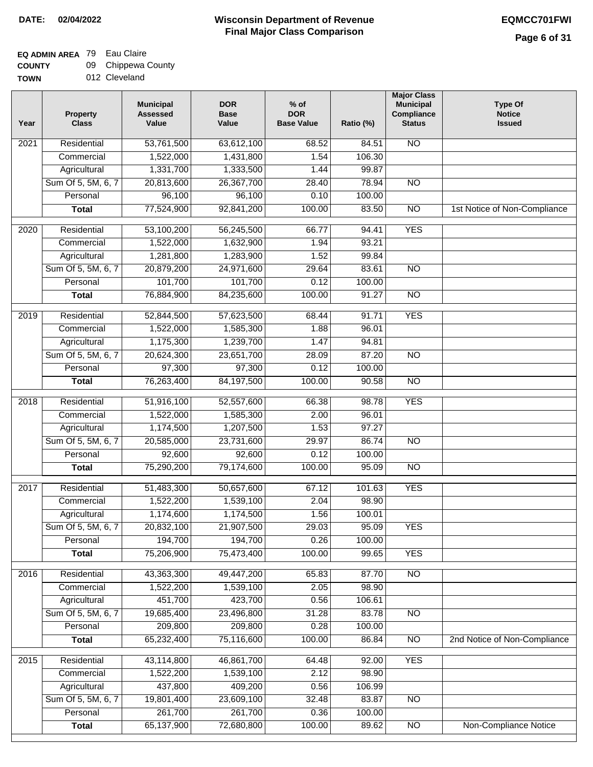## **EQ ADMIN AREA** 79 Eau Claire

**COUNTY TOWN** 09 Chippewa County

012 Cleveland

| Year              | <b>Property</b><br><b>Class</b> | <b>Municipal</b><br><b>Assessed</b><br>Value | <b>DOR</b><br><b>Base</b><br>Value | % of<br><b>DOR</b><br><b>Base Value</b> | Ratio (%) | <b>Major Class</b><br><b>Municipal</b><br>Compliance<br><b>Status</b> | <b>Type Of</b><br><b>Notice</b><br><b>Issued</b> |
|-------------------|---------------------------------|----------------------------------------------|------------------------------------|-----------------------------------------|-----------|-----------------------------------------------------------------------|--------------------------------------------------|
| $\overline{202}1$ | Residential                     | 53,761,500                                   | 63,612,100                         | 68.52                                   | 84.51     | <b>NO</b>                                                             |                                                  |
|                   | Commercial                      | 1,522,000                                    | 1,431,800                          | 1.54                                    | 106.30    |                                                                       |                                                  |
|                   | Agricultural                    | 1,331,700                                    | 1,333,500                          | 1.44                                    | 99.87     |                                                                       |                                                  |
|                   | Sum Of 5, 5M, 6, 7              | 20,813,600                                   | 26,367,700                         | 28.40                                   | 78.94     | $\overline{NO}$                                                       |                                                  |
|                   | Personal                        | 96,100                                       | 96,100                             | 0.10                                    | 100.00    |                                                                       |                                                  |
|                   | <b>Total</b>                    | 77,524,900                                   | 92,841,200                         | 100.00                                  | 83.50     | $\overline{NO}$                                                       | 1st Notice of Non-Compliance                     |
| $\overline{2020}$ | Residential                     | 53,100,200                                   | 56,245,500                         | 66.77                                   | 94.41     | <b>YES</b>                                                            |                                                  |
|                   | Commercial                      | 1,522,000                                    | 1,632,900                          | 1.94                                    | 93.21     |                                                                       |                                                  |
|                   | Agricultural                    | 1,281,800                                    | 1,283,900                          | 1.52                                    | 99.84     |                                                                       |                                                  |
|                   | Sum Of 5, 5M, 6, 7              | 20,879,200                                   | 24,971,600                         | 29.64                                   | 83.61     | $\overline{NO}$                                                       |                                                  |
|                   | Personal                        | 101,700                                      | 101,700                            | 0.12                                    | 100.00    |                                                                       |                                                  |
|                   | <b>Total</b>                    | 76,884,900                                   | 84,235,600                         | 100.00                                  | 91.27     | $\overline{NO}$                                                       |                                                  |
| 2019              | Residential                     | 52,844,500                                   | 57,623,500                         | 68.44                                   | 91.71     | <b>YES</b>                                                            |                                                  |
|                   | Commercial                      | 1,522,000                                    | 1,585,300                          | 1.88                                    | 96.01     |                                                                       |                                                  |
|                   | Agricultural                    | 1,175,300                                    | 1,239,700                          | 1.47                                    | 94.81     |                                                                       |                                                  |
|                   | Sum Of 5, 5M, 6, 7              | 20,624,300                                   | 23,651,700                         | 28.09                                   | 87.20     | $\overline{NO}$                                                       |                                                  |
|                   | Personal                        | 97,300                                       | 97,300                             | 0.12                                    | 100.00    |                                                                       |                                                  |
|                   | <b>Total</b>                    | 76,263,400                                   | 84,197,500                         | 100.00                                  | 90.58     | $\overline{NO}$                                                       |                                                  |
| 2018              | Residential                     | 51,916,100                                   | 52,557,600                         | 66.38                                   | 98.78     | <b>YES</b>                                                            |                                                  |
|                   | Commercial                      | 1,522,000                                    | 1,585,300                          | 2.00                                    | 96.01     |                                                                       |                                                  |
|                   | Agricultural                    | 1,174,500                                    | 1,207,500                          | 1.53                                    | 97.27     |                                                                       |                                                  |
|                   | Sum Of 5, 5M, 6, 7              | 20,585,000                                   | 23,731,600                         | 29.97                                   | 86.74     | $\overline{3}$                                                        |                                                  |
|                   | Personal                        | 92,600                                       | 92,600                             | 0.12                                    | 100.00    |                                                                       |                                                  |
|                   | <b>Total</b>                    | 75,290,200                                   | 79,174,600                         | 100.00                                  | 95.09     | <b>NO</b>                                                             |                                                  |
| $\overline{2017}$ | Residential                     | 51,483,300                                   | 50,657,600                         | 67.12                                   | 101.63    | <b>YES</b>                                                            |                                                  |
|                   | Commercial                      | 1,522,200                                    | 1,539,100                          | 2.04                                    | 98.90     |                                                                       |                                                  |
|                   | Agricultural                    | 1,174,600                                    | 1,174,500                          | 1.56                                    | 100.01    |                                                                       |                                                  |
|                   | Sum Of 5, 5M, 6, 7              | 20,832,100                                   | 21,907,500                         | 29.03                                   | 95.09     | <b>YES</b>                                                            |                                                  |
|                   | Personal                        | 194,700                                      | 194,700                            | 0.26                                    | 100.00    |                                                                       |                                                  |
|                   | <b>Total</b>                    | 75,206,900                                   | 75,473,400                         | 100.00                                  | 99.65     | <b>YES</b>                                                            |                                                  |
| 2016              | Residential                     | 43,363,300                                   | 49,447,200                         | 65.83                                   | 87.70     | N <sub>O</sub>                                                        |                                                  |
|                   | Commercial                      | 1,522,200                                    | 1,539,100                          | 2.05                                    | 98.90     |                                                                       |                                                  |
|                   | Agricultural                    | 451,700                                      | 423,700                            | 0.56                                    | 106.61    |                                                                       |                                                  |
|                   | Sum Of 5, 5M, 6, 7              | 19,685,400                                   | 23,496,800                         | 31.28                                   | 83.78     | $\overline{NO}$                                                       |                                                  |
|                   | Personal                        | 209,800                                      | 209,800                            | 0.28                                    | 100.00    |                                                                       |                                                  |
|                   | <b>Total</b>                    | 65,232,400                                   | 75,116,600                         | 100.00                                  | 86.84     | $\overline{NO}$                                                       | 2nd Notice of Non-Compliance                     |
| 2015              | Residential                     | 43,114,800                                   | 46,861,700                         | 64.48                                   | 92.00     | <b>YES</b>                                                            |                                                  |
|                   | Commercial                      | 1,522,200                                    | 1,539,100                          | 2.12                                    | 98.90     |                                                                       |                                                  |
|                   | Agricultural                    | 437,800                                      | 409,200                            | 0.56                                    | 106.99    |                                                                       |                                                  |
|                   | Sum Of 5, 5M, 6, 7              | 19,801,400                                   | 23,609,100                         | 32.48                                   | 83.87     | <b>NO</b>                                                             |                                                  |
|                   | Personal                        | 261,700                                      | 261,700                            | 0.36                                    | 100.00    |                                                                       |                                                  |
|                   | <b>Total</b>                    | 65,137,900                                   | 72,680,800                         | 100.00                                  | 89.62     | N <sub>O</sub>                                                        | <b>Non-Compliance Notice</b>                     |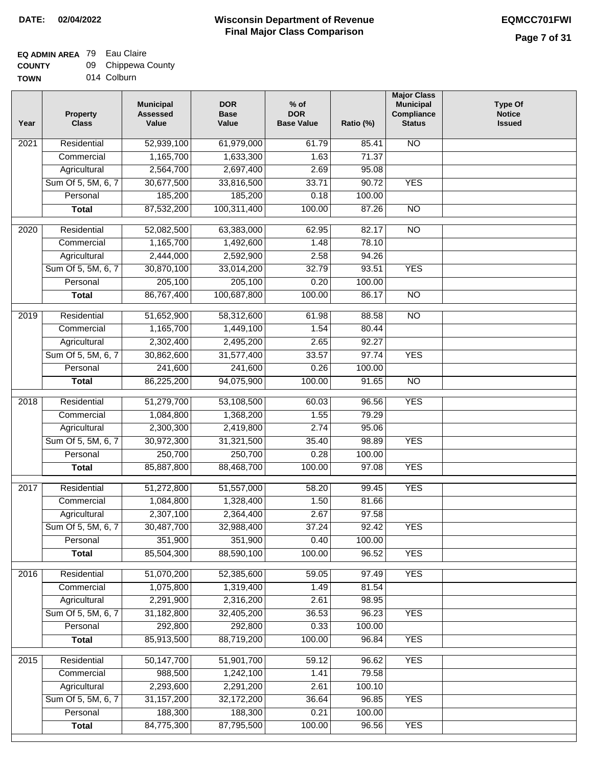### **EQ ADMIN AREA** 79 Eau Claire

| <b>COUNTY</b> | 09 | Chippewa County |  |
|---------------|----|-----------------|--|
|---------------|----|-----------------|--|

**TOWN** 014 Colburn

| Year | <b>Property</b><br><b>Class</b> | <b>Municipal</b><br><b>Assessed</b><br>Value | <b>DOR</b><br><b>Base</b><br>Value | $%$ of<br><b>DOR</b><br><b>Base Value</b> | Ratio (%) | <b>Major Class</b><br><b>Municipal</b><br>Compliance<br><b>Status</b> | <b>Type Of</b><br><b>Notice</b><br><b>Issued</b> |
|------|---------------------------------|----------------------------------------------|------------------------------------|-------------------------------------------|-----------|-----------------------------------------------------------------------|--------------------------------------------------|
| 2021 | Residential                     | 52,939,100                                   | 61,979,000                         | 61.79                                     | 85.41     | <b>NO</b>                                                             |                                                  |
|      | Commercial                      | 1,165,700                                    | 1,633,300                          | 1.63                                      | 71.37     |                                                                       |                                                  |
|      | Agricultural                    | 2,564,700                                    | 2,697,400                          | 2.69                                      | 95.08     |                                                                       |                                                  |
|      | Sum Of 5, 5M, 6, 7              | 30,677,500                                   | 33,816,500                         | 33.71                                     | 90.72     | <b>YES</b>                                                            |                                                  |
|      | Personal                        | 185,200                                      | 185,200                            | 0.18                                      | 100.00    |                                                                       |                                                  |
|      | <b>Total</b>                    | 87,532,200                                   | 100,311,400                        | 100.00                                    | 87.26     | $\overline{NO}$                                                       |                                                  |
| 2020 | Residential                     | 52,082,500                                   | 63,383,000                         | 62.95                                     | 82.17     | $\overline{NO}$                                                       |                                                  |
|      | Commercial                      | 1,165,700                                    | 1,492,600                          | 1.48                                      | 78.10     |                                                                       |                                                  |
|      | Agricultural                    | 2,444,000                                    | 2,592,900                          | 2.58                                      | 94.26     |                                                                       |                                                  |
|      | Sum Of 5, 5M, 6, 7              | 30,870,100                                   | 33,014,200                         | 32.79                                     | 93.51     | <b>YES</b>                                                            |                                                  |
|      | Personal                        | 205,100                                      | 205,100                            | 0.20                                      | 100.00    |                                                                       |                                                  |
|      | <b>Total</b>                    | 86,767,400                                   | 100,687,800                        | 100.00                                    | 86.17     | $\overline{NO}$                                                       |                                                  |
| 2019 | Residential                     | 51,652,900                                   | 58,312,600                         | 61.98                                     | 88.58     | $\overline{NO}$                                                       |                                                  |
|      | Commercial                      | 1,165,700                                    | 1,449,100                          | 1.54                                      | 80.44     |                                                                       |                                                  |
|      | Agricultural                    | 2,302,400                                    | 2,495,200                          | 2.65                                      | 92.27     |                                                                       |                                                  |
|      | Sum Of 5, 5M, 6, 7              | 30,862,600                                   | 31,577,400                         | 33.57                                     | 97.74     | <b>YES</b>                                                            |                                                  |
|      | Personal                        | 241,600                                      | 241,600                            | 0.26                                      | 100.00    |                                                                       |                                                  |
|      | <b>Total</b>                    | 86,225,200                                   | 94,075,900                         | 100.00                                    | 91.65     | $\overline{NO}$                                                       |                                                  |
| 2018 | Residential                     | 51,279,700                                   | 53,108,500                         | 60.03                                     | 96.56     | <b>YES</b>                                                            |                                                  |
|      | Commercial                      | 1,084,800                                    | 1,368,200                          | 1.55                                      | 79.29     |                                                                       |                                                  |
|      | Agricultural                    | 2,300,300                                    | 2,419,800                          | 2.74                                      | 95.06     |                                                                       |                                                  |
|      | Sum Of 5, 5M, 6, 7              | 30,972,300                                   | 31,321,500                         | 35.40                                     | 98.89     | <b>YES</b>                                                            |                                                  |
|      | Personal                        | 250,700                                      | 250,700                            | 0.28                                      | 100.00    |                                                                       |                                                  |
|      | <b>Total</b>                    | 85,887,800                                   | 88,468,700                         | 100.00                                    | 97.08     | <b>YES</b>                                                            |                                                  |
| 2017 | Residential                     | 51,272,800                                   | 51,557,000                         | 58.20                                     | 99.45     | <b>YES</b>                                                            |                                                  |
|      | Commercial                      | 1,084,800                                    | 1,328,400                          | 1.50                                      | 81.66     |                                                                       |                                                  |
|      | Agricultural                    | 2,307,100                                    | 2,364,400                          | 2.67                                      | 97.58     |                                                                       |                                                  |
|      | Sum Of 5, 5M, 6, 7              | 30,487,700                                   | 32,988,400                         | 37.24                                     | 92.42     | <b>YES</b>                                                            |                                                  |
|      | Personal                        | 351,900                                      | 351,900                            | 0.40                                      | 100.00    |                                                                       |                                                  |
|      | <b>Total</b>                    | 85,504,300                                   | 88,590,100                         | 100.00                                    | 96.52     | <b>YES</b>                                                            |                                                  |
| 2016 | Residential                     | 51,070,200                                   | 52,385,600                         | 59.05                                     | 97.49     | <b>YES</b>                                                            |                                                  |
|      | Commercial                      | 1,075,800                                    | 1,319,400                          | 1.49                                      | 81.54     |                                                                       |                                                  |
|      | Agricultural                    | 2,291,900                                    | 2,316,200                          | 2.61                                      | 98.95     |                                                                       |                                                  |
|      | Sum Of 5, 5M, 6, 7              | 31,182,800                                   | 32,405,200                         | 36.53                                     | 96.23     | <b>YES</b>                                                            |                                                  |
|      | Personal                        | 292,800                                      | 292,800                            | 0.33                                      | 100.00    |                                                                       |                                                  |
|      | <b>Total</b>                    | 85,913,500                                   | 88,719,200                         | 100.00                                    | 96.84     | <b>YES</b>                                                            |                                                  |
|      | Residential                     |                                              |                                    | 59.12                                     | 96.62     | <b>YES</b>                                                            |                                                  |
| 2015 | Commercial                      | 50,147,700<br>988,500                        | 51,901,700<br>1,242,100            | 1.41                                      | 79.58     |                                                                       |                                                  |
|      | Agricultural                    | 2,293,600                                    | 2,291,200                          | 2.61                                      | 100.10    |                                                                       |                                                  |
|      | Sum Of 5, 5M, 6, 7              | 31, 157, 200                                 | 32,172,200                         | 36.64                                     | 96.85     | <b>YES</b>                                                            |                                                  |
|      | Personal                        | 188,300                                      | 188,300                            | 0.21                                      | 100.00    |                                                                       |                                                  |
|      | <b>Total</b>                    | 84,775,300                                   | 87,795,500                         | 100.00                                    | 96.56     | <b>YES</b>                                                            |                                                  |
|      |                                 |                                              |                                    |                                           |           |                                                                       |                                                  |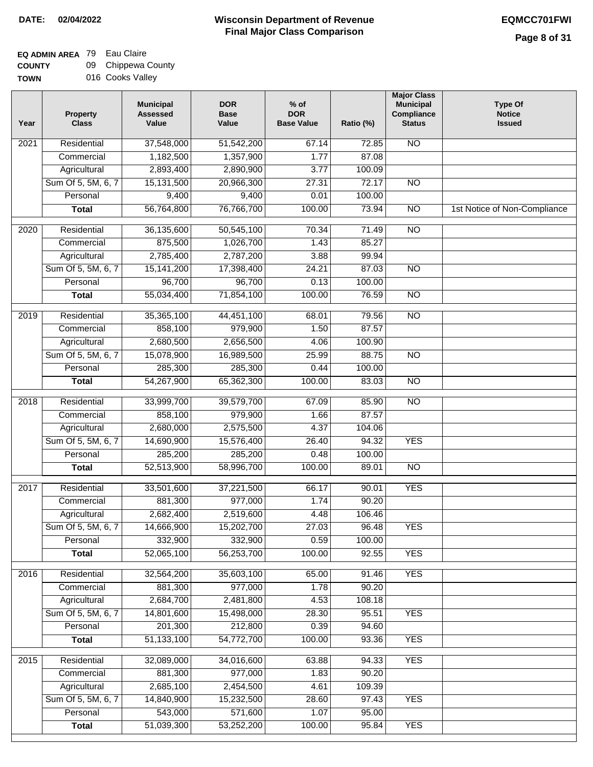# **EQ ADMIN AREA** 79 Eau Claire

**COUNTY TOWN** 09 Chippewa County 016 Cooks Valley

| 37,548,000<br><b>NO</b><br>2021<br>Residential<br>51,542,200<br>67.14<br>72.85<br>1,182,500<br>1,357,900<br>1.77<br>87.08<br>Commercial<br>2,893,400<br>Agricultural<br>2,890,900<br>3.77<br>100.09<br>Sum Of 5, 5M, 6, 7<br>15,131,500<br>20,966,300<br>27.31<br>72.17<br>$\overline{NO}$<br>9,400<br>Personal<br>9,400<br>0.01<br>100.00<br>56,764,800<br>76,766,700<br>100.00<br>73.94<br>$\overline{NO}$<br><b>Total</b><br>1st Notice of Non-Compliance<br>$\overline{NO}$<br>2020<br>Residential<br>36,135,600<br>50,545,100<br>70.34<br>71.49<br>875,500<br>1,026,700<br>85.27<br>1.43<br>Commercial<br>2,785,400<br>2,787,200<br>3.88<br>99.94<br>Agricultural<br>Sum Of 5, 5M, 6, 7<br>15,141,200<br>17,398,400<br>24.21<br>87.03<br>$\overline{NO}$<br>96,700<br>96,700<br>0.13<br>100.00<br>Personal<br>55,034,400<br>71,854,100<br>100.00<br>76.59<br>$\overline{NO}$<br><b>Total</b><br>2019<br>Residential<br>35,365,100<br>44,451,100<br>68.01<br>79.56<br>$\overline{3}$<br>858,100<br>979,900<br>87.57<br>Commercial<br>1.50<br>2,680,500<br>2,656,500<br>100.90<br>Agricultural<br>4.06<br>88.75<br>Sum Of 5, 5M, 6, 7<br>15,078,900<br>16,989,500<br>25.99<br>$\overline{NO}$<br>285,300<br>285,300<br>Personal<br>0.44<br>100.00<br>54,267,900<br>100.00<br>$\overline{NO}$<br>65,362,300<br>83.03<br><b>Total</b><br>Residential<br>33,999,700<br>39,579,700<br>$\overline{10}$<br>2018<br>67.09<br>85.90<br>858,100<br>979,900<br>87.57<br>Commercial<br>1.66<br>2,680,000<br>2,575,500<br>Agricultural<br>4.37<br>104.06<br>Sum Of 5, 5M, 6, 7<br>14,690,900<br>15,576,400<br>94.32<br><b>YES</b><br>26.40<br>Personal<br>285,200<br>285,200<br>0.48<br>100.00<br>52,513,900<br>58,996,700<br>100.00<br>89.01<br><b>NO</b><br><b>Total</b><br>2017<br>Residential<br>33,501,600<br>90.01<br><b>YES</b><br>37,221,500<br>66.17<br>881,300<br>977,000<br>1.74<br>90.20<br>Commercial<br>2,682,400<br>2,519,600<br>4.48<br>106.46<br>Agricultural<br>27.03<br>Sum Of 5, 5M, 6, 7<br>14,666,900<br>15,202,700<br>96.48<br><b>YES</b><br>332,900<br>332,900<br>0.59<br>Personal<br>100.00<br>52,065,100<br>56,253,700<br>100.00<br>92.55<br><b>YES</b><br><b>Total</b><br>Residential<br>32,564,200<br>35,603,100<br><b>YES</b><br>2016<br>65.00<br>91.46<br>881,300<br>977,000<br>1.78<br>90.20<br>Commercial<br>2,684,700<br>2,481,800<br>4.53<br>108.18<br>Agricultural<br>Sum Of 5, 5M, 6, 7<br>14,801,600<br><b>YES</b><br>15,498,000<br>28.30<br>95.51<br>201,300<br>212,800<br>0.39<br>94.60<br>Personal<br>100.00<br><b>YES</b><br>51,133,100<br>54,772,700<br>93.36<br><b>Total</b><br><b>YES</b><br>Residential<br>32,089,000<br>34,016,600<br>63.88<br>94.33<br>2015<br>881,300<br>977,000<br>1.83<br>90.20<br>Commercial<br>2,685,100<br>2,454,500<br>109.39<br>Agricultural<br>4.61<br>Sum Of 5, 5M, 6, 7<br>14,840,900<br>15,232,500<br>28.60<br>97.43<br><b>YES</b><br>543,000<br>571,600<br>Personal<br>1.07<br>95.00<br>51,039,300<br>53,252,200<br>100.00<br>95.84<br><b>Total</b><br><b>YES</b> | Year | <b>Property</b><br><b>Class</b> | <b>Municipal</b><br><b>Assessed</b><br>Value | <b>DOR</b><br><b>Base</b><br>Value | $%$ of<br><b>DOR</b><br><b>Base Value</b> | Ratio (%) | <b>Major Class</b><br><b>Municipal</b><br>Compliance<br><b>Status</b> | <b>Type Of</b><br><b>Notice</b><br><b>Issued</b> |
|--------------------------------------------------------------------------------------------------------------------------------------------------------------------------------------------------------------------------------------------------------------------------------------------------------------------------------------------------------------------------------------------------------------------------------------------------------------------------------------------------------------------------------------------------------------------------------------------------------------------------------------------------------------------------------------------------------------------------------------------------------------------------------------------------------------------------------------------------------------------------------------------------------------------------------------------------------------------------------------------------------------------------------------------------------------------------------------------------------------------------------------------------------------------------------------------------------------------------------------------------------------------------------------------------------------------------------------------------------------------------------------------------------------------------------------------------------------------------------------------------------------------------------------------------------------------------------------------------------------------------------------------------------------------------------------------------------------------------------------------------------------------------------------------------------------------------------------------------------------------------------------------------------------------------------------------------------------------------------------------------------------------------------------------------------------------------------------------------------------------------------------------------------------------------------------------------------------------------------------------------------------------------------------------------------------------------------------------------------------------------------------------------------------------------------------------------------------------------------------------------------------------------------------------------------------------------------------------------------------------------------------------------------------------------------------------------------------------------------------------------------------------------------------------------------------------------------------------------------------------------------------------------------------------------------------------------------------------------------------------------------------------------------------|------|---------------------------------|----------------------------------------------|------------------------------------|-------------------------------------------|-----------|-----------------------------------------------------------------------|--------------------------------------------------|
|                                                                                                                                                                                                                                                                                                                                                                                                                                                                                                                                                                                                                                                                                                                                                                                                                                                                                                                                                                                                                                                                                                                                                                                                                                                                                                                                                                                                                                                                                                                                                                                                                                                                                                                                                                                                                                                                                                                                                                                                                                                                                                                                                                                                                                                                                                                                                                                                                                                                                                                                                                                                                                                                                                                                                                                                                                                                                                                                                                                                                                      |      |                                 |                                              |                                    |                                           |           |                                                                       |                                                  |
|                                                                                                                                                                                                                                                                                                                                                                                                                                                                                                                                                                                                                                                                                                                                                                                                                                                                                                                                                                                                                                                                                                                                                                                                                                                                                                                                                                                                                                                                                                                                                                                                                                                                                                                                                                                                                                                                                                                                                                                                                                                                                                                                                                                                                                                                                                                                                                                                                                                                                                                                                                                                                                                                                                                                                                                                                                                                                                                                                                                                                                      |      |                                 |                                              |                                    |                                           |           |                                                                       |                                                  |
|                                                                                                                                                                                                                                                                                                                                                                                                                                                                                                                                                                                                                                                                                                                                                                                                                                                                                                                                                                                                                                                                                                                                                                                                                                                                                                                                                                                                                                                                                                                                                                                                                                                                                                                                                                                                                                                                                                                                                                                                                                                                                                                                                                                                                                                                                                                                                                                                                                                                                                                                                                                                                                                                                                                                                                                                                                                                                                                                                                                                                                      |      |                                 |                                              |                                    |                                           |           |                                                                       |                                                  |
|                                                                                                                                                                                                                                                                                                                                                                                                                                                                                                                                                                                                                                                                                                                                                                                                                                                                                                                                                                                                                                                                                                                                                                                                                                                                                                                                                                                                                                                                                                                                                                                                                                                                                                                                                                                                                                                                                                                                                                                                                                                                                                                                                                                                                                                                                                                                                                                                                                                                                                                                                                                                                                                                                                                                                                                                                                                                                                                                                                                                                                      |      |                                 |                                              |                                    |                                           |           |                                                                       |                                                  |
|                                                                                                                                                                                                                                                                                                                                                                                                                                                                                                                                                                                                                                                                                                                                                                                                                                                                                                                                                                                                                                                                                                                                                                                                                                                                                                                                                                                                                                                                                                                                                                                                                                                                                                                                                                                                                                                                                                                                                                                                                                                                                                                                                                                                                                                                                                                                                                                                                                                                                                                                                                                                                                                                                                                                                                                                                                                                                                                                                                                                                                      |      |                                 |                                              |                                    |                                           |           |                                                                       |                                                  |
|                                                                                                                                                                                                                                                                                                                                                                                                                                                                                                                                                                                                                                                                                                                                                                                                                                                                                                                                                                                                                                                                                                                                                                                                                                                                                                                                                                                                                                                                                                                                                                                                                                                                                                                                                                                                                                                                                                                                                                                                                                                                                                                                                                                                                                                                                                                                                                                                                                                                                                                                                                                                                                                                                                                                                                                                                                                                                                                                                                                                                                      |      |                                 |                                              |                                    |                                           |           |                                                                       |                                                  |
|                                                                                                                                                                                                                                                                                                                                                                                                                                                                                                                                                                                                                                                                                                                                                                                                                                                                                                                                                                                                                                                                                                                                                                                                                                                                                                                                                                                                                                                                                                                                                                                                                                                                                                                                                                                                                                                                                                                                                                                                                                                                                                                                                                                                                                                                                                                                                                                                                                                                                                                                                                                                                                                                                                                                                                                                                                                                                                                                                                                                                                      |      |                                 |                                              |                                    |                                           |           |                                                                       |                                                  |
|                                                                                                                                                                                                                                                                                                                                                                                                                                                                                                                                                                                                                                                                                                                                                                                                                                                                                                                                                                                                                                                                                                                                                                                                                                                                                                                                                                                                                                                                                                                                                                                                                                                                                                                                                                                                                                                                                                                                                                                                                                                                                                                                                                                                                                                                                                                                                                                                                                                                                                                                                                                                                                                                                                                                                                                                                                                                                                                                                                                                                                      |      |                                 |                                              |                                    |                                           |           |                                                                       |                                                  |
|                                                                                                                                                                                                                                                                                                                                                                                                                                                                                                                                                                                                                                                                                                                                                                                                                                                                                                                                                                                                                                                                                                                                                                                                                                                                                                                                                                                                                                                                                                                                                                                                                                                                                                                                                                                                                                                                                                                                                                                                                                                                                                                                                                                                                                                                                                                                                                                                                                                                                                                                                                                                                                                                                                                                                                                                                                                                                                                                                                                                                                      |      |                                 |                                              |                                    |                                           |           |                                                                       |                                                  |
|                                                                                                                                                                                                                                                                                                                                                                                                                                                                                                                                                                                                                                                                                                                                                                                                                                                                                                                                                                                                                                                                                                                                                                                                                                                                                                                                                                                                                                                                                                                                                                                                                                                                                                                                                                                                                                                                                                                                                                                                                                                                                                                                                                                                                                                                                                                                                                                                                                                                                                                                                                                                                                                                                                                                                                                                                                                                                                                                                                                                                                      |      |                                 |                                              |                                    |                                           |           |                                                                       |                                                  |
|                                                                                                                                                                                                                                                                                                                                                                                                                                                                                                                                                                                                                                                                                                                                                                                                                                                                                                                                                                                                                                                                                                                                                                                                                                                                                                                                                                                                                                                                                                                                                                                                                                                                                                                                                                                                                                                                                                                                                                                                                                                                                                                                                                                                                                                                                                                                                                                                                                                                                                                                                                                                                                                                                                                                                                                                                                                                                                                                                                                                                                      |      |                                 |                                              |                                    |                                           |           |                                                                       |                                                  |
|                                                                                                                                                                                                                                                                                                                                                                                                                                                                                                                                                                                                                                                                                                                                                                                                                                                                                                                                                                                                                                                                                                                                                                                                                                                                                                                                                                                                                                                                                                                                                                                                                                                                                                                                                                                                                                                                                                                                                                                                                                                                                                                                                                                                                                                                                                                                                                                                                                                                                                                                                                                                                                                                                                                                                                                                                                                                                                                                                                                                                                      |      |                                 |                                              |                                    |                                           |           |                                                                       |                                                  |
|                                                                                                                                                                                                                                                                                                                                                                                                                                                                                                                                                                                                                                                                                                                                                                                                                                                                                                                                                                                                                                                                                                                                                                                                                                                                                                                                                                                                                                                                                                                                                                                                                                                                                                                                                                                                                                                                                                                                                                                                                                                                                                                                                                                                                                                                                                                                                                                                                                                                                                                                                                                                                                                                                                                                                                                                                                                                                                                                                                                                                                      |      |                                 |                                              |                                    |                                           |           |                                                                       |                                                  |
|                                                                                                                                                                                                                                                                                                                                                                                                                                                                                                                                                                                                                                                                                                                                                                                                                                                                                                                                                                                                                                                                                                                                                                                                                                                                                                                                                                                                                                                                                                                                                                                                                                                                                                                                                                                                                                                                                                                                                                                                                                                                                                                                                                                                                                                                                                                                                                                                                                                                                                                                                                                                                                                                                                                                                                                                                                                                                                                                                                                                                                      |      |                                 |                                              |                                    |                                           |           |                                                                       |                                                  |
|                                                                                                                                                                                                                                                                                                                                                                                                                                                                                                                                                                                                                                                                                                                                                                                                                                                                                                                                                                                                                                                                                                                                                                                                                                                                                                                                                                                                                                                                                                                                                                                                                                                                                                                                                                                                                                                                                                                                                                                                                                                                                                                                                                                                                                                                                                                                                                                                                                                                                                                                                                                                                                                                                                                                                                                                                                                                                                                                                                                                                                      |      |                                 |                                              |                                    |                                           |           |                                                                       |                                                  |
|                                                                                                                                                                                                                                                                                                                                                                                                                                                                                                                                                                                                                                                                                                                                                                                                                                                                                                                                                                                                                                                                                                                                                                                                                                                                                                                                                                                                                                                                                                                                                                                                                                                                                                                                                                                                                                                                                                                                                                                                                                                                                                                                                                                                                                                                                                                                                                                                                                                                                                                                                                                                                                                                                                                                                                                                                                                                                                                                                                                                                                      |      |                                 |                                              |                                    |                                           |           |                                                                       |                                                  |
|                                                                                                                                                                                                                                                                                                                                                                                                                                                                                                                                                                                                                                                                                                                                                                                                                                                                                                                                                                                                                                                                                                                                                                                                                                                                                                                                                                                                                                                                                                                                                                                                                                                                                                                                                                                                                                                                                                                                                                                                                                                                                                                                                                                                                                                                                                                                                                                                                                                                                                                                                                                                                                                                                                                                                                                                                                                                                                                                                                                                                                      |      |                                 |                                              |                                    |                                           |           |                                                                       |                                                  |
|                                                                                                                                                                                                                                                                                                                                                                                                                                                                                                                                                                                                                                                                                                                                                                                                                                                                                                                                                                                                                                                                                                                                                                                                                                                                                                                                                                                                                                                                                                                                                                                                                                                                                                                                                                                                                                                                                                                                                                                                                                                                                                                                                                                                                                                                                                                                                                                                                                                                                                                                                                                                                                                                                                                                                                                                                                                                                                                                                                                                                                      |      |                                 |                                              |                                    |                                           |           |                                                                       |                                                  |
|                                                                                                                                                                                                                                                                                                                                                                                                                                                                                                                                                                                                                                                                                                                                                                                                                                                                                                                                                                                                                                                                                                                                                                                                                                                                                                                                                                                                                                                                                                                                                                                                                                                                                                                                                                                                                                                                                                                                                                                                                                                                                                                                                                                                                                                                                                                                                                                                                                                                                                                                                                                                                                                                                                                                                                                                                                                                                                                                                                                                                                      |      |                                 |                                              |                                    |                                           |           |                                                                       |                                                  |
|                                                                                                                                                                                                                                                                                                                                                                                                                                                                                                                                                                                                                                                                                                                                                                                                                                                                                                                                                                                                                                                                                                                                                                                                                                                                                                                                                                                                                                                                                                                                                                                                                                                                                                                                                                                                                                                                                                                                                                                                                                                                                                                                                                                                                                                                                                                                                                                                                                                                                                                                                                                                                                                                                                                                                                                                                                                                                                                                                                                                                                      |      |                                 |                                              |                                    |                                           |           |                                                                       |                                                  |
|                                                                                                                                                                                                                                                                                                                                                                                                                                                                                                                                                                                                                                                                                                                                                                                                                                                                                                                                                                                                                                                                                                                                                                                                                                                                                                                                                                                                                                                                                                                                                                                                                                                                                                                                                                                                                                                                                                                                                                                                                                                                                                                                                                                                                                                                                                                                                                                                                                                                                                                                                                                                                                                                                                                                                                                                                                                                                                                                                                                                                                      |      |                                 |                                              |                                    |                                           |           |                                                                       |                                                  |
|                                                                                                                                                                                                                                                                                                                                                                                                                                                                                                                                                                                                                                                                                                                                                                                                                                                                                                                                                                                                                                                                                                                                                                                                                                                                                                                                                                                                                                                                                                                                                                                                                                                                                                                                                                                                                                                                                                                                                                                                                                                                                                                                                                                                                                                                                                                                                                                                                                                                                                                                                                                                                                                                                                                                                                                                                                                                                                                                                                                                                                      |      |                                 |                                              |                                    |                                           |           |                                                                       |                                                  |
|                                                                                                                                                                                                                                                                                                                                                                                                                                                                                                                                                                                                                                                                                                                                                                                                                                                                                                                                                                                                                                                                                                                                                                                                                                                                                                                                                                                                                                                                                                                                                                                                                                                                                                                                                                                                                                                                                                                                                                                                                                                                                                                                                                                                                                                                                                                                                                                                                                                                                                                                                                                                                                                                                                                                                                                                                                                                                                                                                                                                                                      |      |                                 |                                              |                                    |                                           |           |                                                                       |                                                  |
|                                                                                                                                                                                                                                                                                                                                                                                                                                                                                                                                                                                                                                                                                                                                                                                                                                                                                                                                                                                                                                                                                                                                                                                                                                                                                                                                                                                                                                                                                                                                                                                                                                                                                                                                                                                                                                                                                                                                                                                                                                                                                                                                                                                                                                                                                                                                                                                                                                                                                                                                                                                                                                                                                                                                                                                                                                                                                                                                                                                                                                      |      |                                 |                                              |                                    |                                           |           |                                                                       |                                                  |
|                                                                                                                                                                                                                                                                                                                                                                                                                                                                                                                                                                                                                                                                                                                                                                                                                                                                                                                                                                                                                                                                                                                                                                                                                                                                                                                                                                                                                                                                                                                                                                                                                                                                                                                                                                                                                                                                                                                                                                                                                                                                                                                                                                                                                                                                                                                                                                                                                                                                                                                                                                                                                                                                                                                                                                                                                                                                                                                                                                                                                                      |      |                                 |                                              |                                    |                                           |           |                                                                       |                                                  |
|                                                                                                                                                                                                                                                                                                                                                                                                                                                                                                                                                                                                                                                                                                                                                                                                                                                                                                                                                                                                                                                                                                                                                                                                                                                                                                                                                                                                                                                                                                                                                                                                                                                                                                                                                                                                                                                                                                                                                                                                                                                                                                                                                                                                                                                                                                                                                                                                                                                                                                                                                                                                                                                                                                                                                                                                                                                                                                                                                                                                                                      |      |                                 |                                              |                                    |                                           |           |                                                                       |                                                  |
|                                                                                                                                                                                                                                                                                                                                                                                                                                                                                                                                                                                                                                                                                                                                                                                                                                                                                                                                                                                                                                                                                                                                                                                                                                                                                                                                                                                                                                                                                                                                                                                                                                                                                                                                                                                                                                                                                                                                                                                                                                                                                                                                                                                                                                                                                                                                                                                                                                                                                                                                                                                                                                                                                                                                                                                                                                                                                                                                                                                                                                      |      |                                 |                                              |                                    |                                           |           |                                                                       |                                                  |
|                                                                                                                                                                                                                                                                                                                                                                                                                                                                                                                                                                                                                                                                                                                                                                                                                                                                                                                                                                                                                                                                                                                                                                                                                                                                                                                                                                                                                                                                                                                                                                                                                                                                                                                                                                                                                                                                                                                                                                                                                                                                                                                                                                                                                                                                                                                                                                                                                                                                                                                                                                                                                                                                                                                                                                                                                                                                                                                                                                                                                                      |      |                                 |                                              |                                    |                                           |           |                                                                       |                                                  |
|                                                                                                                                                                                                                                                                                                                                                                                                                                                                                                                                                                                                                                                                                                                                                                                                                                                                                                                                                                                                                                                                                                                                                                                                                                                                                                                                                                                                                                                                                                                                                                                                                                                                                                                                                                                                                                                                                                                                                                                                                                                                                                                                                                                                                                                                                                                                                                                                                                                                                                                                                                                                                                                                                                                                                                                                                                                                                                                                                                                                                                      |      |                                 |                                              |                                    |                                           |           |                                                                       |                                                  |
|                                                                                                                                                                                                                                                                                                                                                                                                                                                                                                                                                                                                                                                                                                                                                                                                                                                                                                                                                                                                                                                                                                                                                                                                                                                                                                                                                                                                                                                                                                                                                                                                                                                                                                                                                                                                                                                                                                                                                                                                                                                                                                                                                                                                                                                                                                                                                                                                                                                                                                                                                                                                                                                                                                                                                                                                                                                                                                                                                                                                                                      |      |                                 |                                              |                                    |                                           |           |                                                                       |                                                  |
|                                                                                                                                                                                                                                                                                                                                                                                                                                                                                                                                                                                                                                                                                                                                                                                                                                                                                                                                                                                                                                                                                                                                                                                                                                                                                                                                                                                                                                                                                                                                                                                                                                                                                                                                                                                                                                                                                                                                                                                                                                                                                                                                                                                                                                                                                                                                                                                                                                                                                                                                                                                                                                                                                                                                                                                                                                                                                                                                                                                                                                      |      |                                 |                                              |                                    |                                           |           |                                                                       |                                                  |
|                                                                                                                                                                                                                                                                                                                                                                                                                                                                                                                                                                                                                                                                                                                                                                                                                                                                                                                                                                                                                                                                                                                                                                                                                                                                                                                                                                                                                                                                                                                                                                                                                                                                                                                                                                                                                                                                                                                                                                                                                                                                                                                                                                                                                                                                                                                                                                                                                                                                                                                                                                                                                                                                                                                                                                                                                                                                                                                                                                                                                                      |      |                                 |                                              |                                    |                                           |           |                                                                       |                                                  |
|                                                                                                                                                                                                                                                                                                                                                                                                                                                                                                                                                                                                                                                                                                                                                                                                                                                                                                                                                                                                                                                                                                                                                                                                                                                                                                                                                                                                                                                                                                                                                                                                                                                                                                                                                                                                                                                                                                                                                                                                                                                                                                                                                                                                                                                                                                                                                                                                                                                                                                                                                                                                                                                                                                                                                                                                                                                                                                                                                                                                                                      |      |                                 |                                              |                                    |                                           |           |                                                                       |                                                  |
|                                                                                                                                                                                                                                                                                                                                                                                                                                                                                                                                                                                                                                                                                                                                                                                                                                                                                                                                                                                                                                                                                                                                                                                                                                                                                                                                                                                                                                                                                                                                                                                                                                                                                                                                                                                                                                                                                                                                                                                                                                                                                                                                                                                                                                                                                                                                                                                                                                                                                                                                                                                                                                                                                                                                                                                                                                                                                                                                                                                                                                      |      |                                 |                                              |                                    |                                           |           |                                                                       |                                                  |
|                                                                                                                                                                                                                                                                                                                                                                                                                                                                                                                                                                                                                                                                                                                                                                                                                                                                                                                                                                                                                                                                                                                                                                                                                                                                                                                                                                                                                                                                                                                                                                                                                                                                                                                                                                                                                                                                                                                                                                                                                                                                                                                                                                                                                                                                                                                                                                                                                                                                                                                                                                                                                                                                                                                                                                                                                                                                                                                                                                                                                                      |      |                                 |                                              |                                    |                                           |           |                                                                       |                                                  |
|                                                                                                                                                                                                                                                                                                                                                                                                                                                                                                                                                                                                                                                                                                                                                                                                                                                                                                                                                                                                                                                                                                                                                                                                                                                                                                                                                                                                                                                                                                                                                                                                                                                                                                                                                                                                                                                                                                                                                                                                                                                                                                                                                                                                                                                                                                                                                                                                                                                                                                                                                                                                                                                                                                                                                                                                                                                                                                                                                                                                                                      |      |                                 |                                              |                                    |                                           |           |                                                                       |                                                  |
|                                                                                                                                                                                                                                                                                                                                                                                                                                                                                                                                                                                                                                                                                                                                                                                                                                                                                                                                                                                                                                                                                                                                                                                                                                                                                                                                                                                                                                                                                                                                                                                                                                                                                                                                                                                                                                                                                                                                                                                                                                                                                                                                                                                                                                                                                                                                                                                                                                                                                                                                                                                                                                                                                                                                                                                                                                                                                                                                                                                                                                      |      |                                 |                                              |                                    |                                           |           |                                                                       |                                                  |
|                                                                                                                                                                                                                                                                                                                                                                                                                                                                                                                                                                                                                                                                                                                                                                                                                                                                                                                                                                                                                                                                                                                                                                                                                                                                                                                                                                                                                                                                                                                                                                                                                                                                                                                                                                                                                                                                                                                                                                                                                                                                                                                                                                                                                                                                                                                                                                                                                                                                                                                                                                                                                                                                                                                                                                                                                                                                                                                                                                                                                                      |      |                                 |                                              |                                    |                                           |           |                                                                       |                                                  |
|                                                                                                                                                                                                                                                                                                                                                                                                                                                                                                                                                                                                                                                                                                                                                                                                                                                                                                                                                                                                                                                                                                                                                                                                                                                                                                                                                                                                                                                                                                                                                                                                                                                                                                                                                                                                                                                                                                                                                                                                                                                                                                                                                                                                                                                                                                                                                                                                                                                                                                                                                                                                                                                                                                                                                                                                                                                                                                                                                                                                                                      |      |                                 |                                              |                                    |                                           |           |                                                                       |                                                  |
|                                                                                                                                                                                                                                                                                                                                                                                                                                                                                                                                                                                                                                                                                                                                                                                                                                                                                                                                                                                                                                                                                                                                                                                                                                                                                                                                                                                                                                                                                                                                                                                                                                                                                                                                                                                                                                                                                                                                                                                                                                                                                                                                                                                                                                                                                                                                                                                                                                                                                                                                                                                                                                                                                                                                                                                                                                                                                                                                                                                                                                      |      |                                 |                                              |                                    |                                           |           |                                                                       |                                                  |
|                                                                                                                                                                                                                                                                                                                                                                                                                                                                                                                                                                                                                                                                                                                                                                                                                                                                                                                                                                                                                                                                                                                                                                                                                                                                                                                                                                                                                                                                                                                                                                                                                                                                                                                                                                                                                                                                                                                                                                                                                                                                                                                                                                                                                                                                                                                                                                                                                                                                                                                                                                                                                                                                                                                                                                                                                                                                                                                                                                                                                                      |      |                                 |                                              |                                    |                                           |           |                                                                       |                                                  |
|                                                                                                                                                                                                                                                                                                                                                                                                                                                                                                                                                                                                                                                                                                                                                                                                                                                                                                                                                                                                                                                                                                                                                                                                                                                                                                                                                                                                                                                                                                                                                                                                                                                                                                                                                                                                                                                                                                                                                                                                                                                                                                                                                                                                                                                                                                                                                                                                                                                                                                                                                                                                                                                                                                                                                                                                                                                                                                                                                                                                                                      |      |                                 |                                              |                                    |                                           |           |                                                                       |                                                  |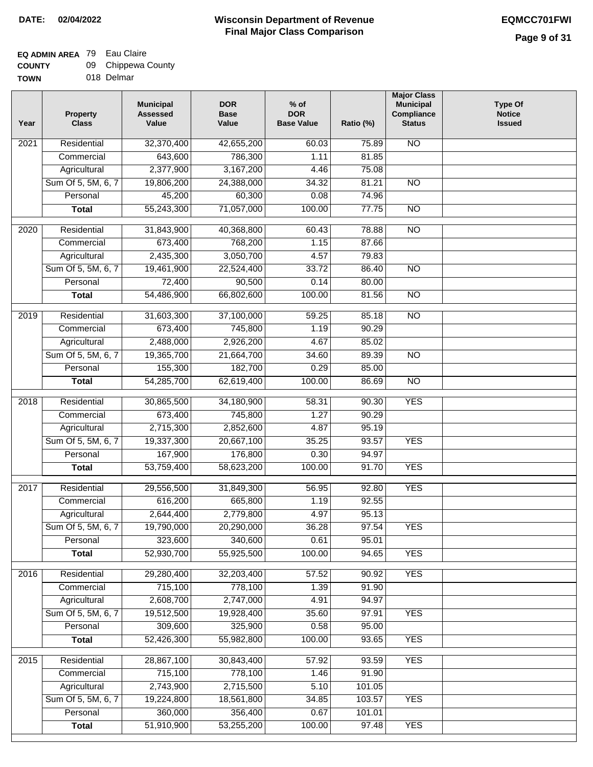## **EQ ADMIN AREA** 79 Eau Claire

| <b>COUNTY</b> |  | 09 Chippewa County |
|---------------|--|--------------------|
|---------------|--|--------------------|

**TOWN** 018 Delmar

| Year              | <b>Property</b><br><b>Class</b> | <b>Municipal</b><br><b>Assessed</b><br>Value | <b>DOR</b><br><b>Base</b><br>Value | $%$ of<br><b>DOR</b><br><b>Base Value</b> | Ratio (%) | <b>Major Class</b><br><b>Municipal</b><br>Compliance<br><b>Status</b> | <b>Type Of</b><br><b>Notice</b><br><b>Issued</b> |
|-------------------|---------------------------------|----------------------------------------------|------------------------------------|-------------------------------------------|-----------|-----------------------------------------------------------------------|--------------------------------------------------|
| 2021              | Residential                     | 32,370,400                                   | 42,655,200                         | 60.03                                     | 75.89     | N <sub>O</sub>                                                        |                                                  |
|                   | Commercial                      | 643,600                                      | 786,300                            | 1.11                                      | 81.85     |                                                                       |                                                  |
|                   | Agricultural                    | 2,377,900                                    | 3,167,200                          | 4.46                                      | 75.08     |                                                                       |                                                  |
|                   | Sum Of 5, 5M, 6, 7              | 19,806,200                                   | 24,388,000                         | 34.32                                     | 81.21     | $\overline{NO}$                                                       |                                                  |
|                   | Personal                        | 45,200                                       | 60,300                             | 0.08                                      | 74.96     |                                                                       |                                                  |
|                   | <b>Total</b>                    | 55,243,300                                   | 71,057,000                         | 100.00                                    | 77.75     | $\overline{NO}$                                                       |                                                  |
| 2020              | Residential                     | 31,843,900                                   | 40,368,800                         | 60.43                                     | 78.88     | $\overline{NO}$                                                       |                                                  |
|                   | Commercial                      | 673,400                                      | 768,200                            | 1.15                                      | 87.66     |                                                                       |                                                  |
|                   | Agricultural                    | 2,435,300                                    | 3,050,700                          | 4.57                                      | 79.83     |                                                                       |                                                  |
|                   | Sum Of 5, 5M, 6, 7              | 19,461,900                                   | 22,524,400                         | 33.72                                     | 86.40     | $\overline{NO}$                                                       |                                                  |
|                   | Personal                        | 72,400                                       | 90,500                             | 0.14                                      | 80.00     |                                                                       |                                                  |
|                   | <b>Total</b>                    | 54,486,900                                   | 66,802,600                         | 100.00                                    | 81.56     | $\overline{NO}$                                                       |                                                  |
| 2019              | Residential                     | 31,603,300                                   | 37,100,000                         | 59.25                                     | 85.18     | <b>NO</b>                                                             |                                                  |
|                   | Commercial                      | 673,400                                      | 745,800                            | 1.19                                      | 90.29     |                                                                       |                                                  |
|                   | Agricultural                    | 2,488,000                                    | 2,926,200                          | 4.67                                      | 85.02     |                                                                       |                                                  |
|                   | Sum Of 5, 5M, 6, 7              | 19,365,700                                   | 21,664,700                         | 34.60                                     | 89.39     | <b>NO</b>                                                             |                                                  |
|                   | Personal                        | 155,300                                      | 182,700                            | 0.29                                      | 85.00     |                                                                       |                                                  |
|                   | <b>Total</b>                    | 54,285,700                                   | 62,619,400                         | 100.00                                    | 86.69     | <b>NO</b>                                                             |                                                  |
| $\overline{2018}$ | Residential                     | 30,865,500                                   | 34,180,900                         | 58.31                                     | 90.30     | <b>YES</b>                                                            |                                                  |
|                   | Commercial                      | 673,400                                      | 745,800                            | 1.27                                      | 90.29     |                                                                       |                                                  |
|                   | Agricultural                    | 2,715,300                                    | 2,852,600                          | 4.87                                      | 95.19     |                                                                       |                                                  |
|                   | Sum Of 5, 5M, 6, 7              | 19,337,300                                   | 20,667,100                         | 35.25                                     | 93.57     | <b>YES</b>                                                            |                                                  |
|                   | Personal                        | 167,900                                      | 176,800                            | 0.30                                      | 94.97     |                                                                       |                                                  |
|                   | <b>Total</b>                    | 53,759,400                                   | 58,623,200                         | 100.00                                    | 91.70     | <b>YES</b>                                                            |                                                  |
|                   |                                 |                                              |                                    |                                           |           |                                                                       |                                                  |
| 2017              | Residential                     | 29,556,500                                   | 31,849,300                         | 56.95                                     | 92.80     | <b>YES</b>                                                            |                                                  |
|                   | Commercial                      | 616,200                                      | 665,800                            | 1.19                                      | 92.55     |                                                                       |                                                  |
|                   | Agricultural                    | 2,644,400                                    | 2,779,800                          | 4.97                                      | 95.13     |                                                                       |                                                  |
|                   | Sum Of 5, 5M, 6, 7              | 19,790,000                                   | 20,290,000                         | 36.28                                     | 97.54     | <b>YES</b>                                                            |                                                  |
|                   | Personal                        | 323,600                                      | 340,600                            | 0.61                                      | 95.01     |                                                                       |                                                  |
|                   | <b>Total</b>                    | 52,930,700                                   | 55,925,500                         | 100.00                                    | 94.65     | <b>YES</b>                                                            |                                                  |
| 2016              | Residential                     | 29,280,400                                   | 32,203,400                         | 57.52                                     | 90.92     | <b>YES</b>                                                            |                                                  |
|                   | Commercial                      | 715,100                                      | 778,100                            | 1.39                                      | 91.90     |                                                                       |                                                  |
|                   | Agricultural                    | 2,608,700                                    | 2,747,000                          | 4.91                                      | 94.97     |                                                                       |                                                  |
|                   | Sum Of 5, 5M, 6, 7              | 19,512,500                                   | 19,928,400                         | 35.60                                     | 97.91     | <b>YES</b>                                                            |                                                  |
|                   | Personal                        | 309,600                                      | 325,900                            | 0.58                                      | 95.00     |                                                                       |                                                  |
|                   | <b>Total</b>                    | 52,426,300                                   | 55,982,800                         | 100.00                                    | 93.65     | <b>YES</b>                                                            |                                                  |
| 2015              | Residential                     | 28,867,100                                   | 30,843,400                         | 57.92                                     | 93.59     | <b>YES</b>                                                            |                                                  |
|                   | Commercial                      | 715,100                                      | 778,100                            | 1.46                                      | 91.90     |                                                                       |                                                  |
|                   | Agricultural                    | 2,743,900                                    | 2,715,500                          | 5.10                                      | 101.05    |                                                                       |                                                  |
|                   | Sum Of 5, 5M, 6, 7              | 19,224,800                                   | 18,561,800                         | 34.85                                     | 103.57    | <b>YES</b>                                                            |                                                  |
|                   | Personal                        | 360,000                                      | 356,400                            | 0.67                                      | 101.01    |                                                                       |                                                  |
|                   | <b>Total</b>                    | 51,910,900                                   | 53,255,200                         | 100.00                                    | 97.48     | <b>YES</b>                                                            |                                                  |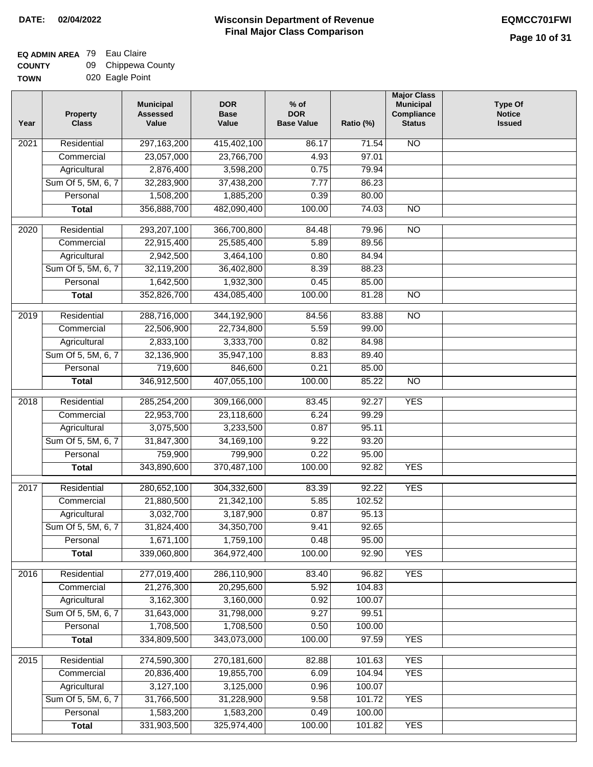### **EQ ADMIN AREA** 79 Eau Claire

| <b>COUNTY</b> | 09 Chippewa County |
|---------------|--------------------|
| <b>TOWN</b>   | 020 Eagle Point    |

| /Ν |  | 020 Eagle Point |
|----|--|-----------------|
|----|--|-----------------|

| Year             | <b>Property</b><br><b>Class</b> | <b>Municipal</b><br><b>Assessed</b><br>Value | <b>DOR</b><br><b>Base</b><br>Value | $%$ of<br><b>DOR</b><br><b>Base Value</b> | Ratio (%) | <b>Major Class</b><br><b>Municipal</b><br>Compliance<br><b>Status</b> | <b>Type Of</b><br><b>Notice</b><br><b>Issued</b> |
|------------------|---------------------------------|----------------------------------------------|------------------------------------|-------------------------------------------|-----------|-----------------------------------------------------------------------|--------------------------------------------------|
| 2021             | Residential                     | 297, 163, 200                                | 415,402,100                        | 86.17                                     | 71.54     | $\overline{NO}$                                                       |                                                  |
|                  | Commercial                      | 23,057,000                                   | 23,766,700                         | 4.93                                      | 97.01     |                                                                       |                                                  |
|                  | Agricultural                    | 2,876,400                                    | 3,598,200                          | 0.75                                      | 79.94     |                                                                       |                                                  |
|                  | Sum Of 5, 5M, 6, 7              | 32,283,900                                   | 37,438,200                         | 7.77                                      | 86.23     |                                                                       |                                                  |
|                  | Personal                        | 1,508,200                                    | 1,885,200                          | 0.39                                      | 80.00     |                                                                       |                                                  |
|                  | <b>Total</b>                    | 356,888,700                                  | 482,090,400                        | 100.00                                    | 74.03     | $\overline{NO}$                                                       |                                                  |
| 2020             | Residential                     | 293,207,100                                  | 366,700,800                        | 84.48                                     | 79.96     | $\overline{NO}$                                                       |                                                  |
|                  | Commercial                      | 22,915,400                                   | 25,585,400                         | 5.89                                      | 89.56     |                                                                       |                                                  |
|                  | Agricultural                    | 2,942,500                                    | 3,464,100                          | 0.80                                      | 84.94     |                                                                       |                                                  |
|                  | Sum Of 5, 5M, 6, 7              | 32,119,200                                   | 36,402,800                         | 8.39                                      | 88.23     |                                                                       |                                                  |
|                  | Personal                        | 1,642,500                                    | 1,932,300                          | 0.45                                      | 85.00     |                                                                       |                                                  |
|                  | <b>Total</b>                    | 352,826,700                                  | 434,085,400                        | 100.00                                    | 81.28     | $\overline{NO}$                                                       |                                                  |
|                  |                                 |                                              |                                    |                                           |           |                                                                       |                                                  |
| $\frac{1}{2019}$ | Residential                     | 288,716,000                                  | 344,192,900                        | 84.56                                     | 83.88     | $\overline{NO}$                                                       |                                                  |
|                  | Commercial                      | 22,506,900                                   | 22,734,800                         | 5.59                                      | 99.00     |                                                                       |                                                  |
|                  | Agricultural                    | 2,833,100                                    | 3,333,700                          | 0.82                                      | 84.98     |                                                                       |                                                  |
|                  | Sum Of 5, 5M, 6, 7              | 32,136,900                                   | 35,947,100                         | 8.83                                      | 89.40     |                                                                       |                                                  |
|                  | Personal                        | 719,600                                      | 846,600                            | 0.21                                      | 85.00     |                                                                       |                                                  |
|                  | <b>Total</b>                    | 346,912,500                                  | 407,055,100                        | 100.00                                    | 85.22     | $\overline{N}$                                                        |                                                  |
| 2018             | Residential                     | 285,254,200                                  | 309,166,000                        | 83.45                                     | 92.27     | <b>YES</b>                                                            |                                                  |
|                  | Commercial                      | 22,953,700                                   | 23,118,600                         | 6.24                                      | 99.29     |                                                                       |                                                  |
|                  | Agricultural                    | 3,075,500                                    | 3,233,500                          | 0.87                                      | 95.11     |                                                                       |                                                  |
|                  | Sum Of 5, 5M, 6, 7              | 31,847,300                                   | 34, 169, 100                       | 9.22                                      | 93.20     |                                                                       |                                                  |
|                  | Personal                        | 759,900                                      | 799,900                            | 0.22                                      | 95.00     |                                                                       |                                                  |
|                  | <b>Total</b>                    | 343,890,600                                  | 370,487,100                        | 100.00                                    | 92.82     | <b>YES</b>                                                            |                                                  |
| 2017             | Residential                     | 280,652,100                                  | 304,332,600                        | 83.39                                     | 92.22     | <b>YES</b>                                                            |                                                  |
|                  | Commercial                      | 21,880,500                                   | 21,342,100                         | 5.85                                      | 102.52    |                                                                       |                                                  |
|                  | Agricultural                    | 3,032,700                                    | 3,187,900                          | 0.87                                      | 95.13     |                                                                       |                                                  |
|                  | Sum Of 5, 5M, 6, 7              | 31,824,400                                   | 34,350,700                         | 9.41                                      | 92.65     |                                                                       |                                                  |
|                  | Personal                        | 1,671,100                                    | 1,759,100                          | 0.48                                      | 95.00     |                                                                       |                                                  |
|                  | <b>Total</b>                    | 339,060,800                                  | 364,972,400                        | 100.00                                    | 92.90     | <b>YES</b>                                                            |                                                  |
|                  |                                 |                                              |                                    |                                           |           |                                                                       |                                                  |
| 2016             | Residential                     | 277,019,400                                  | 286,110,900                        | 83.40                                     | 96.82     | <b>YES</b>                                                            |                                                  |
|                  | Commercial                      | 21,276,300                                   | 20,295,600                         | 5.92                                      | 104.83    |                                                                       |                                                  |
|                  | Agricultural                    | 3,162,300                                    | 3,160,000                          | 0.92                                      | 100.07    |                                                                       |                                                  |
|                  | Sum Of 5, 5M, 6, 7              | 31,643,000                                   | 31,798,000                         | 9.27                                      | 99.51     |                                                                       |                                                  |
|                  | Personal                        | 1,708,500                                    | 1,708,500                          | 0.50                                      | 100.00    |                                                                       |                                                  |
|                  | <b>Total</b>                    | 334,809,500                                  | 343,073,000                        | 100.00                                    | 97.59     | <b>YES</b>                                                            |                                                  |
| 2015             | Residential                     | 274,590,300                                  | 270,181,600                        | 82.88                                     | 101.63    | <b>YES</b>                                                            |                                                  |
|                  | Commercial                      | 20,836,400                                   | 19,855,700                         | 6.09                                      | 104.94    | <b>YES</b>                                                            |                                                  |
|                  | Agricultural                    | 3,127,100                                    | 3,125,000                          | 0.96                                      | 100.07    |                                                                       |                                                  |
|                  | Sum Of 5, 5M, 6, 7              | 31,766,500                                   | 31,228,900                         | 9.58                                      | 101.72    | <b>YES</b>                                                            |                                                  |
|                  | Personal                        | 1,583,200                                    | 1,583,200                          | 0.49                                      | 100.00    |                                                                       |                                                  |
|                  | <b>Total</b>                    | 331,903,500                                  | 325,974,400                        | 100.00                                    | 101.82    | <b>YES</b>                                                            |                                                  |
|                  |                                 |                                              |                                    |                                           |           |                                                                       |                                                  |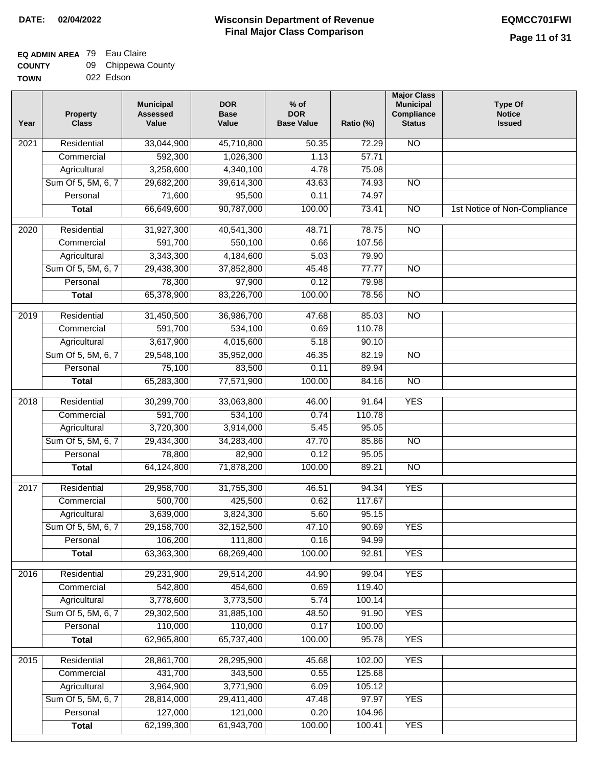### **Wisconsin Department of Revenue Final Major Class Comparison DATE: 02/04/2022 EQMCC701FWI**

٦

#### **EQ ADMIN AREA** 79 Eau Claire **COUNTY** 09 Chippewa County

| <b>UUUNII</b> | ັບປ | <b>UIIIPPGWA UUU</b> |
|---------------|-----|----------------------|
| <b>TOWN</b>   |     | 022 Edson            |

| Year              | <b>Property</b><br><b>Class</b> | <b>Municipal</b><br><b>Assessed</b><br>Value | <b>DOR</b><br><b>Base</b><br>Value | $%$ of<br><b>DOR</b><br><b>Base Value</b> | Ratio (%)       | <b>Major Class</b><br><b>Municipal</b><br>Compliance<br><b>Status</b> | <b>Type Of</b><br><b>Notice</b><br><b>Issued</b> |
|-------------------|---------------------------------|----------------------------------------------|------------------------------------|-------------------------------------------|-----------------|-----------------------------------------------------------------------|--------------------------------------------------|
| 2021              | Residential                     | 33,044,900                                   | 45,710,800                         | 50.35                                     | 72.29           | <b>NO</b>                                                             |                                                  |
|                   | Commercial                      | 592,300                                      | 1,026,300                          | 1.13                                      | 57.71           |                                                                       |                                                  |
|                   | Agricultural                    | 3,258,600                                    | 4,340,100                          | 4.78                                      | 75.08           |                                                                       |                                                  |
|                   | Sum Of 5, 5M, 6, 7              | 29,682,200                                   | 39,614,300                         | 43.63                                     | 74.93           | $\overline{NO}$                                                       |                                                  |
|                   | Personal                        | 71,600                                       | 95,500                             | 0.11                                      | 74.97           |                                                                       |                                                  |
|                   | <b>Total</b>                    | 66,649,600                                   | 90,787,000                         | 100.00                                    | 73.41           | $\overline{NO}$                                                       | 1st Notice of Non-Compliance                     |
| $\overline{2020}$ | Residential                     | 31,927,300                                   | 40,541,300                         | 48.71                                     | 78.75           | $\overline{NO}$                                                       |                                                  |
|                   | Commercial                      | 591,700                                      | 550,100                            | 0.66                                      | 107.56          |                                                                       |                                                  |
|                   | Agricultural                    | 3,343,300                                    | 4,184,600                          | 5.03                                      | 79.90           |                                                                       |                                                  |
|                   | Sum Of 5, 5M, 6, 7              | 29,438,300                                   | 37,852,800                         | 45.48                                     | 77.77           | <b>NO</b>                                                             |                                                  |
|                   | Personal                        | 78,300                                       | 97,900                             | 0.12                                      | 79.98           |                                                                       |                                                  |
|                   | <b>Total</b>                    | 65,378,900                                   | 83,226,700                         | 100.00                                    | 78.56           | <b>NO</b>                                                             |                                                  |
| 2019              | Residential                     | 31,450,500                                   | 36,986,700                         | 47.68                                     | 85.03           | $\overline{NO}$                                                       |                                                  |
|                   | Commercial                      | 591,700                                      | 534,100                            | 0.69                                      | 110.78          |                                                                       |                                                  |
|                   | Agricultural                    | 3,617,900                                    | 4,015,600                          | 5.18                                      | 90.10           |                                                                       |                                                  |
|                   | Sum Of 5, 5M, 6, 7              | 29,548,100                                   | 35,952,000                         | 46.35                                     | 82.19           | $\overline{NO}$                                                       |                                                  |
|                   | Personal                        | 75,100                                       | 83,500                             | 0.11                                      | 89.94           |                                                                       |                                                  |
|                   | <b>Total</b>                    | 65,283,300                                   | 77,571,900                         | 100.00                                    | 84.16           | $\overline{NO}$                                                       |                                                  |
| 2018              | Residential                     | 30,299,700                                   | 33,063,800                         | 46.00                                     | 91.64           | <b>YES</b>                                                            |                                                  |
|                   | Commercial                      | 591,700                                      | 534,100                            | 0.74                                      | 110.78          |                                                                       |                                                  |
|                   | Agricultural                    | 3,720,300                                    | 3,914,000                          | 5.45                                      | 95.05           |                                                                       |                                                  |
|                   | Sum Of 5, 5M, 6, 7              | 29,434,300                                   | 34,283,400                         | 47.70                                     | 85.86           | $\overline{NO}$                                                       |                                                  |
|                   | Personal                        | 78,800                                       | 82,900                             | 0.12                                      | 95.05           |                                                                       |                                                  |
|                   | <b>Total</b>                    | 64,124,800                                   | 71,878,200                         | 100.00                                    | 89.21           | NO                                                                    |                                                  |
|                   |                                 |                                              |                                    |                                           |                 | <b>YES</b>                                                            |                                                  |
| 2017              | Residential<br>Commercial       | 29,958,700                                   | 31,755,300                         | 46.51                                     | 94.34           |                                                                       |                                                  |
|                   | Agricultural                    | 500,700<br>3,639,000                         | 425,500<br>3,824,300               | 0.62<br>5.60                              | 117.67<br>95.15 |                                                                       |                                                  |
|                   | Sum Of 5, 5M, 6, 7              | 29,158,700                                   | 32,152,500                         | 47.10                                     | 90.69           | <b>YES</b>                                                            |                                                  |
|                   | Personal                        | 106,200                                      | 111,800                            | 0.16                                      | 94.99           |                                                                       |                                                  |
|                   | <b>Total</b>                    | 63,363,300                                   | 68,269,400                         | 100.00                                    | 92.81           | <b>YES</b>                                                            |                                                  |
|                   |                                 |                                              |                                    |                                           |                 |                                                                       |                                                  |
| 2016              | Residential                     | 29,231,900                                   | 29,514,200                         | 44.90                                     | 99.04           | <b>YES</b>                                                            |                                                  |
|                   | Commercial                      | 542,800                                      | 454,600                            | 0.69                                      | 119.40          |                                                                       |                                                  |
|                   | Agricultural                    | 3,778,600                                    | 3,773,500                          | 5.74                                      | 100.14          |                                                                       |                                                  |
|                   | Sum Of 5, 5M, 6, 7              | 29,302,500                                   | 31,885,100                         | 48.50                                     | 91.90           | <b>YES</b>                                                            |                                                  |
|                   | Personal                        | 110,000                                      | 110,000                            | 0.17                                      | 100.00          |                                                                       |                                                  |
|                   | <b>Total</b>                    | 62,965,800                                   | 65,737,400                         | 100.00                                    | 95.78           | <b>YES</b>                                                            |                                                  |
| 2015              | Residential                     | 28,861,700                                   | 28,295,900                         | 45.68                                     | 102.00          | <b>YES</b>                                                            |                                                  |
|                   | Commercial                      | 431,700                                      | 343,500                            | 0.55                                      | 125.68          |                                                                       |                                                  |
|                   | Agricultural                    | 3,964,900                                    | 3,771,900                          | 6.09                                      | 105.12          |                                                                       |                                                  |
|                   | Sum Of 5, 5M, 6, 7              | 28,814,000                                   | 29,411,400                         | 47.48                                     | 97.97           | <b>YES</b>                                                            |                                                  |
|                   | Personal                        | 127,000                                      | 121,000                            | 0.20                                      | 104.96          |                                                                       |                                                  |
|                   | <b>Total</b>                    | 62,199,300                                   | 61,943,700                         | 100.00                                    | 100.41          | <b>YES</b>                                                            |                                                  |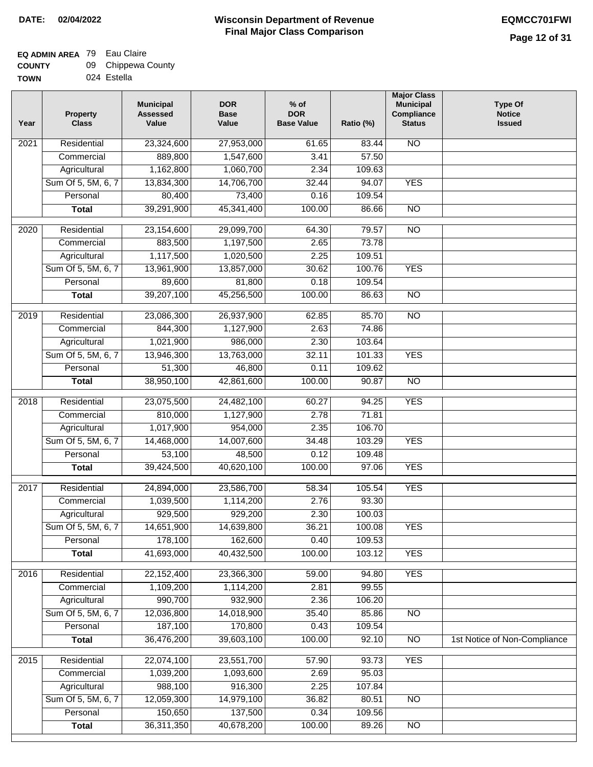### **EQ ADMIN AREA** 79 Eau Claire  $\overline{\phantom{0}}$

| <b>COUNTY</b> | 09 Chippewa County |
|---------------|--------------------|
| <b>TOWN</b>   | 024 Estella        |

| Year | <b>Property</b><br><b>Class</b> | <b>Municipal</b><br><b>Assessed</b><br>Value | <b>DOR</b><br><b>Base</b><br>Value | % of<br><b>DOR</b><br><b>Base Value</b> | Ratio (%) | <b>Major Class</b><br><b>Municipal</b><br>Compliance<br><b>Status</b> | <b>Type Of</b><br><b>Notice</b><br><b>Issued</b> |
|------|---------------------------------|----------------------------------------------|------------------------------------|-----------------------------------------|-----------|-----------------------------------------------------------------------|--------------------------------------------------|
| 2021 | Residential                     | 23,324,600                                   | 27,953,000                         | 61.65                                   | 83.44     | N <sub>O</sub>                                                        |                                                  |
|      | Commercial                      | 889,800                                      | 1,547,600                          | 3.41                                    | 57.50     |                                                                       |                                                  |
|      | Agricultural                    | 1,162,800                                    | 1,060,700                          | 2.34                                    | 109.63    |                                                                       |                                                  |
|      | Sum Of 5, 5M, 6, 7              | 13,834,300                                   | 14,706,700                         | 32.44                                   | 94.07     | <b>YES</b>                                                            |                                                  |
|      | Personal                        | 80,400                                       | 73,400                             | 0.16                                    | 109.54    |                                                                       |                                                  |
|      | <b>Total</b>                    | 39,291,900                                   | 45,341,400                         | 100.00                                  | 86.66     | $\overline{NO}$                                                       |                                                  |
| 2020 | Residential                     | 23,154,600                                   | 29,099,700                         | 64.30                                   | 79.57     | $\overline{NO}$                                                       |                                                  |
|      | Commercial                      | 883,500                                      | 1,197,500                          | 2.65                                    | 73.78     |                                                                       |                                                  |
|      | Agricultural                    | 1,117,500                                    | 1,020,500                          | 2.25                                    | 109.51    |                                                                       |                                                  |
|      | Sum Of 5, 5M, 6, 7              | 13,961,900                                   | 13,857,000                         | 30.62                                   | 100.76    | <b>YES</b>                                                            |                                                  |
|      | Personal                        | 89,600                                       | 81,800                             | 0.18                                    | 109.54    |                                                                       |                                                  |
|      | <b>Total</b>                    | 39,207,100                                   | 45,256,500                         | 100.00                                  | 86.63     | $\overline{NO}$                                                       |                                                  |
|      |                                 |                                              |                                    |                                         |           |                                                                       |                                                  |
| 2019 | Residential                     | 23,086,300                                   | 26,937,900                         | 62.85                                   | 85.70     | <b>NO</b>                                                             |                                                  |
|      | Commercial                      | 844,300                                      | 1,127,900                          | 2.63                                    | 74.86     |                                                                       |                                                  |
|      | Agricultural                    | 1,021,900                                    | 986,000                            | 2.30                                    | 103.64    |                                                                       |                                                  |
|      | Sum Of 5, 5M, 6, 7              | 13,946,300                                   | 13,763,000                         | 32.11                                   | 101.33    | <b>YES</b>                                                            |                                                  |
|      | Personal                        | 51,300                                       | 46,800                             | 0.11                                    | 109.62    |                                                                       |                                                  |
|      | <b>Total</b>                    | 38,950,100                                   | 42,861,600                         | 100.00                                  | 90.87     | <b>NO</b>                                                             |                                                  |
| 2018 | Residential                     | 23,075,500                                   | 24,482,100                         | 60.27                                   | 94.25     | <b>YES</b>                                                            |                                                  |
|      | Commercial                      | 810,000                                      | 1,127,900                          | 2.78                                    | 71.81     |                                                                       |                                                  |
|      | Agricultural                    | 1,017,900                                    | 954,000                            | 2.35                                    | 106.70    |                                                                       |                                                  |
|      | Sum Of 5, 5M, 6, 7              | 14,468,000                                   | 14,007,600                         | 34.48                                   | 103.29    | <b>YES</b>                                                            |                                                  |
|      | Personal                        | 53,100                                       | 48,500                             | 0.12                                    | 109.48    |                                                                       |                                                  |
|      | <b>Total</b>                    | 39,424,500                                   | 40,620,100                         | 100.00                                  | 97.06     | <b>YES</b>                                                            |                                                  |
| 2017 | Residential                     | 24,894,000                                   | 23,586,700                         | 58.34                                   | 105.54    | <b>YES</b>                                                            |                                                  |
|      | Commercial                      | 1,039,500                                    | 1,114,200                          | 2.76                                    | 93.30     |                                                                       |                                                  |
|      | Agricultural                    | 929,500                                      | 929,200                            | 2.30                                    | 100.03    |                                                                       |                                                  |
|      | Sum Of 5, 5M, 6, 7              | 14,651,900                                   | 14,639,800                         | 36.21                                   | 100.08    | <b>YES</b>                                                            |                                                  |
|      | Personal                        | 178,100                                      | 162,600                            | 0.40                                    | 109.53    |                                                                       |                                                  |
|      | <b>Total</b>                    | 41,693,000                                   | 40,432,500                         | 100.00                                  | 103.12    | <b>YES</b>                                                            |                                                  |
|      |                                 |                                              |                                    |                                         |           |                                                                       |                                                  |
| 2016 | Residential                     | 22,152,400                                   | 23,366,300                         | 59.00                                   | 94.80     | <b>YES</b>                                                            |                                                  |
|      | Commercial                      | 1,109,200                                    | 1,114,200                          | 2.81                                    | 99.55     |                                                                       |                                                  |
|      | Agricultural                    | 990,700                                      | 932,900                            | 2.36                                    | 106.20    |                                                                       |                                                  |
|      | Sum Of 5, 5M, 6, 7              | 12,036,800                                   | 14,018,900                         | 35.40                                   | 85.86     | $\overline{NO}$                                                       |                                                  |
|      | Personal                        | 187,100                                      | 170,800                            | 0.43                                    | 109.54    |                                                                       |                                                  |
|      | <b>Total</b>                    | 36,476,200                                   | 39,603,100                         | 100.00                                  | 92.10     | N <sub>O</sub>                                                        | 1st Notice of Non-Compliance                     |
| 2015 | Residential                     | 22,074,100                                   | 23,551,700                         | 57.90                                   | 93.73     | <b>YES</b>                                                            |                                                  |
|      | Commercial                      | 1,039,200                                    | 1,093,600                          | 2.69                                    | 95.03     |                                                                       |                                                  |
|      | Agricultural                    | 988,100                                      | 916,300                            | 2.25                                    | 107.84    |                                                                       |                                                  |
|      | Sum Of 5, 5M, 6, 7              | 12,059,300                                   | 14,979,100                         | 36.82                                   | 80.51     | $\overline{NO}$                                                       |                                                  |
|      | Personal                        | 150,650                                      | 137,500                            | 0.34                                    | 109.56    |                                                                       |                                                  |
|      | <b>Total</b>                    | 36,311,350                                   | 40,678,200                         | 100.00                                  | 89.26     | NO                                                                    |                                                  |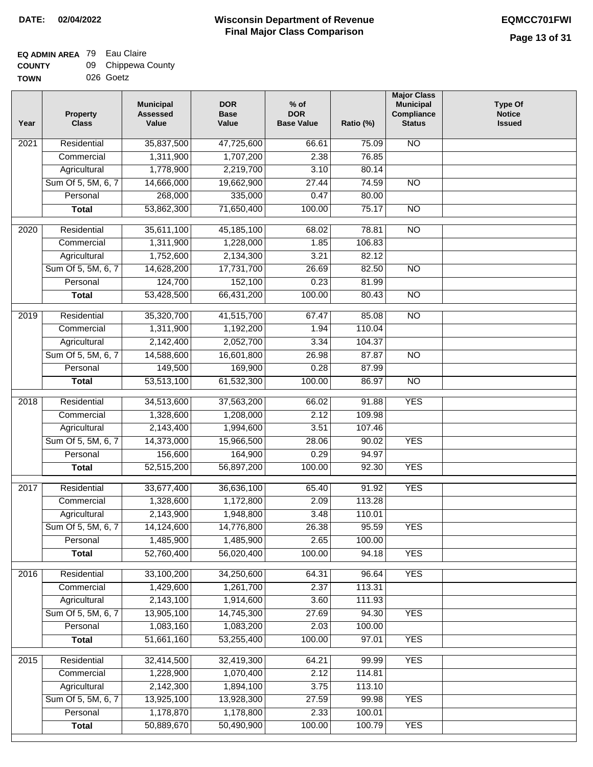٦

#### **EQ ADMIN AREA** 79 Eau Claire **COUNTY**  $09$  Chin

| <b>COUNTY</b> | 09 Chippewa County |
|---------------|--------------------|
| <b>TOWN</b>   | 026 Goetz          |

| Year              | <b>Property</b><br><b>Class</b> | <b>Municipal</b><br><b>Assessed</b><br>Value | <b>DOR</b><br><b>Base</b><br>Value | $%$ of<br><b>DOR</b><br><b>Base Value</b> | Ratio (%) | <b>Major Class</b><br><b>Municipal</b><br>Compliance<br><b>Status</b> | <b>Type Of</b><br><b>Notice</b><br><b>Issued</b> |
|-------------------|---------------------------------|----------------------------------------------|------------------------------------|-------------------------------------------|-----------|-----------------------------------------------------------------------|--------------------------------------------------|
| 2021              | Residential                     | 35,837,500                                   | 47,725,600                         | 66.61                                     | 75.09     | N <sub>O</sub>                                                        |                                                  |
|                   | Commercial                      | 1,311,900                                    | 1,707,200                          | 2.38                                      | 76.85     |                                                                       |                                                  |
|                   | Agricultural                    | 1,778,900                                    | 2,219,700                          | 3.10                                      | 80.14     |                                                                       |                                                  |
|                   | Sum Of 5, 5M, 6, 7              | 14,666,000                                   | 19,662,900                         | 27.44                                     | 74.59     | $\overline{NO}$                                                       |                                                  |
|                   | Personal                        | 268,000                                      | 335,000                            | 0.47                                      | 80.00     |                                                                       |                                                  |
|                   | <b>Total</b>                    | 53,862,300                                   | 71,650,400                         | 100.00                                    | 75.17     | N <sub>O</sub>                                                        |                                                  |
| 2020              | Residential                     | 35,611,100                                   | 45,185,100                         | 68.02                                     | 78.81     | $\overline{NO}$                                                       |                                                  |
|                   | Commercial                      | 1,311,900                                    | 1,228,000                          | 1.85                                      | 106.83    |                                                                       |                                                  |
|                   | Agricultural                    | 1,752,600                                    | 2,134,300                          | 3.21                                      | 82.12     |                                                                       |                                                  |
|                   | Sum Of 5, 5M, 6, 7              | 14,628,200                                   | 17,731,700                         | 26.69                                     | 82.50     | $\overline{NO}$                                                       |                                                  |
|                   | Personal                        | 124,700                                      | 152,100                            | 0.23                                      | 81.99     |                                                                       |                                                  |
|                   | <b>Total</b>                    | 53,428,500                                   | 66,431,200                         | 100.00                                    | 80.43     | $\overline{NO}$                                                       |                                                  |
|                   |                                 |                                              |                                    |                                           |           |                                                                       |                                                  |
| 2019              | Residential                     | 35,320,700                                   | 41,515,700                         | 67.47                                     | 85.08     | <b>NO</b>                                                             |                                                  |
|                   | Commercial                      | 1,311,900                                    | 1,192,200                          | 1.94                                      | 110.04    |                                                                       |                                                  |
|                   | Agricultural                    | 2,142,400                                    | 2,052,700                          | 3.34                                      | 104.37    |                                                                       |                                                  |
|                   | Sum Of 5, 5M, 6, 7              | 14,588,600                                   | 16,601,800                         | 26.98                                     | 87.87     | $\overline{NO}$                                                       |                                                  |
|                   | Personal                        | 149,500                                      | 169,900                            | 0.28                                      | 87.99     |                                                                       |                                                  |
|                   | <b>Total</b>                    | 53,513,100                                   | 61,532,300                         | 100.00                                    | 86.97     | $\overline{NO}$                                                       |                                                  |
| $\overline{2018}$ | Residential                     | 34,513,600                                   | 37,563,200                         | 66.02                                     | 91.88     | <b>YES</b>                                                            |                                                  |
|                   | Commercial                      | 1,328,600                                    | 1,208,000                          | 2.12                                      | 109.98    |                                                                       |                                                  |
|                   | Agricultural                    | 2,143,400                                    | 1,994,600                          | 3.51                                      | 107.46    |                                                                       |                                                  |
|                   | Sum Of 5, 5M, 6, 7              | 14,373,000                                   | 15,966,500                         | 28.06                                     | 90.02     | <b>YES</b>                                                            |                                                  |
|                   | Personal                        | 156,600                                      | 164,900                            | 0.29                                      | 94.97     |                                                                       |                                                  |
|                   | <b>Total</b>                    | 52,515,200                                   | 56,897,200                         | 100.00                                    | 92.30     | <b>YES</b>                                                            |                                                  |
| 2017              | Residential                     | 33,677,400                                   | 36,636,100                         | 65.40                                     | 91.92     | <b>YES</b>                                                            |                                                  |
|                   | Commercial                      | 1,328,600                                    | 1,172,800                          | 2.09                                      | 113.28    |                                                                       |                                                  |
|                   | Agricultural                    | 2,143,900                                    | 1,948,800                          | 3.48                                      | 110.01    |                                                                       |                                                  |
|                   | Sum Of 5, 5M, 6, 7              | 14,124,600                                   | 14,776,800                         | 26.38                                     | 95.59     | YES                                                                   |                                                  |
|                   | Personal                        | 1,485,900                                    | 1,485,900                          | 2.65                                      | 100.00    |                                                                       |                                                  |
|                   | <b>Total</b>                    | 52,760,400                                   | 56,020,400                         | 100.00                                    | 94.18     | <b>YES</b>                                                            |                                                  |
| 2016              | Residential                     | 33,100,200                                   | 34,250,600                         | 64.31                                     | 96.64     | <b>YES</b>                                                            |                                                  |
|                   | Commercial                      | 1,429,600                                    | 1,261,700                          | 2.37                                      | 113.31    |                                                                       |                                                  |
|                   | Agricultural                    | 2,143,100                                    | 1,914,600                          | 3.60                                      | 111.93    |                                                                       |                                                  |
|                   | Sum Of 5, 5M, 6, 7              | 13,905,100                                   | 14,745,300                         | 27.69                                     | 94.30     | <b>YES</b>                                                            |                                                  |
|                   | Personal                        | 1,083,160                                    | 1,083,200                          | 2.03                                      | 100.00    |                                                                       |                                                  |
|                   | <b>Total</b>                    | 51,661,160                                   | 53,255,400                         | 100.00                                    | 97.01     | <b>YES</b>                                                            |                                                  |
|                   |                                 |                                              |                                    |                                           |           |                                                                       |                                                  |
| $\overline{2015}$ | Residential                     | 32,414,500                                   | 32,419,300                         | 64.21                                     | 99.99     | <b>YES</b>                                                            |                                                  |
|                   | Commercial                      | 1,228,900                                    | 1,070,400                          | 2.12                                      | 114.81    |                                                                       |                                                  |
|                   | Agricultural                    | 2,142,300                                    | 1,894,100                          | 3.75                                      | 113.10    |                                                                       |                                                  |
|                   | Sum Of 5, 5M, 6, 7              | 13,925,100                                   | 13,928,300                         | 27.59                                     | 99.98     | <b>YES</b>                                                            |                                                  |
|                   | Personal                        | 1,178,870                                    | 1,178,800                          | 2.33                                      | 100.01    |                                                                       |                                                  |
|                   | <b>Total</b>                    | 50,889,670                                   | 50,490,900                         | 100.00                                    | 100.79    | <b>YES</b>                                                            |                                                  |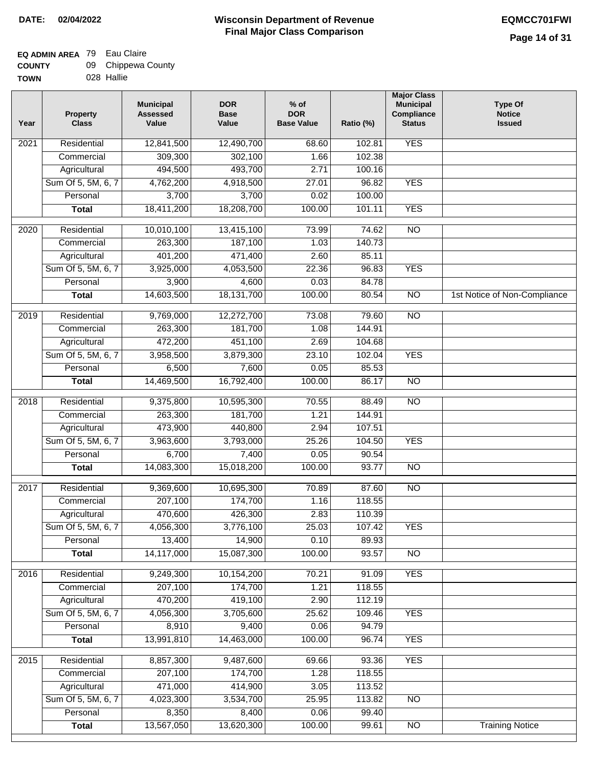### **Wisconsin Department of Revenue Final Major Class Comparison DATE: 02/04/2022 EQMCC701FWI**

٦

#### **EQ ADMIN AREA** 79 Eau Claire **COUNTY** 09 Chippewa County

| <b>UUUNII</b> | ັບ | <b>UITPPGWA OUL</b> |
|---------------|----|---------------------|
| <b>TOWN</b>   |    | 028 Hallie          |

| Residential<br>68.60<br>102.81<br>2021<br>309,300<br>102.38<br>Commercial<br>302,100<br>1.66<br>494,500<br>493,700<br>Agricultural<br>2.71<br>100.16<br>Sum Of 5, 5M, 6, 7<br>4,918,500<br>4,762,200<br>27.01<br>96.82<br><b>YES</b><br>3,700<br>3,700<br>100.00<br>Personal<br>0.02<br>18,411,200<br>18,208,700<br><b>YES</b><br>100.00<br>101.11<br><b>Total</b><br>$\overline{NO}$<br>Residential<br>10,010,100<br>13,415,100<br>73.99<br>74.62<br>2020<br>263,300<br>187,100<br>140.73<br>Commercial<br>1.03<br>401,200<br>471,400<br>2.60<br>85.11<br>Agricultural<br><b>YES</b><br>Sum Of 5, 5M, 6, 7<br>3,925,000<br>4,053,500<br>22.36<br>96.83<br>Personal<br>3,900<br>4,600<br>0.03<br>84.78<br>18,131,700<br>100.00<br>$\overline{NO}$<br><b>Total</b><br>14,603,500<br>80.54<br>1st Notice of Non-Compliance<br>Residential<br>9,769,000<br>12,272,700<br>73.08<br>79.60<br><b>NO</b><br>2019<br>263,300<br>181,700<br>Commercial<br>1.08<br>144.91<br>Agricultural<br>472,200<br>451,100<br>2.69<br>104.68<br>Sum Of 5, 5M, 6, 7<br>3,958,500<br>3,879,300<br>23.10<br>102.04<br><b>YES</b><br>Personal<br>6,500<br>7,600<br>0.05<br>85.53<br>14,469,500<br>16,792,400<br>100.00<br>86.17<br><b>NO</b><br><b>Total</b><br>$\overline{NO}$<br>2018<br>Residential<br>9,375,800<br>10,595,300<br>70.55<br>88.49<br>Commercial<br>263,300<br>181,700<br>1.21<br>144.91<br>473,900<br>440,800<br>Agricultural<br>2.94<br>107.51<br>Sum Of 5, 5M, 6, 7<br>3,963,600<br>25.26<br><b>YES</b><br>3,793,000<br>104.50<br>Personal<br>6,700<br>7,400<br>0.05<br>90.54<br><b>Total</b><br>14,083,300<br>15,018,200<br>100.00<br>93.77<br><b>NO</b><br>2017<br>Residential<br>9,369,600<br>10,695,300<br>87.60<br>$\overline{N}$<br>70.89<br>207,100<br>174,700<br>1.16<br>118.55<br>Commercial<br>470,600<br>426,300<br>2.83<br>110.39<br>Agricultural<br>Sum Of 5, 5M, 6, 7<br>4,056,300<br>3,776,100<br>25.03<br><b>YES</b><br>107.42<br>13,400<br>14,900<br>0.10<br>89.93<br>Personal<br>14,117,000<br>15,087,300<br>100.00<br>93.57<br><b>NO</b><br><b>Total</b><br><b>YES</b><br>Residential<br>9,249,300<br>10,154,200<br>70.21<br>91.09<br>2016<br>207,100<br>174,700<br>118.55<br>1.21<br>Commercial<br>470,200<br>419,100<br>Agricultural<br>2.90<br>112.19<br>Sum Of 5, 5M, 6, 7<br>4,056,300<br>3,705,600<br>25.62<br>109.46<br><b>YES</b><br>8,910<br>9,400<br>0.06<br>94.79<br>Personal<br>13,991,810<br>14,463,000<br>100.00<br>96.74<br><b>YES</b><br><b>Total</b><br>Residential<br>8,857,300<br>9,487,600<br><b>YES</b><br>2015<br>69.66<br>93.36<br>Commercial<br>207,100<br>174,700<br>1.28<br>118.55<br>471,000<br>414,900<br>Agricultural<br>3.05<br>113.52<br>Sum Of 5, 5M, 6, 7<br>3,534,700<br>4,023,300<br>25.95<br>113.82<br><b>NO</b><br>Personal<br>8,400<br>8,350<br>0.06<br>99.40<br>13,567,050<br>13,620,300<br>100.00<br><b>Training Notice</b><br><b>Total</b><br>99.61<br>N <sub>O</sub> | Year | <b>Property</b><br><b>Class</b> | <b>Municipal</b><br><b>Assessed</b><br>Value | <b>DOR</b><br><b>Base</b><br>Value | $%$ of<br><b>DOR</b><br><b>Base Value</b> | Ratio (%) | <b>Major Class</b><br><b>Municipal</b><br>Compliance<br><b>Status</b> | <b>Type Of</b><br><b>Notice</b><br><b>Issued</b> |
|------------------------------------------------------------------------------------------------------------------------------------------------------------------------------------------------------------------------------------------------------------------------------------------------------------------------------------------------------------------------------------------------------------------------------------------------------------------------------------------------------------------------------------------------------------------------------------------------------------------------------------------------------------------------------------------------------------------------------------------------------------------------------------------------------------------------------------------------------------------------------------------------------------------------------------------------------------------------------------------------------------------------------------------------------------------------------------------------------------------------------------------------------------------------------------------------------------------------------------------------------------------------------------------------------------------------------------------------------------------------------------------------------------------------------------------------------------------------------------------------------------------------------------------------------------------------------------------------------------------------------------------------------------------------------------------------------------------------------------------------------------------------------------------------------------------------------------------------------------------------------------------------------------------------------------------------------------------------------------------------------------------------------------------------------------------------------------------------------------------------------------------------------------------------------------------------------------------------------------------------------------------------------------------------------------------------------------------------------------------------------------------------------------------------------------------------------------------------------------------------------------------------------------------------------------------------------------------------------------------------------------------------------------------------------------------------------------------------------------------------------------------------------------------------------------------------------------------------------------------------------------------------------------------------------|------|---------------------------------|----------------------------------------------|------------------------------------|-------------------------------------------|-----------|-----------------------------------------------------------------------|--------------------------------------------------|
|                                                                                                                                                                                                                                                                                                                                                                                                                                                                                                                                                                                                                                                                                                                                                                                                                                                                                                                                                                                                                                                                                                                                                                                                                                                                                                                                                                                                                                                                                                                                                                                                                                                                                                                                                                                                                                                                                                                                                                                                                                                                                                                                                                                                                                                                                                                                                                                                                                                                                                                                                                                                                                                                                                                                                                                                                                                                                                                              |      |                                 | 12,841,500                                   | 12,490,700                         |                                           |           | <b>YES</b>                                                            |                                                  |
|                                                                                                                                                                                                                                                                                                                                                                                                                                                                                                                                                                                                                                                                                                                                                                                                                                                                                                                                                                                                                                                                                                                                                                                                                                                                                                                                                                                                                                                                                                                                                                                                                                                                                                                                                                                                                                                                                                                                                                                                                                                                                                                                                                                                                                                                                                                                                                                                                                                                                                                                                                                                                                                                                                                                                                                                                                                                                                                              |      |                                 |                                              |                                    |                                           |           |                                                                       |                                                  |
|                                                                                                                                                                                                                                                                                                                                                                                                                                                                                                                                                                                                                                                                                                                                                                                                                                                                                                                                                                                                                                                                                                                                                                                                                                                                                                                                                                                                                                                                                                                                                                                                                                                                                                                                                                                                                                                                                                                                                                                                                                                                                                                                                                                                                                                                                                                                                                                                                                                                                                                                                                                                                                                                                                                                                                                                                                                                                                                              |      |                                 |                                              |                                    |                                           |           |                                                                       |                                                  |
|                                                                                                                                                                                                                                                                                                                                                                                                                                                                                                                                                                                                                                                                                                                                                                                                                                                                                                                                                                                                                                                                                                                                                                                                                                                                                                                                                                                                                                                                                                                                                                                                                                                                                                                                                                                                                                                                                                                                                                                                                                                                                                                                                                                                                                                                                                                                                                                                                                                                                                                                                                                                                                                                                                                                                                                                                                                                                                                              |      |                                 |                                              |                                    |                                           |           |                                                                       |                                                  |
|                                                                                                                                                                                                                                                                                                                                                                                                                                                                                                                                                                                                                                                                                                                                                                                                                                                                                                                                                                                                                                                                                                                                                                                                                                                                                                                                                                                                                                                                                                                                                                                                                                                                                                                                                                                                                                                                                                                                                                                                                                                                                                                                                                                                                                                                                                                                                                                                                                                                                                                                                                                                                                                                                                                                                                                                                                                                                                                              |      |                                 |                                              |                                    |                                           |           |                                                                       |                                                  |
|                                                                                                                                                                                                                                                                                                                                                                                                                                                                                                                                                                                                                                                                                                                                                                                                                                                                                                                                                                                                                                                                                                                                                                                                                                                                                                                                                                                                                                                                                                                                                                                                                                                                                                                                                                                                                                                                                                                                                                                                                                                                                                                                                                                                                                                                                                                                                                                                                                                                                                                                                                                                                                                                                                                                                                                                                                                                                                                              |      |                                 |                                              |                                    |                                           |           |                                                                       |                                                  |
|                                                                                                                                                                                                                                                                                                                                                                                                                                                                                                                                                                                                                                                                                                                                                                                                                                                                                                                                                                                                                                                                                                                                                                                                                                                                                                                                                                                                                                                                                                                                                                                                                                                                                                                                                                                                                                                                                                                                                                                                                                                                                                                                                                                                                                                                                                                                                                                                                                                                                                                                                                                                                                                                                                                                                                                                                                                                                                                              |      |                                 |                                              |                                    |                                           |           |                                                                       |                                                  |
|                                                                                                                                                                                                                                                                                                                                                                                                                                                                                                                                                                                                                                                                                                                                                                                                                                                                                                                                                                                                                                                                                                                                                                                                                                                                                                                                                                                                                                                                                                                                                                                                                                                                                                                                                                                                                                                                                                                                                                                                                                                                                                                                                                                                                                                                                                                                                                                                                                                                                                                                                                                                                                                                                                                                                                                                                                                                                                                              |      |                                 |                                              |                                    |                                           |           |                                                                       |                                                  |
|                                                                                                                                                                                                                                                                                                                                                                                                                                                                                                                                                                                                                                                                                                                                                                                                                                                                                                                                                                                                                                                                                                                                                                                                                                                                                                                                                                                                                                                                                                                                                                                                                                                                                                                                                                                                                                                                                                                                                                                                                                                                                                                                                                                                                                                                                                                                                                                                                                                                                                                                                                                                                                                                                                                                                                                                                                                                                                                              |      |                                 |                                              |                                    |                                           |           |                                                                       |                                                  |
|                                                                                                                                                                                                                                                                                                                                                                                                                                                                                                                                                                                                                                                                                                                                                                                                                                                                                                                                                                                                                                                                                                                                                                                                                                                                                                                                                                                                                                                                                                                                                                                                                                                                                                                                                                                                                                                                                                                                                                                                                                                                                                                                                                                                                                                                                                                                                                                                                                                                                                                                                                                                                                                                                                                                                                                                                                                                                                                              |      |                                 |                                              |                                    |                                           |           |                                                                       |                                                  |
|                                                                                                                                                                                                                                                                                                                                                                                                                                                                                                                                                                                                                                                                                                                                                                                                                                                                                                                                                                                                                                                                                                                                                                                                                                                                                                                                                                                                                                                                                                                                                                                                                                                                                                                                                                                                                                                                                                                                                                                                                                                                                                                                                                                                                                                                                                                                                                                                                                                                                                                                                                                                                                                                                                                                                                                                                                                                                                                              |      |                                 |                                              |                                    |                                           |           |                                                                       |                                                  |
|                                                                                                                                                                                                                                                                                                                                                                                                                                                                                                                                                                                                                                                                                                                                                                                                                                                                                                                                                                                                                                                                                                                                                                                                                                                                                                                                                                                                                                                                                                                                                                                                                                                                                                                                                                                                                                                                                                                                                                                                                                                                                                                                                                                                                                                                                                                                                                                                                                                                                                                                                                                                                                                                                                                                                                                                                                                                                                                              |      |                                 |                                              |                                    |                                           |           |                                                                       |                                                  |
|                                                                                                                                                                                                                                                                                                                                                                                                                                                                                                                                                                                                                                                                                                                                                                                                                                                                                                                                                                                                                                                                                                                                                                                                                                                                                                                                                                                                                                                                                                                                                                                                                                                                                                                                                                                                                                                                                                                                                                                                                                                                                                                                                                                                                                                                                                                                                                                                                                                                                                                                                                                                                                                                                                                                                                                                                                                                                                                              |      |                                 |                                              |                                    |                                           |           |                                                                       |                                                  |
|                                                                                                                                                                                                                                                                                                                                                                                                                                                                                                                                                                                                                                                                                                                                                                                                                                                                                                                                                                                                                                                                                                                                                                                                                                                                                                                                                                                                                                                                                                                                                                                                                                                                                                                                                                                                                                                                                                                                                                                                                                                                                                                                                                                                                                                                                                                                                                                                                                                                                                                                                                                                                                                                                                                                                                                                                                                                                                                              |      |                                 |                                              |                                    |                                           |           |                                                                       |                                                  |
|                                                                                                                                                                                                                                                                                                                                                                                                                                                                                                                                                                                                                                                                                                                                                                                                                                                                                                                                                                                                                                                                                                                                                                                                                                                                                                                                                                                                                                                                                                                                                                                                                                                                                                                                                                                                                                                                                                                                                                                                                                                                                                                                                                                                                                                                                                                                                                                                                                                                                                                                                                                                                                                                                                                                                                                                                                                                                                                              |      |                                 |                                              |                                    |                                           |           |                                                                       |                                                  |
|                                                                                                                                                                                                                                                                                                                                                                                                                                                                                                                                                                                                                                                                                                                                                                                                                                                                                                                                                                                                                                                                                                                                                                                                                                                                                                                                                                                                                                                                                                                                                                                                                                                                                                                                                                                                                                                                                                                                                                                                                                                                                                                                                                                                                                                                                                                                                                                                                                                                                                                                                                                                                                                                                                                                                                                                                                                                                                                              |      |                                 |                                              |                                    |                                           |           |                                                                       |                                                  |
|                                                                                                                                                                                                                                                                                                                                                                                                                                                                                                                                                                                                                                                                                                                                                                                                                                                                                                                                                                                                                                                                                                                                                                                                                                                                                                                                                                                                                                                                                                                                                                                                                                                                                                                                                                                                                                                                                                                                                                                                                                                                                                                                                                                                                                                                                                                                                                                                                                                                                                                                                                                                                                                                                                                                                                                                                                                                                                                              |      |                                 |                                              |                                    |                                           |           |                                                                       |                                                  |
|                                                                                                                                                                                                                                                                                                                                                                                                                                                                                                                                                                                                                                                                                                                                                                                                                                                                                                                                                                                                                                                                                                                                                                                                                                                                                                                                                                                                                                                                                                                                                                                                                                                                                                                                                                                                                                                                                                                                                                                                                                                                                                                                                                                                                                                                                                                                                                                                                                                                                                                                                                                                                                                                                                                                                                                                                                                                                                                              |      |                                 |                                              |                                    |                                           |           |                                                                       |                                                  |
|                                                                                                                                                                                                                                                                                                                                                                                                                                                                                                                                                                                                                                                                                                                                                                                                                                                                                                                                                                                                                                                                                                                                                                                                                                                                                                                                                                                                                                                                                                                                                                                                                                                                                                                                                                                                                                                                                                                                                                                                                                                                                                                                                                                                                                                                                                                                                                                                                                                                                                                                                                                                                                                                                                                                                                                                                                                                                                                              |      |                                 |                                              |                                    |                                           |           |                                                                       |                                                  |
|                                                                                                                                                                                                                                                                                                                                                                                                                                                                                                                                                                                                                                                                                                                                                                                                                                                                                                                                                                                                                                                                                                                                                                                                                                                                                                                                                                                                                                                                                                                                                                                                                                                                                                                                                                                                                                                                                                                                                                                                                                                                                                                                                                                                                                                                                                                                                                                                                                                                                                                                                                                                                                                                                                                                                                                                                                                                                                                              |      |                                 |                                              |                                    |                                           |           |                                                                       |                                                  |
|                                                                                                                                                                                                                                                                                                                                                                                                                                                                                                                                                                                                                                                                                                                                                                                                                                                                                                                                                                                                                                                                                                                                                                                                                                                                                                                                                                                                                                                                                                                                                                                                                                                                                                                                                                                                                                                                                                                                                                                                                                                                                                                                                                                                                                                                                                                                                                                                                                                                                                                                                                                                                                                                                                                                                                                                                                                                                                                              |      |                                 |                                              |                                    |                                           |           |                                                                       |                                                  |
|                                                                                                                                                                                                                                                                                                                                                                                                                                                                                                                                                                                                                                                                                                                                                                                                                                                                                                                                                                                                                                                                                                                                                                                                                                                                                                                                                                                                                                                                                                                                                                                                                                                                                                                                                                                                                                                                                                                                                                                                                                                                                                                                                                                                                                                                                                                                                                                                                                                                                                                                                                                                                                                                                                                                                                                                                                                                                                                              |      |                                 |                                              |                                    |                                           |           |                                                                       |                                                  |
|                                                                                                                                                                                                                                                                                                                                                                                                                                                                                                                                                                                                                                                                                                                                                                                                                                                                                                                                                                                                                                                                                                                                                                                                                                                                                                                                                                                                                                                                                                                                                                                                                                                                                                                                                                                                                                                                                                                                                                                                                                                                                                                                                                                                                                                                                                                                                                                                                                                                                                                                                                                                                                                                                                                                                                                                                                                                                                                              |      |                                 |                                              |                                    |                                           |           |                                                                       |                                                  |
|                                                                                                                                                                                                                                                                                                                                                                                                                                                                                                                                                                                                                                                                                                                                                                                                                                                                                                                                                                                                                                                                                                                                                                                                                                                                                                                                                                                                                                                                                                                                                                                                                                                                                                                                                                                                                                                                                                                                                                                                                                                                                                                                                                                                                                                                                                                                                                                                                                                                                                                                                                                                                                                                                                                                                                                                                                                                                                                              |      |                                 |                                              |                                    |                                           |           |                                                                       |                                                  |
|                                                                                                                                                                                                                                                                                                                                                                                                                                                                                                                                                                                                                                                                                                                                                                                                                                                                                                                                                                                                                                                                                                                                                                                                                                                                                                                                                                                                                                                                                                                                                                                                                                                                                                                                                                                                                                                                                                                                                                                                                                                                                                                                                                                                                                                                                                                                                                                                                                                                                                                                                                                                                                                                                                                                                                                                                                                                                                                              |      |                                 |                                              |                                    |                                           |           |                                                                       |                                                  |
|                                                                                                                                                                                                                                                                                                                                                                                                                                                                                                                                                                                                                                                                                                                                                                                                                                                                                                                                                                                                                                                                                                                                                                                                                                                                                                                                                                                                                                                                                                                                                                                                                                                                                                                                                                                                                                                                                                                                                                                                                                                                                                                                                                                                                                                                                                                                                                                                                                                                                                                                                                                                                                                                                                                                                                                                                                                                                                                              |      |                                 |                                              |                                    |                                           |           |                                                                       |                                                  |
|                                                                                                                                                                                                                                                                                                                                                                                                                                                                                                                                                                                                                                                                                                                                                                                                                                                                                                                                                                                                                                                                                                                                                                                                                                                                                                                                                                                                                                                                                                                                                                                                                                                                                                                                                                                                                                                                                                                                                                                                                                                                                                                                                                                                                                                                                                                                                                                                                                                                                                                                                                                                                                                                                                                                                                                                                                                                                                                              |      |                                 |                                              |                                    |                                           |           |                                                                       |                                                  |
|                                                                                                                                                                                                                                                                                                                                                                                                                                                                                                                                                                                                                                                                                                                                                                                                                                                                                                                                                                                                                                                                                                                                                                                                                                                                                                                                                                                                                                                                                                                                                                                                                                                                                                                                                                                                                                                                                                                                                                                                                                                                                                                                                                                                                                                                                                                                                                                                                                                                                                                                                                                                                                                                                                                                                                                                                                                                                                                              |      |                                 |                                              |                                    |                                           |           |                                                                       |                                                  |
|                                                                                                                                                                                                                                                                                                                                                                                                                                                                                                                                                                                                                                                                                                                                                                                                                                                                                                                                                                                                                                                                                                                                                                                                                                                                                                                                                                                                                                                                                                                                                                                                                                                                                                                                                                                                                                                                                                                                                                                                                                                                                                                                                                                                                                                                                                                                                                                                                                                                                                                                                                                                                                                                                                                                                                                                                                                                                                                              |      |                                 |                                              |                                    |                                           |           |                                                                       |                                                  |
|                                                                                                                                                                                                                                                                                                                                                                                                                                                                                                                                                                                                                                                                                                                                                                                                                                                                                                                                                                                                                                                                                                                                                                                                                                                                                                                                                                                                                                                                                                                                                                                                                                                                                                                                                                                                                                                                                                                                                                                                                                                                                                                                                                                                                                                                                                                                                                                                                                                                                                                                                                                                                                                                                                                                                                                                                                                                                                                              |      |                                 |                                              |                                    |                                           |           |                                                                       |                                                  |
|                                                                                                                                                                                                                                                                                                                                                                                                                                                                                                                                                                                                                                                                                                                                                                                                                                                                                                                                                                                                                                                                                                                                                                                                                                                                                                                                                                                                                                                                                                                                                                                                                                                                                                                                                                                                                                                                                                                                                                                                                                                                                                                                                                                                                                                                                                                                                                                                                                                                                                                                                                                                                                                                                                                                                                                                                                                                                                                              |      |                                 |                                              |                                    |                                           |           |                                                                       |                                                  |
|                                                                                                                                                                                                                                                                                                                                                                                                                                                                                                                                                                                                                                                                                                                                                                                                                                                                                                                                                                                                                                                                                                                                                                                                                                                                                                                                                                                                                                                                                                                                                                                                                                                                                                                                                                                                                                                                                                                                                                                                                                                                                                                                                                                                                                                                                                                                                                                                                                                                                                                                                                                                                                                                                                                                                                                                                                                                                                                              |      |                                 |                                              |                                    |                                           |           |                                                                       |                                                  |
|                                                                                                                                                                                                                                                                                                                                                                                                                                                                                                                                                                                                                                                                                                                                                                                                                                                                                                                                                                                                                                                                                                                                                                                                                                                                                                                                                                                                                                                                                                                                                                                                                                                                                                                                                                                                                                                                                                                                                                                                                                                                                                                                                                                                                                                                                                                                                                                                                                                                                                                                                                                                                                                                                                                                                                                                                                                                                                                              |      |                                 |                                              |                                    |                                           |           |                                                                       |                                                  |
|                                                                                                                                                                                                                                                                                                                                                                                                                                                                                                                                                                                                                                                                                                                                                                                                                                                                                                                                                                                                                                                                                                                                                                                                                                                                                                                                                                                                                                                                                                                                                                                                                                                                                                                                                                                                                                                                                                                                                                                                                                                                                                                                                                                                                                                                                                                                                                                                                                                                                                                                                                                                                                                                                                                                                                                                                                                                                                                              |      |                                 |                                              |                                    |                                           |           |                                                                       |                                                  |
|                                                                                                                                                                                                                                                                                                                                                                                                                                                                                                                                                                                                                                                                                                                                                                                                                                                                                                                                                                                                                                                                                                                                                                                                                                                                                                                                                                                                                                                                                                                                                                                                                                                                                                                                                                                                                                                                                                                                                                                                                                                                                                                                                                                                                                                                                                                                                                                                                                                                                                                                                                                                                                                                                                                                                                                                                                                                                                                              |      |                                 |                                              |                                    |                                           |           |                                                                       |                                                  |
|                                                                                                                                                                                                                                                                                                                                                                                                                                                                                                                                                                                                                                                                                                                                                                                                                                                                                                                                                                                                                                                                                                                                                                                                                                                                                                                                                                                                                                                                                                                                                                                                                                                                                                                                                                                                                                                                                                                                                                                                                                                                                                                                                                                                                                                                                                                                                                                                                                                                                                                                                                                                                                                                                                                                                                                                                                                                                                                              |      |                                 |                                              |                                    |                                           |           |                                                                       |                                                  |
|                                                                                                                                                                                                                                                                                                                                                                                                                                                                                                                                                                                                                                                                                                                                                                                                                                                                                                                                                                                                                                                                                                                                                                                                                                                                                                                                                                                                                                                                                                                                                                                                                                                                                                                                                                                                                                                                                                                                                                                                                                                                                                                                                                                                                                                                                                                                                                                                                                                                                                                                                                                                                                                                                                                                                                                                                                                                                                                              |      |                                 |                                              |                                    |                                           |           |                                                                       |                                                  |
|                                                                                                                                                                                                                                                                                                                                                                                                                                                                                                                                                                                                                                                                                                                                                                                                                                                                                                                                                                                                                                                                                                                                                                                                                                                                                                                                                                                                                                                                                                                                                                                                                                                                                                                                                                                                                                                                                                                                                                                                                                                                                                                                                                                                                                                                                                                                                                                                                                                                                                                                                                                                                                                                                                                                                                                                                                                                                                                              |      |                                 |                                              |                                    |                                           |           |                                                                       |                                                  |
|                                                                                                                                                                                                                                                                                                                                                                                                                                                                                                                                                                                                                                                                                                                                                                                                                                                                                                                                                                                                                                                                                                                                                                                                                                                                                                                                                                                                                                                                                                                                                                                                                                                                                                                                                                                                                                                                                                                                                                                                                                                                                                                                                                                                                                                                                                                                                                                                                                                                                                                                                                                                                                                                                                                                                                                                                                                                                                                              |      |                                 |                                              |                                    |                                           |           |                                                                       |                                                  |
|                                                                                                                                                                                                                                                                                                                                                                                                                                                                                                                                                                                                                                                                                                                                                                                                                                                                                                                                                                                                                                                                                                                                                                                                                                                                                                                                                                                                                                                                                                                                                                                                                                                                                                                                                                                                                                                                                                                                                                                                                                                                                                                                                                                                                                                                                                                                                                                                                                                                                                                                                                                                                                                                                                                                                                                                                                                                                                                              |      |                                 |                                              |                                    |                                           |           |                                                                       |                                                  |
|                                                                                                                                                                                                                                                                                                                                                                                                                                                                                                                                                                                                                                                                                                                                                                                                                                                                                                                                                                                                                                                                                                                                                                                                                                                                                                                                                                                                                                                                                                                                                                                                                                                                                                                                                                                                                                                                                                                                                                                                                                                                                                                                                                                                                                                                                                                                                                                                                                                                                                                                                                                                                                                                                                                                                                                                                                                                                                                              |      |                                 |                                              |                                    |                                           |           |                                                                       |                                                  |
|                                                                                                                                                                                                                                                                                                                                                                                                                                                                                                                                                                                                                                                                                                                                                                                                                                                                                                                                                                                                                                                                                                                                                                                                                                                                                                                                                                                                                                                                                                                                                                                                                                                                                                                                                                                                                                                                                                                                                                                                                                                                                                                                                                                                                                                                                                                                                                                                                                                                                                                                                                                                                                                                                                                                                                                                                                                                                                                              |      |                                 |                                              |                                    |                                           |           |                                                                       |                                                  |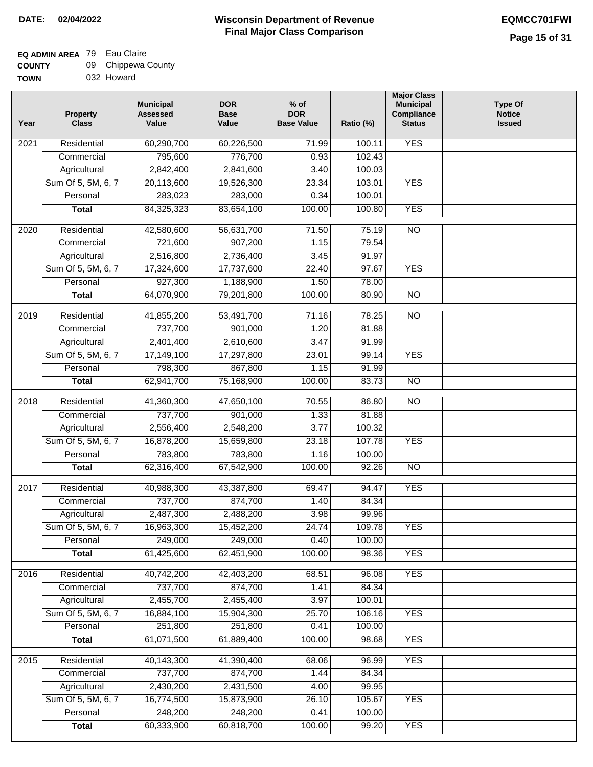### **EQ ADMIN AREA** 79 Eau Claire  $\sim$

| <b>COUNTY</b> | 09 Chippewa County |
|---------------|--------------------|
| <b>TOWN</b>   | 032 Howard         |

| Year              | <b>Property</b><br><b>Class</b> | <b>Municipal</b><br><b>Assessed</b><br>Value | <b>DOR</b><br><b>Base</b><br>Value | $%$ of<br><b>DOR</b><br><b>Base Value</b> | Ratio (%) | <b>Major Class</b><br><b>Municipal</b><br>Compliance<br><b>Status</b> | <b>Type Of</b><br><b>Notice</b><br><b>Issued</b> |
|-------------------|---------------------------------|----------------------------------------------|------------------------------------|-------------------------------------------|-----------|-----------------------------------------------------------------------|--------------------------------------------------|
| 2021              | Residential                     | 60,290,700                                   | 60,226,500                         | $\frac{1}{71.99}$                         | 100.11    | <b>YES</b>                                                            |                                                  |
|                   | Commercial                      | 795,600                                      | 776,700                            | 0.93                                      | 102.43    |                                                                       |                                                  |
|                   | Agricultural                    | 2,842,400                                    | 2,841,600                          | 3.40                                      | 100.03    |                                                                       |                                                  |
|                   | Sum Of 5, 5M, 6, 7              | 20,113,600                                   | 19,526,300                         | 23.34                                     | 103.01    | <b>YES</b>                                                            |                                                  |
|                   | Personal                        | 283,023                                      | 283,000                            | 0.34                                      | 100.01    |                                                                       |                                                  |
|                   | <b>Total</b>                    | 84,325,323                                   | 83,654,100                         | 100.00                                    | 100.80    | <b>YES</b>                                                            |                                                  |
|                   |                                 |                                              |                                    |                                           |           |                                                                       |                                                  |
| 2020              | Residential                     | 42,580,600                                   | 56,631,700                         | 71.50                                     | 75.19     | $\overline{NO}$                                                       |                                                  |
|                   | Commercial                      | 721,600                                      | 907,200                            | 1.15                                      | 79.54     |                                                                       |                                                  |
|                   | Agricultural                    | 2,516,800                                    | 2,736,400                          | 3.45                                      | 91.97     |                                                                       |                                                  |
|                   | Sum Of 5, 5M, 6, 7              | 17,324,600                                   | 17,737,600                         | 22.40                                     | 97.67     | <b>YES</b>                                                            |                                                  |
|                   | Personal                        | 927,300                                      | 1,188,900                          | 1.50                                      | 78.00     |                                                                       |                                                  |
|                   | <b>Total</b>                    | 64,070,900                                   | 79,201,800                         | 100.00                                    | 80.90     | $\overline{NO}$                                                       |                                                  |
| 2019              | Residential                     | 41,855,200                                   | 53,491,700                         | 71.16                                     | 78.25     | NO                                                                    |                                                  |
|                   | Commercial                      | 737,700                                      | 901,000                            | 1.20                                      | 81.88     |                                                                       |                                                  |
|                   | Agricultural                    | 2,401,400                                    | 2,610,600                          | 3.47                                      | 91.99     |                                                                       |                                                  |
|                   | Sum Of 5, 5M, 6, 7              | 17,149,100                                   | 17,297,800                         | 23.01                                     | 99.14     | <b>YES</b>                                                            |                                                  |
|                   | Personal                        | 798,300                                      | 867,800                            | 1.15                                      | 91.99     |                                                                       |                                                  |
|                   | <b>Total</b>                    | 62,941,700                                   | 75,168,900                         | 100.00                                    | 83.73     | N <sub>O</sub>                                                        |                                                  |
| 2018              | Residential                     | 41,360,300                                   | 47,650,100                         | 70.55                                     | 86.80     | NO                                                                    |                                                  |
|                   | Commercial                      | 737,700                                      | 901,000                            | 1.33                                      | 81.88     |                                                                       |                                                  |
|                   | Agricultural                    | 2,556,400                                    | 2,548,200                          | 3.77                                      | 100.32    |                                                                       |                                                  |
|                   | Sum Of 5, 5M, 6, 7              | 16,878,200                                   | 15,659,800                         | 23.18                                     | 107.78    | <b>YES</b>                                                            |                                                  |
|                   | Personal                        | 783,800                                      | 783,800                            | 1.16                                      | 100.00    |                                                                       |                                                  |
|                   | <b>Total</b>                    | 62,316,400                                   | 67,542,900                         | 100.00                                    | 92.26     | NO                                                                    |                                                  |
| 2017              | Residential                     | 40,988,300                                   | 43,387,800                         | 69.47                                     | 94.47     | <b>YES</b>                                                            |                                                  |
|                   | Commercial                      | 737,700                                      | 874,700                            | 1.40                                      | 84.34     |                                                                       |                                                  |
|                   | Agricultural                    | 2,487,300                                    | 2,488,200                          | 3.98                                      | 99.96     |                                                                       |                                                  |
|                   | Sum Of 5, 5M, 6, 7              | 16,963,300                                   | 15,452,200                         | 24.74                                     | 109.78    | <b>YES</b>                                                            |                                                  |
|                   | Personal                        | 249,000                                      | 249,000                            | 0.40                                      | 100.00    |                                                                       |                                                  |
|                   | <b>Total</b>                    | 61,425,600                                   | 62,451,900                         | 100.00                                    | 98.36     | <b>YES</b>                                                            |                                                  |
| 2016              | Residential                     | 40,742,200                                   | 42,403,200                         | 68.51                                     | 96.08     | <b>YES</b>                                                            |                                                  |
|                   | Commercial                      | 737,700                                      | 874,700                            | 1.41                                      | 84.34     |                                                                       |                                                  |
|                   | Agricultural                    | 2,455,700                                    | 2,455,400                          | 3.97                                      | 100.01    |                                                                       |                                                  |
|                   | Sum Of 5, 5M, 6, 7              | 16,884,100                                   | 15,904,300                         | 25.70                                     | 106.16    | <b>YES</b>                                                            |                                                  |
|                   | Personal                        | 251,800                                      | 251,800                            | 0.41                                      | 100.00    |                                                                       |                                                  |
|                   | <b>Total</b>                    | 61,071,500                                   | 61,889,400                         | 100.00                                    | 98.68     | <b>YES</b>                                                            |                                                  |
| $\overline{2015}$ | Residential                     | 40,143,300                                   | 41,390,400                         | 68.06                                     | 96.99     | <b>YES</b>                                                            |                                                  |
|                   | Commercial                      | 737,700                                      | 874,700                            | 1.44                                      | 84.34     |                                                                       |                                                  |
|                   | Agricultural                    | 2,430,200                                    | 2,431,500                          | 4.00                                      | 99.95     |                                                                       |                                                  |
|                   | Sum Of 5, 5M, 6, 7              | 16,774,500                                   | 15,873,900                         | 26.10                                     | 105.67    | <b>YES</b>                                                            |                                                  |
|                   | Personal                        | 248,200                                      | 248,200                            | 0.41                                      | 100.00    |                                                                       |                                                  |
|                   | <b>Total</b>                    | 60,333,900                                   | 60,818,700                         | 100.00                                    | 99.20     | <b>YES</b>                                                            |                                                  |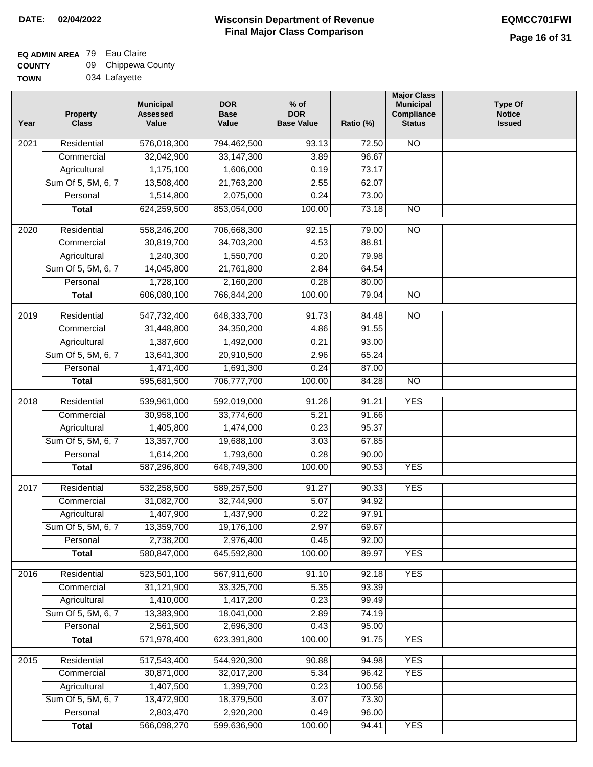### **EQ ADMIN AREA** 79 Eau Claire  $\overline{\phantom{0}}$

| <b>COUNTY</b> | 09 Chippewa County |
|---------------|--------------------|
| <b>TOWN</b>   | 034 Lafayette      |

| Year              | <b>Property</b><br><b>Class</b>    | <b>Municipal</b><br><b>Assessed</b><br>Value | <b>DOR</b><br><b>Base</b><br>Value | $%$ of<br><b>DOR</b><br><b>Base Value</b> | Ratio (%) | <b>Major Class</b><br><b>Municipal</b><br>Compliance<br><b>Status</b> | Type Of<br><b>Notice</b><br><b>Issued</b> |
|-------------------|------------------------------------|----------------------------------------------|------------------------------------|-------------------------------------------|-----------|-----------------------------------------------------------------------|-------------------------------------------|
| 2021              | Residential                        | 576,018,300                                  | 794,462,500                        | 93.13                                     | 72.50     | <b>NO</b>                                                             |                                           |
|                   | Commercial                         | 32,042,900                                   | 33,147,300                         | 3.89                                      | 96.67     |                                                                       |                                           |
|                   | Agricultural                       | 1,175,100                                    | 1,606,000                          | 0.19                                      | 73.17     |                                                                       |                                           |
|                   | Sum Of 5, 5M, 6, 7                 | 13,508,400                                   | 21,763,200                         | 2.55                                      | 62.07     |                                                                       |                                           |
|                   | Personal                           | 1,514,800                                    | 2,075,000                          | 0.24                                      | 73.00     |                                                                       |                                           |
|                   | <b>Total</b>                       | 624,259,500                                  | 853,054,000                        | 100.00                                    | 73.18     | $\overline{NO}$                                                       |                                           |
| $\overline{2020}$ | Residential                        |                                              | 706,668,300                        | 92.15                                     | 79.00     | $\overline{NO}$                                                       |                                           |
|                   | Commercial                         | 558,246,200<br>30,819,700                    | 34,703,200                         | 4.53                                      | 88.81     |                                                                       |                                           |
|                   |                                    | 1,240,300                                    | 1,550,700                          | 0.20                                      | 79.98     |                                                                       |                                           |
|                   | Agricultural<br>Sum Of 5, 5M, 6, 7 | 14,045,800                                   | 21,761,800                         | 2.84                                      | 64.54     |                                                                       |                                           |
|                   | Personal                           | 1,728,100                                    | 2,160,200                          | 0.28                                      | 80.00     |                                                                       |                                           |
|                   | <b>Total</b>                       | 606,080,100                                  | 766,844,200                        | 100.00                                    | 79.04     | $\overline{NO}$                                                       |                                           |
|                   |                                    |                                              |                                    |                                           |           |                                                                       |                                           |
| 2019              | Residential                        | 547,732,400                                  | 648,333,700                        | 91.73                                     | 84.48     | $\overline{NO}$                                                       |                                           |
|                   | Commercial                         | 31,448,800                                   | 34,350,200                         | 4.86                                      | 91.55     |                                                                       |                                           |
|                   | Agricultural                       | 1,387,600                                    | 1,492,000                          | 0.21                                      | 93.00     |                                                                       |                                           |
|                   | Sum Of 5, 5M, 6, 7                 | 13,641,300                                   | 20,910,500                         | 2.96                                      | 65.24     |                                                                       |                                           |
|                   | Personal                           | 1,471,400                                    | 1,691,300                          | 0.24                                      | 87.00     |                                                                       |                                           |
|                   | <b>Total</b>                       | 595,681,500                                  | 706,777,700                        | 100.00                                    | 84.28     | $\overline{NO}$                                                       |                                           |
| 2018              | Residential                        | 539,961,000                                  | 592,019,000                        | 91.26                                     | 91.21     | <b>YES</b>                                                            |                                           |
|                   | Commercial                         | 30,958,100                                   | 33,774,600                         | 5.21                                      | 91.66     |                                                                       |                                           |
|                   | Agricultural                       | 1,405,800                                    | 1,474,000                          | 0.23                                      | 95.37     |                                                                       |                                           |
|                   | Sum Of 5, 5M, 6, 7                 | 13,357,700                                   | 19,688,100                         | 3.03                                      | 67.85     |                                                                       |                                           |
|                   | Personal                           | 1,614,200                                    | 1,793,600                          | 0.28                                      | 90.00     |                                                                       |                                           |
|                   | <b>Total</b>                       | 587,296,800                                  | 648,749,300                        | 100.00                                    | 90.53     | <b>YES</b>                                                            |                                           |
| $\overline{2017}$ | Residential                        | 532,258,500                                  | 589,257,500                        | 91.27                                     | 90.33     | <b>YES</b>                                                            |                                           |
|                   | Commercial                         | 31,082,700                                   | 32,744,900                         | 5.07                                      | 94.92     |                                                                       |                                           |
|                   | Agricultural                       | 1,407,900                                    | 1,437,900                          | 0.22                                      | 97.91     |                                                                       |                                           |
|                   | Sum Of 5, 5M, 6, 7                 | 13,359,700                                   | 19,176,100                         | 2.97                                      | 69.67     |                                                                       |                                           |
|                   | Personal                           | 2,738,200                                    | 2,976,400                          | 0.46                                      | 92.00     |                                                                       |                                           |
|                   | <b>Total</b>                       | 580,847,000                                  | 645,592,800                        | 100.00                                    | 89.97     | <b>YES</b>                                                            |                                           |
| 2016              | Residential                        | 523,501,100                                  | 567,911,600                        | 91.10                                     | 92.18     | <b>YES</b>                                                            |                                           |
|                   | Commercial                         | 31,121,900                                   | 33,325,700                         | 5.35                                      | 93.39     |                                                                       |                                           |
|                   | Agricultural                       | 1,410,000                                    | 1,417,200                          | 0.23                                      | 99.49     |                                                                       |                                           |
|                   | Sum Of 5, 5M, 6, 7                 | 13,383,900                                   | 18,041,000                         | 2.89                                      | 74.19     |                                                                       |                                           |
|                   | Personal                           | 2,561,500                                    | 2,696,300                          | 0.43                                      | 95.00     |                                                                       |                                           |
|                   | <b>Total</b>                       | 571,978,400                                  | 623,391,800                        | 100.00                                    | 91.75     | <b>YES</b>                                                            |                                           |
|                   |                                    |                                              |                                    |                                           |           |                                                                       |                                           |
| 2015              | Residential                        | 517,543,400                                  | 544,920,300                        | 90.88                                     | 94.98     | <b>YES</b>                                                            |                                           |
|                   | Commercial                         | 30,871,000                                   | 32,017,200                         | 5.34                                      | 96.42     | <b>YES</b>                                                            |                                           |
|                   | Agricultural                       | 1,407,500                                    | 1,399,700                          | 0.23                                      | 100.56    |                                                                       |                                           |
|                   | Sum Of 5, 5M, 6, 7                 | 13,472,900                                   | 18,379,500                         | 3.07                                      | 73.30     |                                                                       |                                           |
|                   | Personal                           | 2,803,470                                    | 2,920,200                          | 0.49                                      | 96.00     |                                                                       |                                           |
|                   | <b>Total</b>                       | 566,098,270                                  | 599,636,900                        | 100.00                                    | 94.41     | <b>YES</b>                                                            |                                           |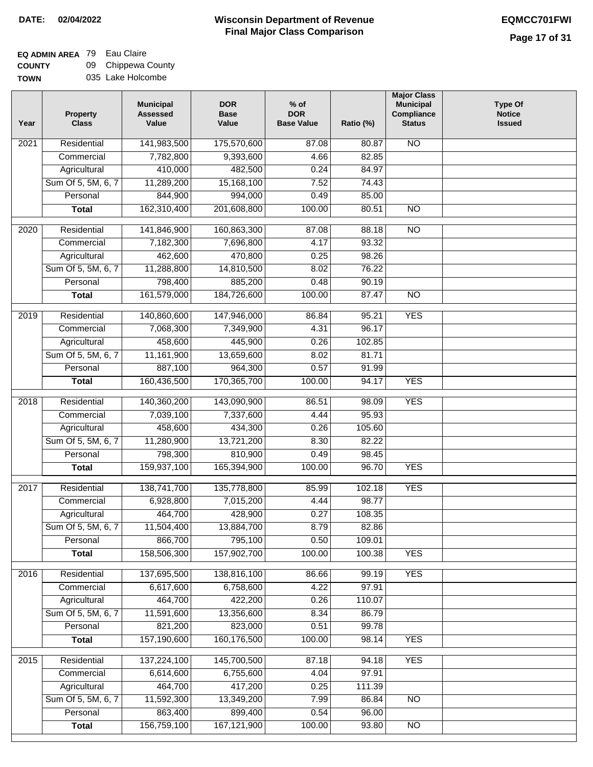# **EQ ADMIN AREA** 79 Eau Claire

**COUNTY TOWN** 09 035 Lake Holcombe Chippewa County

| Year | <b>Property</b><br><b>Class</b> | <b>Municipal</b><br><b>Assessed</b><br>Value | <b>DOR</b><br><b>Base</b><br>Value | $%$ of<br><b>DOR</b><br><b>Base Value</b> | Ratio (%) | <b>Major Class</b><br><b>Municipal</b><br>Compliance<br><b>Status</b> | <b>Type Of</b><br><b>Notice</b><br><b>Issued</b> |
|------|---------------------------------|----------------------------------------------|------------------------------------|-------------------------------------------|-----------|-----------------------------------------------------------------------|--------------------------------------------------|
| 2021 | Residential                     | 141,983,500                                  | 175,570,600                        | 87.08                                     | 80.87     | <b>NO</b>                                                             |                                                  |
|      | Commercial                      | 7,782,800                                    | 9,393,600                          | 4.66                                      | 82.85     |                                                                       |                                                  |
|      | Agricultural                    | 410,000                                      | 482,500                            | 0.24                                      | 84.97     |                                                                       |                                                  |
|      | Sum Of 5, 5M, 6, 7              | 11,289,200                                   | 15,168,100                         | 7.52                                      | 74.43     |                                                                       |                                                  |
|      | Personal                        | 844,900                                      | 994,000                            | 0.49                                      | 85.00     |                                                                       |                                                  |
|      | <b>Total</b>                    | 162,310,400                                  | 201,608,800                        | 100.00                                    | 80.51     | $\overline{NO}$                                                       |                                                  |
| 2020 | Residential                     | 141,846,900                                  | 160,863,300                        | 87.08                                     | 88.18     | $\overline{NO}$                                                       |                                                  |
|      | Commercial                      | 7,182,300                                    | 7,696,800                          | 4.17                                      | 93.32     |                                                                       |                                                  |
|      | Agricultural                    | 462,600                                      | 470,800                            | 0.25                                      | 98.26     |                                                                       |                                                  |
|      | Sum Of 5, 5M, 6, 7              | 11,288,800                                   | 14,810,500                         | 8.02                                      | 76.22     |                                                                       |                                                  |
|      | Personal                        | 798,400                                      | 885,200                            | 0.48                                      | 90.19     |                                                                       |                                                  |
|      | <b>Total</b>                    | 161,579,000                                  | 184,726,600                        | 100.00                                    | 87.47     | $\overline{NO}$                                                       |                                                  |
| 2019 | Residential                     | 140,860,600                                  | 147,946,000                        | 86.84                                     | 95.21     | <b>YES</b>                                                            |                                                  |
|      | Commercial                      | 7,068,300                                    | 7,349,900                          | 4.31                                      | 96.17     |                                                                       |                                                  |
|      | Agricultural                    | 458,600                                      | 445,900                            | 0.26                                      | 102.85    |                                                                       |                                                  |
|      | Sum Of 5, 5M, 6, 7              | 11,161,900                                   | 13,659,600                         | 8.02                                      | 81.71     |                                                                       |                                                  |
|      | Personal                        | 887,100                                      | 964,300                            | 0.57                                      | 91.99     |                                                                       |                                                  |
|      | <b>Total</b>                    | 160,436,500                                  | 170,365,700                        | 100.00                                    | 94.17     | <b>YES</b>                                                            |                                                  |
| 2018 | Residential                     | 140,360,200                                  | 143,090,900                        | 86.51                                     | 98.09     | <b>YES</b>                                                            |                                                  |
|      | Commercial                      | 7,039,100                                    | 7,337,600                          | 4.44                                      | 95.93     |                                                                       |                                                  |
|      | Agricultural                    | 458,600                                      | 434,300                            | 0.26                                      | 105.60    |                                                                       |                                                  |
|      | Sum Of 5, 5M, 6, 7              | 11,280,900                                   | 13,721,200                         | 8.30                                      | 82.22     |                                                                       |                                                  |
|      | Personal                        | 798,300                                      | 810,900                            | 0.49                                      | 98.45     |                                                                       |                                                  |
|      | <b>Total</b>                    | 159,937,100                                  | 165,394,900                        | 100.00                                    | 96.70     | <b>YES</b>                                                            |                                                  |
| 2017 | Residential                     | 138,741,700                                  | 135,778,800                        | 85.99                                     | 102.18    | <b>YES</b>                                                            |                                                  |
|      | Commercial                      | 6,928,800                                    | 7,015,200                          | 4.44                                      | 98.77     |                                                                       |                                                  |
|      | Agricultural                    | 464,700                                      | 428,900                            | 0.27                                      | 108.35    |                                                                       |                                                  |
|      | Sum Of 5, 5M, 6, 7              | 11,504,400                                   | 13,884,700                         | 8.79                                      | 82.86     |                                                                       |                                                  |
|      | Personal                        | 866,700                                      | 795,100                            | 0.50                                      | 109.01    |                                                                       |                                                  |
|      | <b>Total</b>                    | 158,506,300                                  | 157,902,700                        | 100.00                                    | 100.38    | <b>YES</b>                                                            |                                                  |
| 2016 | Residential                     | 137,695,500                                  | 138,816,100                        | 86.66                                     | 99.19     | <b>YES</b>                                                            |                                                  |
|      | Commercial                      | 6,617,600                                    | 6,758,600                          | 4.22                                      | 97.91     |                                                                       |                                                  |
|      | Agricultural                    | 464,700                                      | 422,200                            | 0.26                                      | 110.07    |                                                                       |                                                  |
|      | Sum Of 5, 5M, 6, 7              | 11,591,600                                   | 13,356,600                         | 8.34                                      | 86.79     |                                                                       |                                                  |
|      | Personal                        | 821,200                                      | 823,000                            | 0.51                                      | 99.78     |                                                                       |                                                  |
|      | <b>Total</b>                    | 157,190,600                                  | 160,176,500                        | 100.00                                    | 98.14     | <b>YES</b>                                                            |                                                  |
| 2015 | Residential                     | 137,224,100                                  | 145,700,500                        | 87.18                                     | 94.18     | <b>YES</b>                                                            |                                                  |
|      | Commercial                      | 6,614,600                                    | 6,755,600                          | 4.04                                      | 97.91     |                                                                       |                                                  |
|      | Agricultural                    | 464,700                                      | 417,200                            | 0.25                                      | 111.39    |                                                                       |                                                  |
|      | Sum Of 5, 5M, 6, 7              | 11,592,300                                   | 13,349,200                         | 7.99                                      | 86.84     | <b>NO</b>                                                             |                                                  |
|      | Personal                        | 863,400                                      | 899,400                            | 0.54                                      | 96.00     |                                                                       |                                                  |
|      | <b>Total</b>                    | 156,759,100                                  | 167,121,900                        | 100.00                                    | 93.80     | NO                                                                    |                                                  |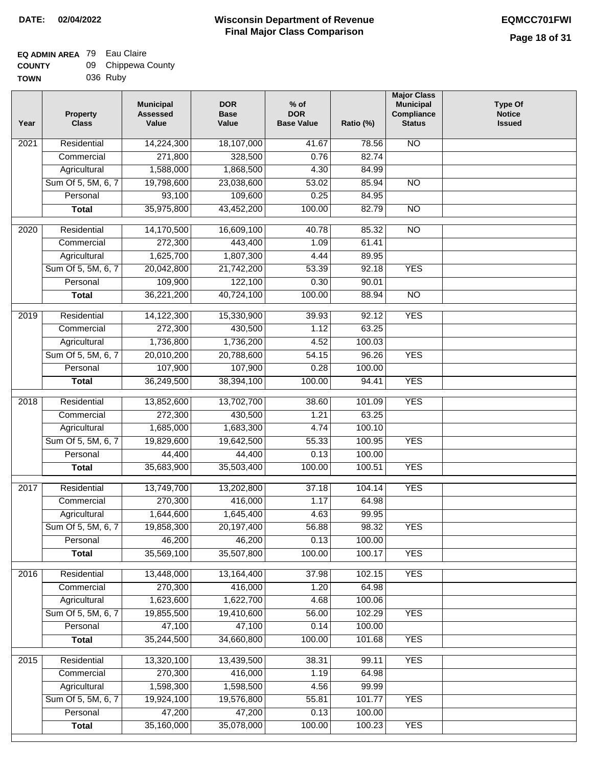### **EQ ADMIN AREA** 79 Eau Claire **COUNTY** 09 Chippewa County

| <b>TOWN</b> | 036 Ruby |
|-------------|----------|
|             |          |

| Residential<br><b>NO</b><br>$\overline{202}1$<br>14,224,300<br>18,107,000<br>41.67<br>78.56<br>271,800<br>328,500<br>0.76<br>82.74<br>Commercial<br>1,588,000<br>Agricultural<br>1,868,500<br>4.30<br>84.99<br>Sum Of 5, 5M, 6, 7<br>19,798,600<br>23,038,600<br>53.02<br>85.94<br>$\overline{NO}$<br>93,100<br>109,600<br>0.25<br>Personal<br>84.95<br>35,975,800<br>100.00<br>82.79<br>$\overline{NO}$<br><b>Total</b><br>43,452,200<br>$\overline{2020}$<br>Residential<br>14,170,500<br>16,609,100<br>40.78<br>85.32<br>$\overline{10}$<br>272,300<br>Commercial<br>443,400<br>61.41<br>1.09<br>1,625,700<br>1,807,300<br>4.44<br>89.95<br>Agricultural<br>Sum Of 5, 5M, 6, 7<br>20,042,800<br>21,742,200<br>53.39<br>92.18<br><b>YES</b><br>109,900<br>122,100<br>90.01<br>Personal<br>0.30<br>36,221,200<br>40,724,100<br>100.00<br>$\overline{NO}$<br><b>Total</b><br>88.94<br><b>YES</b><br>2019<br>Residential<br>14,122,300<br>15,330,900<br>39.93<br>92.12<br>272,300<br>63.25<br>Commercial<br>430,500<br>1.12<br>1,736,800<br>1,736,200<br>4.52<br>100.03<br>Agricultural<br><b>YES</b><br>Sum Of 5, 5M, 6, 7<br>20,010,200<br>20,788,600<br>54.15<br>96.26<br>107,900<br>107,900<br>Personal<br>0.28<br>100.00<br>36,249,500<br>100.00<br><b>YES</b><br><b>Total</b><br>38,394,100<br>94.41<br>Residential<br>13,852,600<br>13,702,700<br><b>YES</b><br>2018<br>38.60<br>101.09<br>272,300<br>Commercial<br>430,500<br>1.21<br>63.25<br>1,685,000<br>100.10<br>Agricultural<br>1,683,300<br>4.74<br>Sum Of 5, 5M, 6, 7<br>19,829,600<br>55.33<br>100.95<br><b>YES</b><br>19,642,500<br>Personal<br>44,400<br>44,400<br>0.13<br>100.00<br>35,683,900<br>35,503,400<br>100.00<br>100.51<br><b>YES</b><br><b>Total</b><br>2017<br>Residential<br>13,749,700<br>13,202,800<br>104.14<br><b>YES</b><br>37.18<br>Commercial<br>270,300<br>416,000<br>1.17<br>64.98<br>1,644,600<br>1,645,400<br>4.63<br>99.95<br>Agricultural<br>19,858,300<br>56.88<br>98.32<br>Sum Of 5, 5M, 6, 7<br>20,197,400<br><b>YES</b><br>Personal<br>46,200<br>46,200<br>0.13<br>100.00<br>35,569,100<br>35,507,800<br>100.00<br>100.17<br><b>YES</b><br><b>Total</b><br><b>YES</b><br>Residential<br>13,448,000<br>13,164,400<br>102.15<br>2016<br>37.98<br>270,300<br>416,000<br>1.20<br>64.98<br>Commercial<br>1,623,600<br>1,622,700<br>4.68<br>100.06<br>Agricultural<br>Sum Of 5, 5M, 6, 7<br>19,855,500<br>19,410,600<br><b>YES</b><br>56.00<br>102.29<br>47,100<br>47,100<br>0.14<br>Personal<br>100.00<br>35,244,500<br>34,660,800<br>100.00<br>101.68<br><b>YES</b><br><b>Total</b><br><b>YES</b><br>Residential<br>13,320,100<br>13,439,500<br>38.31<br>99.11<br>2015<br>270,300<br>416,000<br>1.19<br>64.98<br>Commercial<br>1,598,300<br>1,598,500<br>4.56<br>99.99<br>Agricultural<br>Sum Of 5, 5M, 6, 7<br>19,924,100<br>19,576,800<br>55.81<br>101.77<br><b>YES</b><br>47,200<br>47,200<br>Personal<br>0.13<br>100.00<br>35,160,000<br>35,078,000<br>100.00<br><b>YES</b><br><b>Total</b><br>100.23 | Year | <b>Property</b><br><b>Class</b> | <b>Municipal</b><br><b>Assessed</b><br>Value | <b>DOR</b><br><b>Base</b><br>Value | $%$ of<br><b>DOR</b><br><b>Base Value</b> | Ratio (%) | <b>Major Class</b><br><b>Municipal</b><br>Compliance<br><b>Status</b> | <b>Type Of</b><br><b>Notice</b><br><b>Issued</b> |
|-------------------------------------------------------------------------------------------------------------------------------------------------------------------------------------------------------------------------------------------------------------------------------------------------------------------------------------------------------------------------------------------------------------------------------------------------------------------------------------------------------------------------------------------------------------------------------------------------------------------------------------------------------------------------------------------------------------------------------------------------------------------------------------------------------------------------------------------------------------------------------------------------------------------------------------------------------------------------------------------------------------------------------------------------------------------------------------------------------------------------------------------------------------------------------------------------------------------------------------------------------------------------------------------------------------------------------------------------------------------------------------------------------------------------------------------------------------------------------------------------------------------------------------------------------------------------------------------------------------------------------------------------------------------------------------------------------------------------------------------------------------------------------------------------------------------------------------------------------------------------------------------------------------------------------------------------------------------------------------------------------------------------------------------------------------------------------------------------------------------------------------------------------------------------------------------------------------------------------------------------------------------------------------------------------------------------------------------------------------------------------------------------------------------------------------------------------------------------------------------------------------------------------------------------------------------------------------------------------------------------------------------------------------------------------------------------------------------------------------------------------------------------------------------------------------------------------------------------------------------------------------------------------------------------------------------------------------------------------------------------------|------|---------------------------------|----------------------------------------------|------------------------------------|-------------------------------------------|-----------|-----------------------------------------------------------------------|--------------------------------------------------|
|                                                                                                                                                                                                                                                                                                                                                                                                                                                                                                                                                                                                                                                                                                                                                                                                                                                                                                                                                                                                                                                                                                                                                                                                                                                                                                                                                                                                                                                                                                                                                                                                                                                                                                                                                                                                                                                                                                                                                                                                                                                                                                                                                                                                                                                                                                                                                                                                                                                                                                                                                                                                                                                                                                                                                                                                                                                                                                                                                                                                       |      |                                 |                                              |                                    |                                           |           |                                                                       |                                                  |
|                                                                                                                                                                                                                                                                                                                                                                                                                                                                                                                                                                                                                                                                                                                                                                                                                                                                                                                                                                                                                                                                                                                                                                                                                                                                                                                                                                                                                                                                                                                                                                                                                                                                                                                                                                                                                                                                                                                                                                                                                                                                                                                                                                                                                                                                                                                                                                                                                                                                                                                                                                                                                                                                                                                                                                                                                                                                                                                                                                                                       |      |                                 |                                              |                                    |                                           |           |                                                                       |                                                  |
|                                                                                                                                                                                                                                                                                                                                                                                                                                                                                                                                                                                                                                                                                                                                                                                                                                                                                                                                                                                                                                                                                                                                                                                                                                                                                                                                                                                                                                                                                                                                                                                                                                                                                                                                                                                                                                                                                                                                                                                                                                                                                                                                                                                                                                                                                                                                                                                                                                                                                                                                                                                                                                                                                                                                                                                                                                                                                                                                                                                                       |      |                                 |                                              |                                    |                                           |           |                                                                       |                                                  |
|                                                                                                                                                                                                                                                                                                                                                                                                                                                                                                                                                                                                                                                                                                                                                                                                                                                                                                                                                                                                                                                                                                                                                                                                                                                                                                                                                                                                                                                                                                                                                                                                                                                                                                                                                                                                                                                                                                                                                                                                                                                                                                                                                                                                                                                                                                                                                                                                                                                                                                                                                                                                                                                                                                                                                                                                                                                                                                                                                                                                       |      |                                 |                                              |                                    |                                           |           |                                                                       |                                                  |
|                                                                                                                                                                                                                                                                                                                                                                                                                                                                                                                                                                                                                                                                                                                                                                                                                                                                                                                                                                                                                                                                                                                                                                                                                                                                                                                                                                                                                                                                                                                                                                                                                                                                                                                                                                                                                                                                                                                                                                                                                                                                                                                                                                                                                                                                                                                                                                                                                                                                                                                                                                                                                                                                                                                                                                                                                                                                                                                                                                                                       |      |                                 |                                              |                                    |                                           |           |                                                                       |                                                  |
|                                                                                                                                                                                                                                                                                                                                                                                                                                                                                                                                                                                                                                                                                                                                                                                                                                                                                                                                                                                                                                                                                                                                                                                                                                                                                                                                                                                                                                                                                                                                                                                                                                                                                                                                                                                                                                                                                                                                                                                                                                                                                                                                                                                                                                                                                                                                                                                                                                                                                                                                                                                                                                                                                                                                                                                                                                                                                                                                                                                                       |      |                                 |                                              |                                    |                                           |           |                                                                       |                                                  |
|                                                                                                                                                                                                                                                                                                                                                                                                                                                                                                                                                                                                                                                                                                                                                                                                                                                                                                                                                                                                                                                                                                                                                                                                                                                                                                                                                                                                                                                                                                                                                                                                                                                                                                                                                                                                                                                                                                                                                                                                                                                                                                                                                                                                                                                                                                                                                                                                                                                                                                                                                                                                                                                                                                                                                                                                                                                                                                                                                                                                       |      |                                 |                                              |                                    |                                           |           |                                                                       |                                                  |
|                                                                                                                                                                                                                                                                                                                                                                                                                                                                                                                                                                                                                                                                                                                                                                                                                                                                                                                                                                                                                                                                                                                                                                                                                                                                                                                                                                                                                                                                                                                                                                                                                                                                                                                                                                                                                                                                                                                                                                                                                                                                                                                                                                                                                                                                                                                                                                                                                                                                                                                                                                                                                                                                                                                                                                                                                                                                                                                                                                                                       |      |                                 |                                              |                                    |                                           |           |                                                                       |                                                  |
|                                                                                                                                                                                                                                                                                                                                                                                                                                                                                                                                                                                                                                                                                                                                                                                                                                                                                                                                                                                                                                                                                                                                                                                                                                                                                                                                                                                                                                                                                                                                                                                                                                                                                                                                                                                                                                                                                                                                                                                                                                                                                                                                                                                                                                                                                                                                                                                                                                                                                                                                                                                                                                                                                                                                                                                                                                                                                                                                                                                                       |      |                                 |                                              |                                    |                                           |           |                                                                       |                                                  |
|                                                                                                                                                                                                                                                                                                                                                                                                                                                                                                                                                                                                                                                                                                                                                                                                                                                                                                                                                                                                                                                                                                                                                                                                                                                                                                                                                                                                                                                                                                                                                                                                                                                                                                                                                                                                                                                                                                                                                                                                                                                                                                                                                                                                                                                                                                                                                                                                                                                                                                                                                                                                                                                                                                                                                                                                                                                                                                                                                                                                       |      |                                 |                                              |                                    |                                           |           |                                                                       |                                                  |
|                                                                                                                                                                                                                                                                                                                                                                                                                                                                                                                                                                                                                                                                                                                                                                                                                                                                                                                                                                                                                                                                                                                                                                                                                                                                                                                                                                                                                                                                                                                                                                                                                                                                                                                                                                                                                                                                                                                                                                                                                                                                                                                                                                                                                                                                                                                                                                                                                                                                                                                                                                                                                                                                                                                                                                                                                                                                                                                                                                                                       |      |                                 |                                              |                                    |                                           |           |                                                                       |                                                  |
|                                                                                                                                                                                                                                                                                                                                                                                                                                                                                                                                                                                                                                                                                                                                                                                                                                                                                                                                                                                                                                                                                                                                                                                                                                                                                                                                                                                                                                                                                                                                                                                                                                                                                                                                                                                                                                                                                                                                                                                                                                                                                                                                                                                                                                                                                                                                                                                                                                                                                                                                                                                                                                                                                                                                                                                                                                                                                                                                                                                                       |      |                                 |                                              |                                    |                                           |           |                                                                       |                                                  |
|                                                                                                                                                                                                                                                                                                                                                                                                                                                                                                                                                                                                                                                                                                                                                                                                                                                                                                                                                                                                                                                                                                                                                                                                                                                                                                                                                                                                                                                                                                                                                                                                                                                                                                                                                                                                                                                                                                                                                                                                                                                                                                                                                                                                                                                                                                                                                                                                                                                                                                                                                                                                                                                                                                                                                                                                                                                                                                                                                                                                       |      |                                 |                                              |                                    |                                           |           |                                                                       |                                                  |
|                                                                                                                                                                                                                                                                                                                                                                                                                                                                                                                                                                                                                                                                                                                                                                                                                                                                                                                                                                                                                                                                                                                                                                                                                                                                                                                                                                                                                                                                                                                                                                                                                                                                                                                                                                                                                                                                                                                                                                                                                                                                                                                                                                                                                                                                                                                                                                                                                                                                                                                                                                                                                                                                                                                                                                                                                                                                                                                                                                                                       |      |                                 |                                              |                                    |                                           |           |                                                                       |                                                  |
|                                                                                                                                                                                                                                                                                                                                                                                                                                                                                                                                                                                                                                                                                                                                                                                                                                                                                                                                                                                                                                                                                                                                                                                                                                                                                                                                                                                                                                                                                                                                                                                                                                                                                                                                                                                                                                                                                                                                                                                                                                                                                                                                                                                                                                                                                                                                                                                                                                                                                                                                                                                                                                                                                                                                                                                                                                                                                                                                                                                                       |      |                                 |                                              |                                    |                                           |           |                                                                       |                                                  |
|                                                                                                                                                                                                                                                                                                                                                                                                                                                                                                                                                                                                                                                                                                                                                                                                                                                                                                                                                                                                                                                                                                                                                                                                                                                                                                                                                                                                                                                                                                                                                                                                                                                                                                                                                                                                                                                                                                                                                                                                                                                                                                                                                                                                                                                                                                                                                                                                                                                                                                                                                                                                                                                                                                                                                                                                                                                                                                                                                                                                       |      |                                 |                                              |                                    |                                           |           |                                                                       |                                                  |
|                                                                                                                                                                                                                                                                                                                                                                                                                                                                                                                                                                                                                                                                                                                                                                                                                                                                                                                                                                                                                                                                                                                                                                                                                                                                                                                                                                                                                                                                                                                                                                                                                                                                                                                                                                                                                                                                                                                                                                                                                                                                                                                                                                                                                                                                                                                                                                                                                                                                                                                                                                                                                                                                                                                                                                                                                                                                                                                                                                                                       |      |                                 |                                              |                                    |                                           |           |                                                                       |                                                  |
|                                                                                                                                                                                                                                                                                                                                                                                                                                                                                                                                                                                                                                                                                                                                                                                                                                                                                                                                                                                                                                                                                                                                                                                                                                                                                                                                                                                                                                                                                                                                                                                                                                                                                                                                                                                                                                                                                                                                                                                                                                                                                                                                                                                                                                                                                                                                                                                                                                                                                                                                                                                                                                                                                                                                                                                                                                                                                                                                                                                                       |      |                                 |                                              |                                    |                                           |           |                                                                       |                                                  |
|                                                                                                                                                                                                                                                                                                                                                                                                                                                                                                                                                                                                                                                                                                                                                                                                                                                                                                                                                                                                                                                                                                                                                                                                                                                                                                                                                                                                                                                                                                                                                                                                                                                                                                                                                                                                                                                                                                                                                                                                                                                                                                                                                                                                                                                                                                                                                                                                                                                                                                                                                                                                                                                                                                                                                                                                                                                                                                                                                                                                       |      |                                 |                                              |                                    |                                           |           |                                                                       |                                                  |
|                                                                                                                                                                                                                                                                                                                                                                                                                                                                                                                                                                                                                                                                                                                                                                                                                                                                                                                                                                                                                                                                                                                                                                                                                                                                                                                                                                                                                                                                                                                                                                                                                                                                                                                                                                                                                                                                                                                                                                                                                                                                                                                                                                                                                                                                                                                                                                                                                                                                                                                                                                                                                                                                                                                                                                                                                                                                                                                                                                                                       |      |                                 |                                              |                                    |                                           |           |                                                                       |                                                  |
|                                                                                                                                                                                                                                                                                                                                                                                                                                                                                                                                                                                                                                                                                                                                                                                                                                                                                                                                                                                                                                                                                                                                                                                                                                                                                                                                                                                                                                                                                                                                                                                                                                                                                                                                                                                                                                                                                                                                                                                                                                                                                                                                                                                                                                                                                                                                                                                                                                                                                                                                                                                                                                                                                                                                                                                                                                                                                                                                                                                                       |      |                                 |                                              |                                    |                                           |           |                                                                       |                                                  |
|                                                                                                                                                                                                                                                                                                                                                                                                                                                                                                                                                                                                                                                                                                                                                                                                                                                                                                                                                                                                                                                                                                                                                                                                                                                                                                                                                                                                                                                                                                                                                                                                                                                                                                                                                                                                                                                                                                                                                                                                                                                                                                                                                                                                                                                                                                                                                                                                                                                                                                                                                                                                                                                                                                                                                                                                                                                                                                                                                                                                       |      |                                 |                                              |                                    |                                           |           |                                                                       |                                                  |
|                                                                                                                                                                                                                                                                                                                                                                                                                                                                                                                                                                                                                                                                                                                                                                                                                                                                                                                                                                                                                                                                                                                                                                                                                                                                                                                                                                                                                                                                                                                                                                                                                                                                                                                                                                                                                                                                                                                                                                                                                                                                                                                                                                                                                                                                                                                                                                                                                                                                                                                                                                                                                                                                                                                                                                                                                                                                                                                                                                                                       |      |                                 |                                              |                                    |                                           |           |                                                                       |                                                  |
|                                                                                                                                                                                                                                                                                                                                                                                                                                                                                                                                                                                                                                                                                                                                                                                                                                                                                                                                                                                                                                                                                                                                                                                                                                                                                                                                                                                                                                                                                                                                                                                                                                                                                                                                                                                                                                                                                                                                                                                                                                                                                                                                                                                                                                                                                                                                                                                                                                                                                                                                                                                                                                                                                                                                                                                                                                                                                                                                                                                                       |      |                                 |                                              |                                    |                                           |           |                                                                       |                                                  |
|                                                                                                                                                                                                                                                                                                                                                                                                                                                                                                                                                                                                                                                                                                                                                                                                                                                                                                                                                                                                                                                                                                                                                                                                                                                                                                                                                                                                                                                                                                                                                                                                                                                                                                                                                                                                                                                                                                                                                                                                                                                                                                                                                                                                                                                                                                                                                                                                                                                                                                                                                                                                                                                                                                                                                                                                                                                                                                                                                                                                       |      |                                 |                                              |                                    |                                           |           |                                                                       |                                                  |
|                                                                                                                                                                                                                                                                                                                                                                                                                                                                                                                                                                                                                                                                                                                                                                                                                                                                                                                                                                                                                                                                                                                                                                                                                                                                                                                                                                                                                                                                                                                                                                                                                                                                                                                                                                                                                                                                                                                                                                                                                                                                                                                                                                                                                                                                                                                                                                                                                                                                                                                                                                                                                                                                                                                                                                                                                                                                                                                                                                                                       |      |                                 |                                              |                                    |                                           |           |                                                                       |                                                  |
|                                                                                                                                                                                                                                                                                                                                                                                                                                                                                                                                                                                                                                                                                                                                                                                                                                                                                                                                                                                                                                                                                                                                                                                                                                                                                                                                                                                                                                                                                                                                                                                                                                                                                                                                                                                                                                                                                                                                                                                                                                                                                                                                                                                                                                                                                                                                                                                                                                                                                                                                                                                                                                                                                                                                                                                                                                                                                                                                                                                                       |      |                                 |                                              |                                    |                                           |           |                                                                       |                                                  |
|                                                                                                                                                                                                                                                                                                                                                                                                                                                                                                                                                                                                                                                                                                                                                                                                                                                                                                                                                                                                                                                                                                                                                                                                                                                                                                                                                                                                                                                                                                                                                                                                                                                                                                                                                                                                                                                                                                                                                                                                                                                                                                                                                                                                                                                                                                                                                                                                                                                                                                                                                                                                                                                                                                                                                                                                                                                                                                                                                                                                       |      |                                 |                                              |                                    |                                           |           |                                                                       |                                                  |
|                                                                                                                                                                                                                                                                                                                                                                                                                                                                                                                                                                                                                                                                                                                                                                                                                                                                                                                                                                                                                                                                                                                                                                                                                                                                                                                                                                                                                                                                                                                                                                                                                                                                                                                                                                                                                                                                                                                                                                                                                                                                                                                                                                                                                                                                                                                                                                                                                                                                                                                                                                                                                                                                                                                                                                                                                                                                                                                                                                                                       |      |                                 |                                              |                                    |                                           |           |                                                                       |                                                  |
|                                                                                                                                                                                                                                                                                                                                                                                                                                                                                                                                                                                                                                                                                                                                                                                                                                                                                                                                                                                                                                                                                                                                                                                                                                                                                                                                                                                                                                                                                                                                                                                                                                                                                                                                                                                                                                                                                                                                                                                                                                                                                                                                                                                                                                                                                                                                                                                                                                                                                                                                                                                                                                                                                                                                                                                                                                                                                                                                                                                                       |      |                                 |                                              |                                    |                                           |           |                                                                       |                                                  |
|                                                                                                                                                                                                                                                                                                                                                                                                                                                                                                                                                                                                                                                                                                                                                                                                                                                                                                                                                                                                                                                                                                                                                                                                                                                                                                                                                                                                                                                                                                                                                                                                                                                                                                                                                                                                                                                                                                                                                                                                                                                                                                                                                                                                                                                                                                                                                                                                                                                                                                                                                                                                                                                                                                                                                                                                                                                                                                                                                                                                       |      |                                 |                                              |                                    |                                           |           |                                                                       |                                                  |
|                                                                                                                                                                                                                                                                                                                                                                                                                                                                                                                                                                                                                                                                                                                                                                                                                                                                                                                                                                                                                                                                                                                                                                                                                                                                                                                                                                                                                                                                                                                                                                                                                                                                                                                                                                                                                                                                                                                                                                                                                                                                                                                                                                                                                                                                                                                                                                                                                                                                                                                                                                                                                                                                                                                                                                                                                                                                                                                                                                                                       |      |                                 |                                              |                                    |                                           |           |                                                                       |                                                  |
|                                                                                                                                                                                                                                                                                                                                                                                                                                                                                                                                                                                                                                                                                                                                                                                                                                                                                                                                                                                                                                                                                                                                                                                                                                                                                                                                                                                                                                                                                                                                                                                                                                                                                                                                                                                                                                                                                                                                                                                                                                                                                                                                                                                                                                                                                                                                                                                                                                                                                                                                                                                                                                                                                                                                                                                                                                                                                                                                                                                                       |      |                                 |                                              |                                    |                                           |           |                                                                       |                                                  |
|                                                                                                                                                                                                                                                                                                                                                                                                                                                                                                                                                                                                                                                                                                                                                                                                                                                                                                                                                                                                                                                                                                                                                                                                                                                                                                                                                                                                                                                                                                                                                                                                                                                                                                                                                                                                                                                                                                                                                                                                                                                                                                                                                                                                                                                                                                                                                                                                                                                                                                                                                                                                                                                                                                                                                                                                                                                                                                                                                                                                       |      |                                 |                                              |                                    |                                           |           |                                                                       |                                                  |
|                                                                                                                                                                                                                                                                                                                                                                                                                                                                                                                                                                                                                                                                                                                                                                                                                                                                                                                                                                                                                                                                                                                                                                                                                                                                                                                                                                                                                                                                                                                                                                                                                                                                                                                                                                                                                                                                                                                                                                                                                                                                                                                                                                                                                                                                                                                                                                                                                                                                                                                                                                                                                                                                                                                                                                                                                                                                                                                                                                                                       |      |                                 |                                              |                                    |                                           |           |                                                                       |                                                  |
|                                                                                                                                                                                                                                                                                                                                                                                                                                                                                                                                                                                                                                                                                                                                                                                                                                                                                                                                                                                                                                                                                                                                                                                                                                                                                                                                                                                                                                                                                                                                                                                                                                                                                                                                                                                                                                                                                                                                                                                                                                                                                                                                                                                                                                                                                                                                                                                                                                                                                                                                                                                                                                                                                                                                                                                                                                                                                                                                                                                                       |      |                                 |                                              |                                    |                                           |           |                                                                       |                                                  |
|                                                                                                                                                                                                                                                                                                                                                                                                                                                                                                                                                                                                                                                                                                                                                                                                                                                                                                                                                                                                                                                                                                                                                                                                                                                                                                                                                                                                                                                                                                                                                                                                                                                                                                                                                                                                                                                                                                                                                                                                                                                                                                                                                                                                                                                                                                                                                                                                                                                                                                                                                                                                                                                                                                                                                                                                                                                                                                                                                                                                       |      |                                 |                                              |                                    |                                           |           |                                                                       |                                                  |
|                                                                                                                                                                                                                                                                                                                                                                                                                                                                                                                                                                                                                                                                                                                                                                                                                                                                                                                                                                                                                                                                                                                                                                                                                                                                                                                                                                                                                                                                                                                                                                                                                                                                                                                                                                                                                                                                                                                                                                                                                                                                                                                                                                                                                                                                                                                                                                                                                                                                                                                                                                                                                                                                                                                                                                                                                                                                                                                                                                                                       |      |                                 |                                              |                                    |                                           |           |                                                                       |                                                  |
|                                                                                                                                                                                                                                                                                                                                                                                                                                                                                                                                                                                                                                                                                                                                                                                                                                                                                                                                                                                                                                                                                                                                                                                                                                                                                                                                                                                                                                                                                                                                                                                                                                                                                                                                                                                                                                                                                                                                                                                                                                                                                                                                                                                                                                                                                                                                                                                                                                                                                                                                                                                                                                                                                                                                                                                                                                                                                                                                                                                                       |      |                                 |                                              |                                    |                                           |           |                                                                       |                                                  |
|                                                                                                                                                                                                                                                                                                                                                                                                                                                                                                                                                                                                                                                                                                                                                                                                                                                                                                                                                                                                                                                                                                                                                                                                                                                                                                                                                                                                                                                                                                                                                                                                                                                                                                                                                                                                                                                                                                                                                                                                                                                                                                                                                                                                                                                                                                                                                                                                                                                                                                                                                                                                                                                                                                                                                                                                                                                                                                                                                                                                       |      |                                 |                                              |                                    |                                           |           |                                                                       |                                                  |
|                                                                                                                                                                                                                                                                                                                                                                                                                                                                                                                                                                                                                                                                                                                                                                                                                                                                                                                                                                                                                                                                                                                                                                                                                                                                                                                                                                                                                                                                                                                                                                                                                                                                                                                                                                                                                                                                                                                                                                                                                                                                                                                                                                                                                                                                                                                                                                                                                                                                                                                                                                                                                                                                                                                                                                                                                                                                                                                                                                                                       |      |                                 |                                              |                                    |                                           |           |                                                                       |                                                  |
|                                                                                                                                                                                                                                                                                                                                                                                                                                                                                                                                                                                                                                                                                                                                                                                                                                                                                                                                                                                                                                                                                                                                                                                                                                                                                                                                                                                                                                                                                                                                                                                                                                                                                                                                                                                                                                                                                                                                                                                                                                                                                                                                                                                                                                                                                                                                                                                                                                                                                                                                                                                                                                                                                                                                                                                                                                                                                                                                                                                                       |      |                                 |                                              |                                    |                                           |           |                                                                       |                                                  |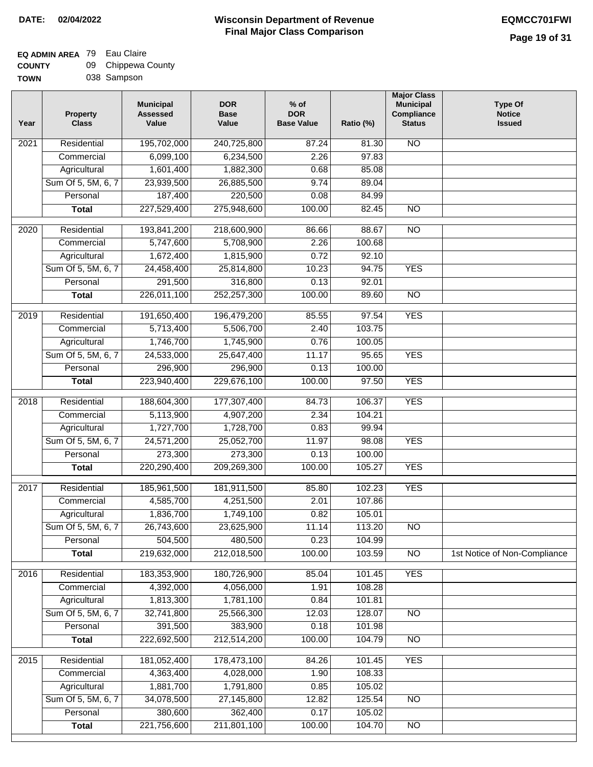### **Wisconsin Department of Revenue Final Major Class Comparison DATE: 02/04/2022 EQMCC701FWI**

### **EQ ADMIN AREA** 79 Eau Claire **COUNTY**

| <b>COUNTY</b> | 09 Chippewa County |
|---------------|--------------------|
| <b>TOWN</b>   | 038 Sampson        |

| Year              | <b>Property</b><br><b>Class</b> | <b>Municipal</b><br><b>Assessed</b><br>Value | <b>DOR</b><br><b>Base</b><br>Value | $%$ of<br><b>DOR</b><br><b>Base Value</b> | Ratio (%) | <b>Major Class</b><br><b>Municipal</b><br>Compliance<br><b>Status</b> | <b>Type Of</b><br><b>Notice</b><br><b>Issued</b> |
|-------------------|---------------------------------|----------------------------------------------|------------------------------------|-------------------------------------------|-----------|-----------------------------------------------------------------------|--------------------------------------------------|
| 2021              | Residential                     | 195,702,000                                  | 240,725,800                        | 87.24                                     | 81.30     | <b>NO</b>                                                             |                                                  |
|                   | Commercial                      | 6,099,100                                    | 6,234,500                          | 2.26                                      | 97.83     |                                                                       |                                                  |
|                   | Agricultural                    | 1,601,400                                    | 1,882,300                          | 0.68                                      | 85.08     |                                                                       |                                                  |
|                   | Sum Of 5, 5M, 6, 7              | 23,939,500                                   | 26,885,500                         | 9.74                                      | 89.04     |                                                                       |                                                  |
|                   | Personal                        | 187,400                                      | 220,500                            | 0.08                                      | 84.99     |                                                                       |                                                  |
|                   | <b>Total</b>                    | 227,529,400                                  | 275,948,600                        | 100.00                                    | 82.45     | $\overline{NO}$                                                       |                                                  |
| $\overline{2020}$ | Residential                     | 193,841,200                                  | 218,600,900                        | 86.66                                     | 88.67     | $\overline{NO}$                                                       |                                                  |
|                   | Commercial                      | 5,747,600                                    | 5,708,900                          | 2.26                                      | 100.68    |                                                                       |                                                  |
|                   | Agricultural                    | 1,672,400                                    | 1,815,900                          | 0.72                                      | 92.10     |                                                                       |                                                  |
|                   | Sum Of 5, 5M, 6, 7              | 24,458,400                                   | 25,814,800                         | 10.23                                     | 94.75     | <b>YES</b>                                                            |                                                  |
|                   | Personal                        | 291,500                                      | 316,800                            | 0.13                                      | 92.01     |                                                                       |                                                  |
|                   | <b>Total</b>                    | 226,011,100                                  | 252,257,300                        | 100.00                                    | 89.60     | <b>NO</b>                                                             |                                                  |
| $\frac{1}{2019}$  | Residential                     | 191,650,400                                  | 196,479,200                        | 85.55                                     | 97.54     | <b>YES</b>                                                            |                                                  |
|                   | Commercial                      | 5,713,400                                    | 5,506,700                          | 2.40                                      | 103.75    |                                                                       |                                                  |
|                   | Agricultural                    | 1,746,700                                    | 1,745,900                          | 0.76                                      | 100.05    |                                                                       |                                                  |
|                   | Sum Of 5, 5M, 6, 7              | 24,533,000                                   | 25,647,400                         | 11.17                                     | 95.65     | <b>YES</b>                                                            |                                                  |
|                   | Personal                        | 296,900                                      | 296,900                            | 0.13                                      | 100.00    |                                                                       |                                                  |
|                   | <b>Total</b>                    | 223,940,400                                  | 229,676,100                        | 100.00                                    | 97.50     | <b>YES</b>                                                            |                                                  |
| 2018              | Residential                     | 188,604,300                                  | 177,307,400                        | 84.73                                     | 106.37    | <b>YES</b>                                                            |                                                  |
|                   | Commercial                      | 5,113,900                                    | 4,907,200                          | 2.34                                      | 104.21    |                                                                       |                                                  |
|                   | Agricultural                    | 1,727,700                                    | 1,728,700                          | 0.83                                      | 99.94     |                                                                       |                                                  |
|                   | Sum Of 5, 5M, 6, 7              | 24,571,200                                   | 25,052,700                         | 11.97                                     | 98.08     | <b>YES</b>                                                            |                                                  |
|                   | Personal                        | 273,300                                      | 273,300                            | 0.13                                      | 100.00    |                                                                       |                                                  |
|                   | <b>Total</b>                    | 220,290,400                                  | 209,269,300                        | 100.00                                    | 105.27    | <b>YES</b>                                                            |                                                  |
|                   |                                 |                                              |                                    |                                           |           |                                                                       |                                                  |
| 2017              | Residential                     | 185,961,500                                  | 181,911,500                        | 85.80                                     | 102.23    | <b>YES</b>                                                            |                                                  |
|                   | Commercial                      | 4,585,700                                    | 4,251,500                          | 2.01                                      | 107.86    |                                                                       |                                                  |
|                   | Agricultural                    | 1,836,700                                    | 1,749,100                          | 0.82                                      | 105.01    |                                                                       |                                                  |
|                   | Sum Of 5, 5M, 6, 7              | 26,743,600                                   | 23,625,900                         | 11.14                                     | 113.20    | $\overline{NO}$                                                       |                                                  |
|                   | Personal                        | 504,500                                      | 480,500                            | 0.23                                      | 104.99    |                                                                       |                                                  |
|                   | <b>Total</b>                    | 219,632,000                                  | 212,018,500                        | 100.00                                    | 103.59    | N <sub>O</sub>                                                        | 1st Notice of Non-Compliance                     |
| 2016              | Residential                     | 183,353,900                                  | 180,726,900                        | 85.04                                     | 101.45    | <b>YES</b>                                                            |                                                  |
|                   | Commercial                      | 4,392,000                                    | 4,056,000                          | 1.91                                      | 108.28    |                                                                       |                                                  |
|                   | Agricultural                    | 1,813,300                                    | 1,781,100                          | 0.84                                      | 101.81    |                                                                       |                                                  |
|                   | Sum Of 5, 5M, 6, 7              | 32,741,800                                   | 25,566,300                         | 12.03                                     | 128.07    | <b>NO</b>                                                             |                                                  |
|                   | Personal                        | 391,500                                      | 383,900                            | 0.18                                      | 101.98    |                                                                       |                                                  |
|                   | <b>Total</b>                    | 222,692,500                                  | 212,514,200                        | 100.00                                    | 104.79    | $\overline{NO}$                                                       |                                                  |
| 2015              | Residential                     | 181,052,400                                  | 178,473,100                        | 84.26                                     | 101.45    | <b>YES</b>                                                            |                                                  |
|                   | Commercial                      | 4,363,400                                    | 4,028,000                          | 1.90                                      | 108.33    |                                                                       |                                                  |
|                   | Agricultural                    | 1,881,700                                    | 1,791,800                          | 0.85                                      | 105.02    |                                                                       |                                                  |
|                   | Sum Of 5, 5M, 6, 7              | 34,078,500                                   | 27,145,800                         | 12.82                                     | 125.54    | <b>NO</b>                                                             |                                                  |
|                   | Personal                        | 380,600                                      | 362,400                            | 0.17                                      | 105.02    |                                                                       |                                                  |
|                   | <b>Total</b>                    | 221,756,600                                  | 211,801,100                        | 100.00                                    | 104.70    | $\overline{NO}$                                                       |                                                  |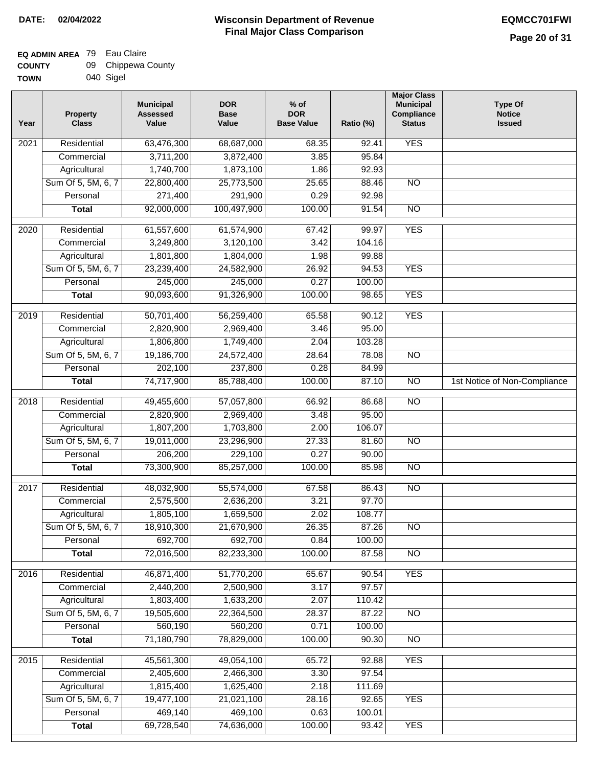┓

#### **EQ ADMIN AREA** 79 Eau Claire **COUNTY** 09 Chippewa County

| <b>UUUIII</b> | ັ | $\sim$ $\sim$ $\sim$ |  |
|---------------|---|----------------------|--|
| <b>TOWN</b>   |   | 040 Sigel            |  |

| Year              | <b>Property</b><br><b>Class</b> | <b>Municipal</b><br><b>Assessed</b><br>Value | <b>DOR</b><br><b>Base</b><br>Value | $%$ of<br><b>DOR</b><br><b>Base Value</b> | Ratio (%) | <b>Major Class</b><br><b>Municipal</b><br>Compliance<br><b>Status</b> | <b>Type Of</b><br><b>Notice</b><br><b>Issued</b> |
|-------------------|---------------------------------|----------------------------------------------|------------------------------------|-------------------------------------------|-----------|-----------------------------------------------------------------------|--------------------------------------------------|
| 2021              | Residential                     | 63,476,300                                   | 68,687,000                         | 68.35                                     | 92.41     | <b>YES</b>                                                            |                                                  |
|                   | Commercial                      | 3,711,200                                    | 3,872,400                          | 3.85                                      | 95.84     |                                                                       |                                                  |
|                   | Agricultural                    | 1,740,700                                    | 1,873,100                          | 1.86                                      | 92.93     |                                                                       |                                                  |
|                   | Sum Of 5, 5M, 6, 7              | 22,800,400                                   | 25,773,500                         | 25.65                                     | 88.46     | $\overline{NO}$                                                       |                                                  |
|                   | Personal                        | 271,400                                      | 291,900                            | 0.29                                      | 92.98     |                                                                       |                                                  |
|                   | <b>Total</b>                    | 92,000,000                                   | 100,497,900                        | 100.00                                    | 91.54     | $\overline{NO}$                                                       |                                                  |
| $\overline{2020}$ | Residential                     | 61,557,600                                   | 61,574,900                         | 67.42                                     | 99.97     | <b>YES</b>                                                            |                                                  |
|                   | Commercial                      | 3,249,800                                    | 3,120,100                          | 3.42                                      | 104.16    |                                                                       |                                                  |
|                   | Agricultural                    | 1,801,800                                    | 1,804,000                          | 1.98                                      | 99.88     |                                                                       |                                                  |
|                   | Sum Of 5, 5M, 6, 7              | 23,239,400                                   | 24,582,900                         | 26.92                                     | 94.53     | <b>YES</b>                                                            |                                                  |
|                   | Personal                        | 245,000                                      | 245,000                            | 0.27                                      | 100.00    |                                                                       |                                                  |
|                   | <b>Total</b>                    | 90,093,600                                   | 91,326,900                         | 100.00                                    | 98.65     | <b>YES</b>                                                            |                                                  |
|                   |                                 |                                              |                                    |                                           |           |                                                                       |                                                  |
| $\frac{1}{2019}$  | Residential                     | 50,701,400                                   | 56,259,400                         | 65.58                                     | 90.12     | <b>YES</b>                                                            |                                                  |
|                   | Commercial                      | 2,820,900                                    | 2,969,400                          | 3.46                                      | 95.00     |                                                                       |                                                  |
|                   | Agricultural                    | 1,806,800                                    | 1,749,400                          | 2.04                                      | 103.28    |                                                                       |                                                  |
|                   | Sum Of 5, 5M, 6, 7              | 19,186,700                                   | 24,572,400                         | 28.64                                     | 78.08     | $\overline{NO}$                                                       |                                                  |
|                   | Personal                        | 202,100                                      | 237,800                            | 0.28                                      | 84.99     |                                                                       |                                                  |
|                   | <b>Total</b>                    | 74,717,900                                   | 85,788,400                         | 100.00                                    | 87.10     | $\overline{NO}$                                                       | 1st Notice of Non-Compliance                     |
| 2018              | Residential                     | 49,455,600                                   | 57,057,800                         | 66.92                                     | 86.68     | $\overline{NO}$                                                       |                                                  |
|                   | Commercial                      | 2,820,900                                    | 2,969,400                          | 3.48                                      | 95.00     |                                                                       |                                                  |
|                   | Agricultural                    | 1,807,200                                    | 1,703,800                          | 2.00                                      | 106.07    |                                                                       |                                                  |
|                   | Sum Of 5, 5M, 6, 7              | 19,011,000                                   | 23,296,900                         | 27.33                                     | 81.60     | <b>NO</b>                                                             |                                                  |
|                   | Personal                        | 206,200                                      | 229,100                            | 0.27                                      | 90.00     |                                                                       |                                                  |
|                   | <b>Total</b>                    | 73,300,900                                   | 85,257,000                         | 100.00                                    | 85.98     | $\overline{10}$                                                       |                                                  |
| 2017              | Residential                     | 48,032,900                                   | 55,574,000                         | 67.58                                     | 86.43     | <b>NO</b>                                                             |                                                  |
|                   | Commercial                      | 2,575,500                                    | 2,636,200                          | 3.21                                      | 97.70     |                                                                       |                                                  |
|                   | Agricultural                    | 1,805,100                                    | 1,659,500                          | 2.02                                      | 108.77    |                                                                       |                                                  |
|                   | Sum Of 5, 5M, 6, 7              | 18,910,300                                   | 21,670,900                         | 26.35                                     | 87.26     | $\overline{N}$                                                        |                                                  |
|                   | Personal                        | 692,700                                      | 692,700                            | 0.84                                      | 100.00    |                                                                       |                                                  |
|                   | <b>Total</b>                    | 72,016,500                                   | 82,233,300                         | 100.00                                    | 87.58     | $\overline{NO}$                                                       |                                                  |
| 2016              | Residential                     | 46,871,400                                   | 51,770,200                         | 65.67                                     | 90.54     | <b>YES</b>                                                            |                                                  |
|                   | Commercial                      | 2,440,200                                    | 2,500,900                          | 3.17                                      | 97.57     |                                                                       |                                                  |
|                   | Agricultural                    | 1,803,400                                    | 1,633,200                          | 2.07                                      | 110.42    |                                                                       |                                                  |
|                   | Sum Of 5, 5M, 6, 7              | 19,505,600                                   | 22,364,500                         | 28.37                                     | 87.22     | <b>NO</b>                                                             |                                                  |
|                   | Personal                        | 560,190                                      | 560,200                            | 0.71                                      | 100.00    |                                                                       |                                                  |
|                   | <b>Total</b>                    | 71,180,790                                   | 78,829,000                         | 100.00                                    | 90.30     | N <sub>O</sub>                                                        |                                                  |
|                   |                                 |                                              |                                    |                                           |           |                                                                       |                                                  |
| 2015              | Residential                     | 45,561,300                                   | 49,054,100                         | 65.72                                     | 92.88     | <b>YES</b>                                                            |                                                  |
|                   | Commercial                      | 2,405,600                                    | 2,466,300                          | 3.30                                      | 97.54     |                                                                       |                                                  |
|                   | Agricultural                    | 1,815,400                                    | 1,625,400                          | 2.18                                      | 111.69    |                                                                       |                                                  |
|                   | Sum Of 5, 5M, 6, 7              | 19,477,100                                   | 21,021,100                         | 28.16                                     | 92.65     | <b>YES</b>                                                            |                                                  |
|                   | Personal                        | 469,140                                      | 469,100                            | 0.63                                      | 100.01    |                                                                       |                                                  |
|                   | <b>Total</b>                    | 69,728,540                                   | 74,636,000                         | 100.00                                    | 93.42     | <b>YES</b>                                                            |                                                  |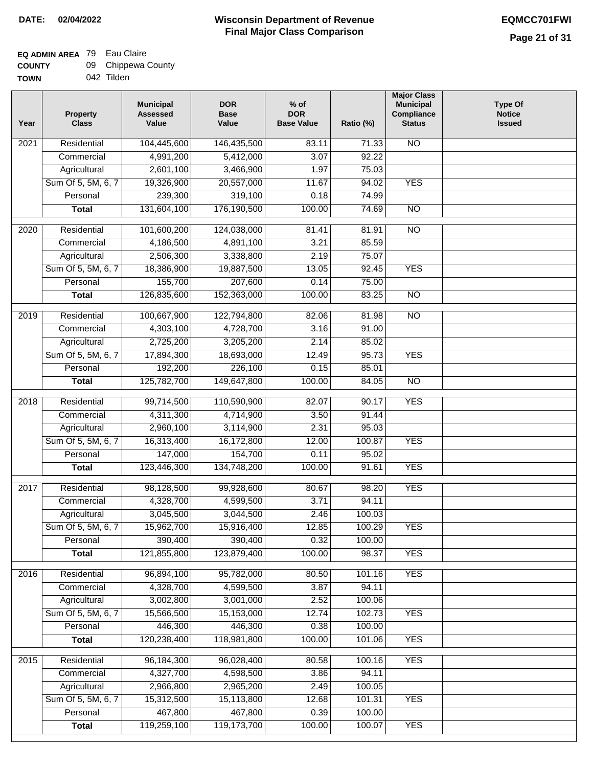### **EQ ADMIN AREA** 79 Eau Claire  $\sim$

| <b>COUNTY</b> | 09 Chippewa County |
|---------------|--------------------|
| <b>TOWN</b>   | 042 Tilden         |

| Year              | <b>Property</b><br><b>Class</b> | <b>Municipal</b><br><b>Assessed</b><br>Value | <b>DOR</b><br><b>Base</b><br>Value | $%$ of<br><b>DOR</b><br><b>Base Value</b> | Ratio (%) | <b>Major Class</b><br><b>Municipal</b><br>Compliance<br><b>Status</b> | <b>Type Of</b><br><b>Notice</b><br><b>Issued</b> |
|-------------------|---------------------------------|----------------------------------------------|------------------------------------|-------------------------------------------|-----------|-----------------------------------------------------------------------|--------------------------------------------------|
| 2021              | Residential                     | 104,445,600                                  | 146,435,500                        | 83.11                                     | 71.33     | $\overline{NO}$                                                       |                                                  |
|                   | Commercial                      | 4,991,200                                    | 5,412,000                          | 3.07                                      | 92.22     |                                                                       |                                                  |
|                   | Agricultural                    | 2,601,100                                    | 3,466,900                          | 1.97                                      | 75.03     |                                                                       |                                                  |
|                   | Sum Of 5, 5M, 6, 7              | 19,326,900                                   | 20,557,000                         | 11.67                                     | 94.02     | <b>YES</b>                                                            |                                                  |
|                   | Personal                        | 239,300                                      | 319,100                            | 0.18                                      | 74.99     |                                                                       |                                                  |
|                   | <b>Total</b>                    | 131,604,100                                  | 176,190,500                        | 100.00                                    | 74.69     | $\overline{NO}$                                                       |                                                  |
| 2020              | Residential                     | 101,600,200                                  | 124,038,000                        | 81.41                                     | 81.91     | $\overline{NO}$                                                       |                                                  |
|                   | Commercial                      | 4,186,500                                    | 4,891,100                          | 3.21                                      | 85.59     |                                                                       |                                                  |
|                   | Agricultural                    | 2,506,300                                    | 3,338,800                          | 2.19                                      | 75.07     |                                                                       |                                                  |
|                   | Sum Of 5, 5M, 6, 7              | 18,386,900                                   | 19,887,500                         | 13.05                                     | 92.45     | <b>YES</b>                                                            |                                                  |
|                   | Personal                        | 155,700                                      | 207,600                            | 0.14                                      | 75.00     |                                                                       |                                                  |
|                   | <b>Total</b>                    | 126,835,600                                  | 152,363,000                        | 100.00                                    | 83.25     | $\overline{NO}$                                                       |                                                  |
|                   |                                 |                                              |                                    |                                           |           |                                                                       |                                                  |
| 2019              | Residential                     | 100,667,900                                  | 122,794,800                        | 82.06                                     | 81.98     | $\overline{NO}$                                                       |                                                  |
|                   | Commercial                      | 4,303,100                                    | 4,728,700                          | 3.16                                      | 91.00     |                                                                       |                                                  |
|                   | Agricultural                    | 2,725,200                                    | 3,205,200                          | 2.14                                      | 85.02     |                                                                       |                                                  |
|                   | Sum Of 5, 5M, 6, 7              | 17,894,300                                   | 18,693,000                         | 12.49                                     | 95.73     | <b>YES</b>                                                            |                                                  |
|                   | Personal                        | 192,200                                      | 226,100                            | 0.15                                      | 85.01     |                                                                       |                                                  |
|                   | <b>Total</b>                    | 125,782,700                                  | 149,647,800                        | 100.00                                    | 84.05     | $\overline{NO}$                                                       |                                                  |
| $\overline{2018}$ | Residential                     | 99,714,500                                   | 110,590,900                        | 82.07                                     | 90.17     | <b>YES</b>                                                            |                                                  |
|                   | Commercial                      | 4,311,300                                    | 4,714,900                          | 3.50                                      | 91.44     |                                                                       |                                                  |
|                   | Agricultural                    | 2,960,100                                    | 3,114,900                          | 2.31                                      | 95.03     |                                                                       |                                                  |
|                   | Sum Of 5, 5M, 6, 7              | 16,313,400                                   | 16,172,800                         | 12.00                                     | 100.87    | <b>YES</b>                                                            |                                                  |
|                   | Personal                        | 147,000                                      | 154,700                            | 0.11                                      | 95.02     |                                                                       |                                                  |
|                   | <b>Total</b>                    | 123,446,300                                  | 134,748,200                        | 100.00                                    | 91.61     | <b>YES</b>                                                            |                                                  |
|                   |                                 |                                              |                                    |                                           |           |                                                                       |                                                  |
| $\overline{2017}$ | Residential                     | 98,128,500                                   | 99,928,600                         | 80.67                                     | 98.20     | <b>YES</b>                                                            |                                                  |
|                   | Commercial                      | 4,328,700                                    | 4,599,500                          | 3.71                                      | 94.11     |                                                                       |                                                  |
|                   | Agricultural                    | 3,045,500                                    | 3,044,500                          | 2.46                                      | 100.03    |                                                                       |                                                  |
|                   | Sum Of 5, 5M, 6, 7              | 15,962,700                                   | 15,916,400                         | 12.85                                     | 100.29    | YES                                                                   |                                                  |
|                   | Personal                        | 390,400                                      | 390,400                            | 0.32                                      | 100.00    |                                                                       |                                                  |
|                   | <b>Total</b>                    | 121,855,800                                  | 123,879,400                        | 100.00                                    | 98.37     | <b>YES</b>                                                            |                                                  |
| 2016              | Residential                     | 96,894,100                                   | 95,782,000                         | 80.50                                     | 101.16    | <b>YES</b>                                                            |                                                  |
|                   | Commercial                      | 4,328,700                                    | 4,599,500                          | 3.87                                      | 94.11     |                                                                       |                                                  |
|                   | Agricultural                    | 3,002,800                                    | 3,001,000                          | 2.52                                      | 100.06    |                                                                       |                                                  |
|                   | Sum Of 5, 5M, 6, 7              | 15,566,500                                   | 15,153,000                         | 12.74                                     | 102.73    | <b>YES</b>                                                            |                                                  |
|                   | Personal                        | 446,300                                      | 446,300                            | 0.38                                      | 100.00    |                                                                       |                                                  |
|                   | <b>Total</b>                    | 120,238,400                                  | 118,981,800                        | 100.00                                    | 101.06    | <b>YES</b>                                                            |                                                  |
|                   |                                 |                                              |                                    |                                           |           |                                                                       |                                                  |
| 2015              | Residential                     | 96,184,300                                   | 96,028,400                         | 80.58                                     | 100.16    | <b>YES</b>                                                            |                                                  |
|                   | Commercial                      | 4,327,700                                    | 4,598,500                          | 3.86                                      | 94.11     |                                                                       |                                                  |
|                   | Agricultural                    | 2,966,800                                    | 2,965,200                          | 2.49                                      | 100.05    |                                                                       |                                                  |
|                   | Sum Of 5, 5M, 6, 7              | 15,312,500                                   | 15,113,800                         | 12.68                                     | 101.31    | <b>YES</b>                                                            |                                                  |
|                   | Personal                        | 467,800                                      | 467,800                            | 0.39                                      | 100.00    |                                                                       |                                                  |
|                   | <b>Total</b>                    | 119,259,100                                  | 119,173,700                        | 100.00                                    | 100.07    | <b>YES</b>                                                            |                                                  |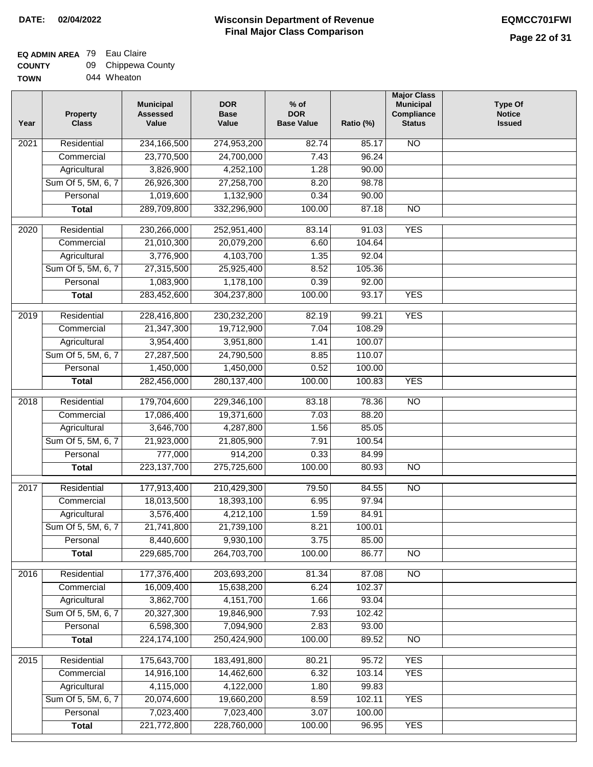┓

### **EQ ADMIN AREA** 79 Eau Claire **COUNTY**

| <b>COUNTY</b> | 09 Chippewa County |
|---------------|--------------------|
| <b>TOWN</b>   | 044 Wheaton        |

| Year              | <b>Property</b><br><b>Class</b> | <b>Municipal</b><br><b>Assessed</b><br>Value | <b>DOR</b><br><b>Base</b><br>Value | $%$ of<br><b>DOR</b><br><b>Base Value</b> | Ratio (%)        | <b>Major Class</b><br><b>Municipal</b><br>Compliance<br><b>Status</b> | <b>Type Of</b><br><b>Notice</b><br><b>Issued</b> |
|-------------------|---------------------------------|----------------------------------------------|------------------------------------|-------------------------------------------|------------------|-----------------------------------------------------------------------|--------------------------------------------------|
| 2021              | Residential                     | 234, 166, 500                                | 274,953,200                        | 82.74                                     | 85.17            | <b>NO</b>                                                             |                                                  |
|                   | Commercial                      | 23,770,500                                   | 24,700,000                         | 7.43                                      | 96.24            |                                                                       |                                                  |
|                   | Agricultural                    | 3,826,900                                    | 4,252,100                          | 1.28                                      | 90.00            |                                                                       |                                                  |
|                   | Sum Of 5, 5M, 6, 7              | 26,926,300                                   | 27,258,700                         | 8.20                                      | 98.78            |                                                                       |                                                  |
|                   | Personal                        | 1,019,600                                    | 1,132,900                          | 0.34                                      | 90.00            |                                                                       |                                                  |
|                   | <b>Total</b>                    | 289,709,800                                  | 332,296,900                        | 100.00                                    | 87.18            | $\overline{NO}$                                                       |                                                  |
| $\overline{2020}$ | Residential                     | 230,266,000                                  | 252,951,400                        | 83.14                                     | 91.03            | <b>YES</b>                                                            |                                                  |
|                   | Commercial                      | 21,010,300                                   | 20,079,200                         | 6.60                                      | 104.64           |                                                                       |                                                  |
|                   | Agricultural                    | 3,776,900                                    | 4,103,700                          | 1.35                                      | 92.04            |                                                                       |                                                  |
|                   | Sum Of 5, 5M, 6, 7              | 27,315,500                                   | 25,925,400                         | 8.52                                      | 105.36           |                                                                       |                                                  |
|                   | Personal                        | 1,083,900                                    | 1,178,100                          | 0.39                                      | 92.00            |                                                                       |                                                  |
|                   | <b>Total</b>                    | 283,452,600                                  | 304,237,800                        | 100.00                                    | 93.17            | <b>YES</b>                                                            |                                                  |
| $\frac{2019}{ }$  | Residential                     | 228,416,800                                  | 230,232,200                        | 82.19                                     | 99.21            | <b>YES</b>                                                            |                                                  |
|                   | Commercial                      | 21,347,300                                   | 19,712,900                         | 7.04                                      | 108.29           |                                                                       |                                                  |
|                   | Agricultural                    | 3,954,400                                    | 3,951,800                          | 1.41                                      | 100.07           |                                                                       |                                                  |
|                   | Sum Of 5, 5M, 6, 7              | 27,287,500                                   | 24,790,500                         | 8.85                                      | 110.07           |                                                                       |                                                  |
|                   | Personal                        | 1,450,000                                    | 1,450,000                          | 0.52                                      | 100.00           |                                                                       |                                                  |
|                   | <b>Total</b>                    | 282,456,000                                  | 280, 137, 400                      | 100.00                                    | 100.83           | <b>YES</b>                                                            |                                                  |
| 2018              | Residential                     | 179,704,600                                  | 229,346,100                        | 83.18                                     | 78.36            | $\overline{NO}$                                                       |                                                  |
|                   | Commercial                      | 17,086,400                                   | 19,371,600                         | 7.03                                      | 88.20            |                                                                       |                                                  |
|                   | Agricultural                    | 3,646,700                                    | 4,287,800                          | 1.56                                      | 85.05            |                                                                       |                                                  |
|                   | Sum Of 5, 5M, 6, 7              | 21,923,000                                   | 21,805,900                         | 7.91                                      | 100.54           |                                                                       |                                                  |
|                   | Personal                        | 777,000                                      | 914,200                            | 0.33                                      | 84.99            |                                                                       |                                                  |
|                   | <b>Total</b>                    | 223, 137, 700                                | 275,725,600                        | 100.00                                    | 80.93            | N <sub>O</sub>                                                        |                                                  |
| 2017              | Residential                     | 177,913,400                                  | 210,429,300                        | 79.50                                     | 84.55            | $\overline{NO}$                                                       |                                                  |
|                   | Commercial                      | 18,013,500                                   | 18,393,100                         | 6.95                                      | 97.94            |                                                                       |                                                  |
|                   | Agricultural                    | 3,576,400                                    | 4,212,100                          | 1.59                                      | 84.91            |                                                                       |                                                  |
|                   | Sum Of 5, 5M, 6, 7              | 21,741,800                                   | 21,739,100                         | 8.21                                      | 100.01           |                                                                       |                                                  |
|                   | Personal                        | 8,440,600                                    | 9,930,100                          | 3.75                                      | 85.00            |                                                                       |                                                  |
|                   | <b>Total</b>                    | 229,685,700                                  | 264,703,700                        | 100.00                                    | 86.77            | $\overline{NO}$                                                       |                                                  |
| 2016              | Residential                     | 177,376,400                                  | 203,693,200                        | 81.34                                     | 87.08            | N <sub>O</sub>                                                        |                                                  |
|                   | Commercial                      | 16,009,400                                   | 15,638,200                         | 6.24                                      | 102.37           |                                                                       |                                                  |
|                   | Agricultural                    | 3,862,700                                    | 4, 151, 700                        | 1.66                                      | 93.04            |                                                                       |                                                  |
|                   | Sum Of 5, 5M, 6, 7              | 20,327,300                                   | 19,846,900                         | 7.93                                      | 102.42           |                                                                       |                                                  |
|                   | Personal                        | 6,598,300                                    | 7,094,900                          | 2.83                                      | 93.00            |                                                                       |                                                  |
|                   | <b>Total</b>                    | 224, 174, 100                                | 250,424,900                        | 100.00                                    | 89.52            | N <sub>O</sub>                                                        |                                                  |
|                   |                                 |                                              |                                    |                                           |                  |                                                                       |                                                  |
| 2015              | Residential                     | 175,643,700                                  | 183,491,800                        | 80.21                                     | 95.72            | <b>YES</b>                                                            |                                                  |
|                   | Commercial                      | 14,916,100                                   | 14,462,600                         | 6.32                                      | 103.14           | <b>YES</b>                                                            |                                                  |
|                   | Agricultural                    | 4,115,000                                    | 4,122,000                          | 1.80                                      | 99.83            |                                                                       |                                                  |
|                   | Sum Of 5, 5M, 6, 7<br>Personal  | 20,074,600<br>7,023,400                      | 19,660,200<br>7,023,400            | 8.59<br>3.07                              | 102.11<br>100.00 | <b>YES</b>                                                            |                                                  |
|                   | <b>Total</b>                    | 221,772,800                                  | 228,760,000                        | 100.00                                    | 96.95            | <b>YES</b>                                                            |                                                  |
|                   |                                 |                                              |                                    |                                           |                  |                                                                       |                                                  |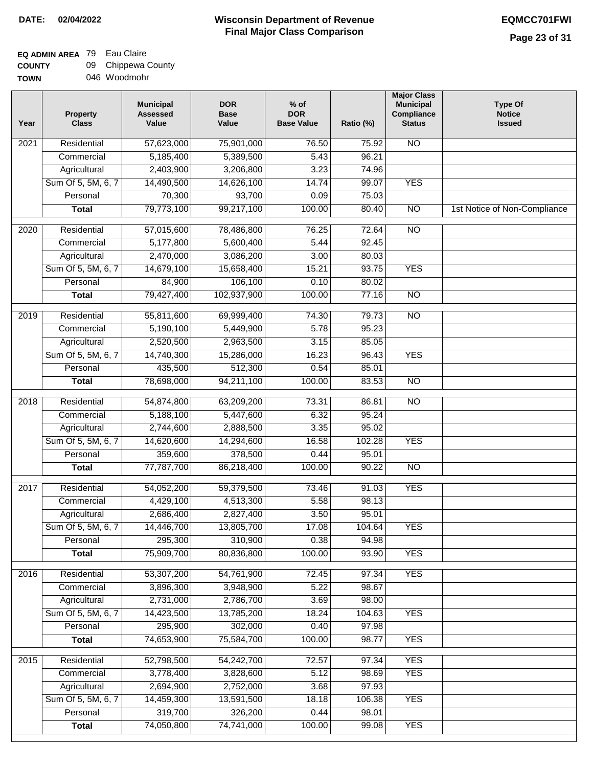# **EQ ADMIN AREA** 79 Eau Claire

| <b>COUNTY</b> | 09 Chippewa County |
|---------------|--------------------|
| <b>TOWN</b>   | 046 Woodmohr       |

| Year              | <b>Property</b><br><b>Class</b> | <b>Municipal</b><br><b>Assessed</b><br>Value | <b>DOR</b><br><b>Base</b><br>Value | $%$ of<br><b>DOR</b><br><b>Base Value</b> | Ratio (%) | <b>Major Class</b><br><b>Municipal</b><br>Compliance<br><b>Status</b> | <b>Type Of</b><br><b>Notice</b><br><b>Issued</b> |
|-------------------|---------------------------------|----------------------------------------------|------------------------------------|-------------------------------------------|-----------|-----------------------------------------------------------------------|--------------------------------------------------|
| $\overline{202}1$ | Residential                     | 57,623,000                                   | 75,901,000                         | 76.50                                     | 75.92     | <b>NO</b>                                                             |                                                  |
|                   | Commercial                      | 5,185,400                                    | 5,389,500                          | 5.43                                      | 96.21     |                                                                       |                                                  |
|                   | Agricultural                    | 2,403,900                                    | 3,206,800                          | 3.23                                      | 74.96     |                                                                       |                                                  |
|                   | Sum Of 5, 5M, 6, 7              | 14,490,500                                   | 14,626,100                         | 14.74                                     | 99.07     | <b>YES</b>                                                            |                                                  |
|                   | Personal                        | 70,300                                       | 93,700                             | 0.09                                      | 75.03     |                                                                       |                                                  |
|                   | <b>Total</b>                    | 79,773,100                                   | 99,217,100                         | 100.00                                    | 80.40     | $\overline{NO}$                                                       | 1st Notice of Non-Compliance                     |
| $\overline{2020}$ | Residential                     | 57,015,600                                   | 78,486,800                         | 76.25                                     | 72.64     | $\overline{10}$                                                       |                                                  |
|                   | Commercial                      | 5,177,800                                    | 5,600,400                          | 5.44                                      | 92.45     |                                                                       |                                                  |
|                   | Agricultural                    | 2,470,000                                    | 3,086,200                          | 3.00                                      | 80.03     |                                                                       |                                                  |
|                   | Sum Of 5, 5M, 6, 7              | 14,679,100                                   | 15,658,400                         | 15.21                                     | 93.75     | <b>YES</b>                                                            |                                                  |
|                   | Personal                        | 84,900                                       | 106,100                            | 0.10                                      | 80.02     |                                                                       |                                                  |
|                   | <b>Total</b>                    | 79,427,400                                   | 102,937,900                        | 100.00                                    | 77.16     | $\overline{NO}$                                                       |                                                  |
| 2019              | Residential                     | 55,811,600                                   | 69,999,400                         | 74.30                                     | 79.73     | $\overline{10}$                                                       |                                                  |
|                   | Commercial                      | 5,190,100                                    | 5,449,900                          | 5.78                                      | 95.23     |                                                                       |                                                  |
|                   | Agricultural                    | 2,520,500                                    | 2,963,500                          | 3.15                                      | 85.05     |                                                                       |                                                  |
|                   | Sum Of 5, 5M, 6, 7              | 14,740,300                                   | 15,286,000                         | 16.23                                     | 96.43     | <b>YES</b>                                                            |                                                  |
|                   | Personal                        | 435,500                                      | 512,300                            | 0.54                                      | 85.01     |                                                                       |                                                  |
|                   | <b>Total</b>                    | 78,698,000                                   | 94,211,100                         | 100.00                                    | 83.53     | $\overline{NO}$                                                       |                                                  |
| 2018              | Residential                     | 54,874,800                                   | 63,209,200                         | 73.31                                     | 86.81     | $\overline{10}$                                                       |                                                  |
|                   | Commercial                      | 5,188,100                                    | 5,447,600                          | 6.32                                      | 95.24     |                                                                       |                                                  |
|                   | Agricultural                    | 2,744,600                                    | 2,888,500                          | 3.35                                      | 95.02     |                                                                       |                                                  |
|                   | Sum Of 5, 5M, 6, 7              | 14,620,600                                   | 14,294,600                         | 16.58                                     | 102.28    | <b>YES</b>                                                            |                                                  |
|                   | Personal                        | 359,600                                      | 378,500                            | 0.44                                      | 95.01     |                                                                       |                                                  |
|                   | <b>Total</b>                    | 77,787,700                                   | 86,218,400                         | 100.00                                    | 90.22     | <b>NO</b>                                                             |                                                  |
| 2017              | Residential                     | 54,052,200                                   | 59,379,500                         | 73.46                                     | 91.03     | <b>YES</b>                                                            |                                                  |
|                   | Commercial                      | 4,429,100                                    | 4,513,300                          | 5.58                                      | 98.13     |                                                                       |                                                  |
|                   | Agricultural                    | 2,686,400                                    | 2,827,400                          | 3.50                                      | 95.01     |                                                                       |                                                  |
|                   | Sum Of 5, 5M, 6, 7              | 14,446,700                                   | 13,805,700                         | 17.08                                     | 104.64    | <b>YES</b>                                                            |                                                  |
|                   | Personal                        | 295,300                                      | 310,900                            | 0.38                                      | 94.98     |                                                                       |                                                  |
|                   | <b>Total</b>                    | 75,909,700                                   | 80,836,800                         | 100.00                                    | 93.90     | <b>YES</b>                                                            |                                                  |
| 2016              | Residential                     | 53,307,200                                   | 54,761,900                         | 72.45                                     | 97.34     | <b>YES</b>                                                            |                                                  |
|                   | Commercial                      | 3,896,300                                    | 3,948,900                          | 5.22                                      | 98.67     |                                                                       |                                                  |
|                   | Agricultural                    | 2,731,000                                    | 2,786,700                          | 3.69                                      | 98.00     |                                                                       |                                                  |
|                   | Sum Of 5, 5M, 6, 7              | 14,423,500                                   | 13,785,200                         | 18.24                                     | 104.63    | <b>YES</b>                                                            |                                                  |
|                   | Personal                        | 295,900                                      | 302,000                            | 0.40                                      | 97.98     |                                                                       |                                                  |
|                   | <b>Total</b>                    | 74,653,900                                   | 75,584,700                         | 100.00                                    | 98.77     | <b>YES</b>                                                            |                                                  |
| 2015              | Residential                     | 52,798,500                                   | 54,242,700                         | 72.57                                     | 97.34     | <b>YES</b>                                                            |                                                  |
|                   | Commercial                      | 3,778,400                                    | 3,828,600                          | 5.12                                      | 98.69     | <b>YES</b>                                                            |                                                  |
|                   | Agricultural                    | 2,694,900                                    | 2,752,000                          | 3.68                                      | 97.93     |                                                                       |                                                  |
|                   | Sum Of 5, 5M, 6, 7              | 14,459,300                                   | 13,591,500                         | 18.18                                     | 106.38    | <b>YES</b>                                                            |                                                  |
|                   | Personal                        | 319,700                                      | 326,200                            | 0.44                                      | 98.01     |                                                                       |                                                  |
|                   | <b>Total</b>                    | 74,050,800                                   | 74,741,000                         | 100.00                                    | 99.08     | <b>YES</b>                                                            |                                                  |
|                   |                                 |                                              |                                    |                                           |           |                                                                       |                                                  |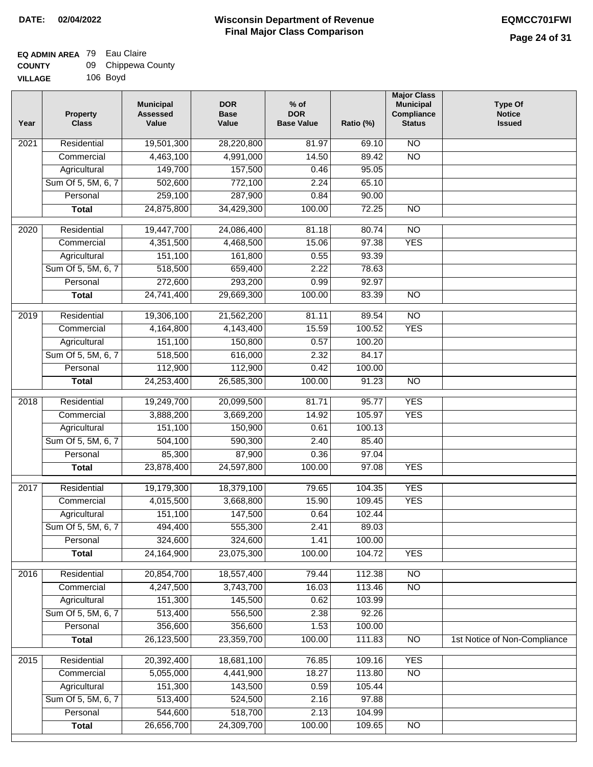### **EQ ADMIN AREA** 79 Eau Claire **COUNTY** 09 Chippewa County

**VILLAGE** 106 Boyd

| Year              | <b>Property</b><br><b>Class</b> | <b>Municipal</b><br><b>Assessed</b><br>Value | <b>DOR</b><br><b>Base</b><br>Value | % of<br><b>DOR</b><br><b>Base Value</b> | Ratio (%) | <b>Major Class</b><br><b>Municipal</b><br>Compliance<br><b>Status</b> | <b>Type Of</b><br><b>Notice</b><br><b>Issued</b> |
|-------------------|---------------------------------|----------------------------------------------|------------------------------------|-----------------------------------------|-----------|-----------------------------------------------------------------------|--------------------------------------------------|
| $\overline{202}1$ | Residential                     | 19,501,300                                   | 28,220,800                         | 81.97                                   | 69.10     | N <sub>O</sub>                                                        |                                                  |
|                   | Commercial                      | 4,463,100                                    | 4,991,000                          | 14.50                                   | 89.42     | $\overline{NO}$                                                       |                                                  |
|                   | Agricultural                    | 149,700                                      | 157,500                            | 0.46                                    | 95.05     |                                                                       |                                                  |
|                   | Sum Of 5, 5M, 6, 7              | 502,600                                      | 772,100                            | 2.24                                    | 65.10     |                                                                       |                                                  |
|                   | Personal                        | 259,100                                      | 287,900                            | 0.84                                    | 90.00     |                                                                       |                                                  |
|                   | <b>Total</b>                    | 24,875,800                                   | 34,429,300                         | 100.00                                  | 72.25     | $\overline{NO}$                                                       |                                                  |
| $\overline{2020}$ | Residential                     | 19,447,700                                   | 24,086,400                         | 81.18                                   | 80.74     | $\overline{NO}$                                                       |                                                  |
|                   | Commercial                      | 4,351,500                                    | 4,468,500                          | 15.06                                   | 97.38     | <b>YES</b>                                                            |                                                  |
|                   | Agricultural                    | 151,100                                      | 161,800                            | 0.55                                    | 93.39     |                                                                       |                                                  |
|                   | Sum Of 5, 5M, 6, 7              | 518,500                                      | 659,400                            | 2.22                                    | 78.63     |                                                                       |                                                  |
|                   | Personal                        | 272,600                                      | 293,200                            | 0.99                                    | 92.97     |                                                                       |                                                  |
|                   | <b>Total</b>                    | 24,741,400                                   | 29,669,300                         | 100.00                                  | 83.39     | $\overline{NO}$                                                       |                                                  |
| $\frac{2019}{ }$  | Residential                     | 19,306,100                                   | 21,562,200                         | 81.11                                   | 89.54     | $\overline{3}$                                                        |                                                  |
|                   | Commercial                      | 4,164,800                                    | 4,143,400                          | 15.59                                   | 100.52    | <b>YES</b>                                                            |                                                  |
|                   | Agricultural                    | 151,100                                      | 150,800                            | 0.57                                    | 100.20    |                                                                       |                                                  |
|                   | Sum Of 5, 5M, 6, 7              | 518,500                                      | 616,000                            | 2.32                                    | 84.17     |                                                                       |                                                  |
|                   | Personal                        | 112,900                                      | 112,900                            | 0.42                                    | 100.00    |                                                                       |                                                  |
|                   | <b>Total</b>                    | 24,253,400                                   | 26,585,300                         | 100.00                                  | 91.23     | $\overline{NO}$                                                       |                                                  |
| 2018              | Residential                     | 19,249,700                                   | 20,099,500                         | 81.71                                   | 95.77     | <b>YES</b>                                                            |                                                  |
|                   | Commercial                      | 3,888,200                                    | 3,669,200                          | 14.92                                   | 105.97    | <b>YES</b>                                                            |                                                  |
|                   | Agricultural                    | 151,100                                      | 150,900                            | 0.61                                    | 100.13    |                                                                       |                                                  |
|                   | Sum Of 5, 5M, 6, 7              | 504,100                                      | 590,300                            | 2.40                                    | 85.40     |                                                                       |                                                  |
|                   | Personal                        | 85,300                                       | 87,900                             | 0.36                                    | 97.04     |                                                                       |                                                  |
|                   | <b>Total</b>                    | 23,878,400                                   | 24,597,800                         | 100.00                                  | 97.08     | <b>YES</b>                                                            |                                                  |
| $\overline{2017}$ | Residential                     | 19,179,300                                   | 18,379,100                         | 79.65                                   | 104.35    | <b>YES</b>                                                            |                                                  |
|                   | Commercial                      | 4,015,500                                    | 3,668,800                          | 15.90                                   | 109.45    | <b>YES</b>                                                            |                                                  |
|                   | Agricultural                    | 151,100                                      | 147,500                            | 0.64                                    | 102.44    |                                                                       |                                                  |
|                   | Sum Of 5, 5M, 6, 7              | 494,400                                      | 555,300                            | 2.41                                    | 89.03     |                                                                       |                                                  |
|                   | Personal                        | 324,600                                      | 324,600                            | 1.41                                    | 100.00    |                                                                       |                                                  |
|                   | <b>Total</b>                    | 24,164,900                                   | 23,075,300                         | 100.00                                  | 104.72    | <b>YES</b>                                                            |                                                  |
| 2016              | Residential                     | 20,854,700                                   | 18,557,400                         | 79.44                                   | 112.38    | N <sub>O</sub>                                                        |                                                  |
|                   | Commercial                      | 4,247,500                                    | 3,743,700                          | 16.03                                   | 113.46    | $\overline{NO}$                                                       |                                                  |
|                   | Agricultural                    | 151,300                                      | 145,500                            | 0.62                                    | 103.99    |                                                                       |                                                  |
|                   | Sum Of 5, 5M, 6, 7              | 513,400                                      | 556,500                            | 2.38                                    | 92.26     |                                                                       |                                                  |
|                   | Personal                        | 356,600                                      | 356,600                            | 1.53                                    | 100.00    |                                                                       |                                                  |
|                   | <b>Total</b>                    | 26,123,500                                   | 23,359,700                         | 100.00                                  | 111.83    | N <sub>O</sub>                                                        | 1st Notice of Non-Compliance                     |
| 2015              | Residential                     | 20,392,400                                   | 18,681,100                         | 76.85                                   | 109.16    | <b>YES</b>                                                            |                                                  |
|                   | Commercial                      | 5,055,000                                    | 4,441,900                          | 18.27                                   | 113.80    | N <sub>O</sub>                                                        |                                                  |
|                   | Agricultural                    | 151,300                                      | 143,500                            | 0.59                                    | 105.44    |                                                                       |                                                  |
|                   | Sum Of 5, 5M, 6, 7              | 513,400                                      | 524,500                            | 2.16                                    | 97.88     |                                                                       |                                                  |
|                   | Personal                        | 544,600                                      | 518,700                            | 2.13                                    | 104.99    |                                                                       |                                                  |
|                   | <b>Total</b>                    | 26,656,700                                   | 24,309,700                         | 100.00                                  | 109.65    | N <sub>O</sub>                                                        |                                                  |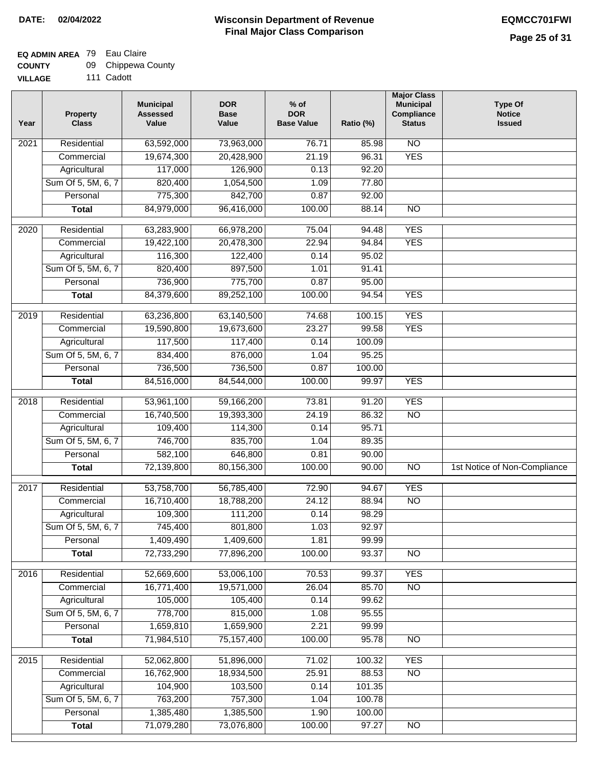### **EQ ADMIN AREA** 79 Eau Claire

| <b>COUNTY</b> | 09 - | Chippewa County |
|---------------|------|-----------------|
|---------------|------|-----------------|

**VILLAGE** 111 Cadott

| Year | <b>Property</b><br><b>Class</b> | <b>Municipal</b><br><b>Assessed</b><br>Value | <b>DOR</b><br><b>Base</b><br>Value | $%$ of<br><b>DOR</b><br><b>Base Value</b> | Ratio (%) | <b>Major Class</b><br><b>Municipal</b><br>Compliance<br><b>Status</b> | <b>Type Of</b><br><b>Notice</b><br><b>Issued</b> |
|------|---------------------------------|----------------------------------------------|------------------------------------|-------------------------------------------|-----------|-----------------------------------------------------------------------|--------------------------------------------------|
| 2021 | Residential                     | 63,592,000                                   | 73,963,000                         | 76.71                                     | 85.98     | $\overline{NO}$                                                       |                                                  |
|      | Commercial                      | 19,674,300                                   | 20,428,900                         | 21.19                                     | 96.31     | <b>YES</b>                                                            |                                                  |
|      | Agricultural                    | 117,000                                      | 126,900                            | 0.13                                      | 92.20     |                                                                       |                                                  |
|      | Sum Of 5, 5M, 6, 7              | 820,400                                      | 1,054,500                          | 1.09                                      | 77.80     |                                                                       |                                                  |
|      | Personal                        | 775,300                                      | 842,700                            | 0.87                                      | 92.00     |                                                                       |                                                  |
|      | <b>Total</b>                    | 84,979,000                                   | 96,416,000                         | 100.00                                    | 88.14     | <b>NO</b>                                                             |                                                  |
| 2020 | Residential                     | 63,283,900                                   | 66,978,200                         | 75.04                                     | 94.48     | <b>YES</b>                                                            |                                                  |
|      | Commercial                      | 19,422,100                                   | 20,478,300                         | 22.94                                     | 94.84     | <b>YES</b>                                                            |                                                  |
|      | Agricultural                    | 116,300                                      | 122,400                            | 0.14                                      | 95.02     |                                                                       |                                                  |
|      | Sum Of 5, 5M, 6, 7              | 820,400                                      | 897,500                            | 1.01                                      | 91.41     |                                                                       |                                                  |
|      | Personal                        | 736,900                                      | 775,700                            | 0.87                                      | 95.00     |                                                                       |                                                  |
|      | <b>Total</b>                    | 84,379,600                                   | 89,252,100                         | 100.00                                    | 94.54     | <b>YES</b>                                                            |                                                  |
| 2019 | Residential                     | 63,236,800                                   | 63,140,500                         | 74.68                                     | 100.15    | <b>YES</b>                                                            |                                                  |
|      | Commercial                      | 19,590,800                                   | 19,673,600                         | 23.27                                     | 99.58     | <b>YES</b>                                                            |                                                  |
|      | Agricultural                    | 117,500                                      | 117,400                            | 0.14                                      | 100.09    |                                                                       |                                                  |
|      | Sum Of 5, 5M, 6, 7              | 834,400                                      | 876,000                            | 1.04                                      | 95.25     |                                                                       |                                                  |
|      | Personal                        | 736,500                                      | 736,500                            | 0.87                                      | 100.00    |                                                                       |                                                  |
|      | <b>Total</b>                    | 84,516,000                                   | 84,544,000                         | 100.00                                    | 99.97     | <b>YES</b>                                                            |                                                  |
| 2018 | Residential                     | 53,961,100                                   | 59,166,200                         | 73.81                                     | 91.20     | <b>YES</b>                                                            |                                                  |
|      | Commercial                      | 16,740,500                                   | 19,393,300                         | 24.19                                     | 86.32     | <b>NO</b>                                                             |                                                  |
|      | Agricultural                    | 109,400                                      | 114,300                            | 0.14                                      | 95.71     |                                                                       |                                                  |
|      | Sum Of 5, 5M, 6, 7              | 746,700                                      | 835,700                            | 1.04                                      | 89.35     |                                                                       |                                                  |
|      | Personal                        | 582,100                                      | 646,800                            | 0.81                                      | 90.00     |                                                                       |                                                  |
|      | <b>Total</b>                    | 72,139,800                                   | 80,156,300                         | 100.00                                    | 90.00     | <b>NO</b>                                                             | 1st Notice of Non-Compliance                     |
| 2017 | Residential                     | 53,758,700                                   | 56,785,400                         | 72.90                                     | 94.67     | <b>YES</b>                                                            |                                                  |
|      | Commercial                      | 16,710,400                                   | 18,788,200                         | 24.12                                     | 88.94     | $\overline{NO}$                                                       |                                                  |
|      | Agricultural                    | 109,300                                      | 111,200                            | 0.14                                      | 98.29     |                                                                       |                                                  |
|      | Sum Of 5, 5M, 6, 7              | 745,400                                      | 801,800                            | 1.03                                      | 92.97     |                                                                       |                                                  |
|      | Personal                        | 1,409,490                                    | 1,409,600                          | 1.81                                      | 99.99     |                                                                       |                                                  |
|      | <b>Total</b>                    | 72,733,290                                   | 77,896,200                         | 100.00                                    | 93.37     | $\overline{NO}$                                                       |                                                  |
|      |                                 |                                              |                                    |                                           |           |                                                                       |                                                  |
| 2016 | Residential                     | 52,669,600                                   | 53,006,100                         | 70.53                                     | 99.37     | <b>YES</b>                                                            |                                                  |
|      | Commercial                      | 16,771,400                                   | 19,571,000                         | 26.04                                     | 85.70     | $\overline{NO}$                                                       |                                                  |
|      | Agricultural                    | 105,000                                      | 105,400<br>815,000                 | 0.14                                      | 99.62     |                                                                       |                                                  |
|      | Sum Of 5, 5M, 6, 7              | 778,700                                      |                                    | 1.08                                      | 95.55     |                                                                       |                                                  |
|      | Personal                        | 1,659,810                                    | 1,659,900                          | 2.21                                      | 99.99     |                                                                       |                                                  |
|      | <b>Total</b>                    | 71,984,510                                   | 75,157,400                         | 100.00                                    | 95.78     | NO                                                                    |                                                  |
| 2015 | Residential                     | 52,062,800                                   | 51,896,000                         | 71.02                                     | 100.32    | <b>YES</b>                                                            |                                                  |
|      | Commercial                      | 16,762,900                                   | 18,934,500                         | 25.91                                     | 88.53     | $\overline{NO}$                                                       |                                                  |
|      | Agricultural                    | 104,900                                      | 103,500                            | 0.14                                      | 101.35    |                                                                       |                                                  |
|      | Sum Of 5, 5M, 6, 7              | 763,200                                      | 757,300                            | 1.04                                      | 100.78    |                                                                       |                                                  |
|      | Personal                        | 1,385,480                                    | 1,385,500                          | 1.90                                      | 100.00    |                                                                       |                                                  |
|      | <b>Total</b>                    | 71,079,280                                   | 73,076,800                         | 100.00                                    | 97.27     | NO                                                                    |                                                  |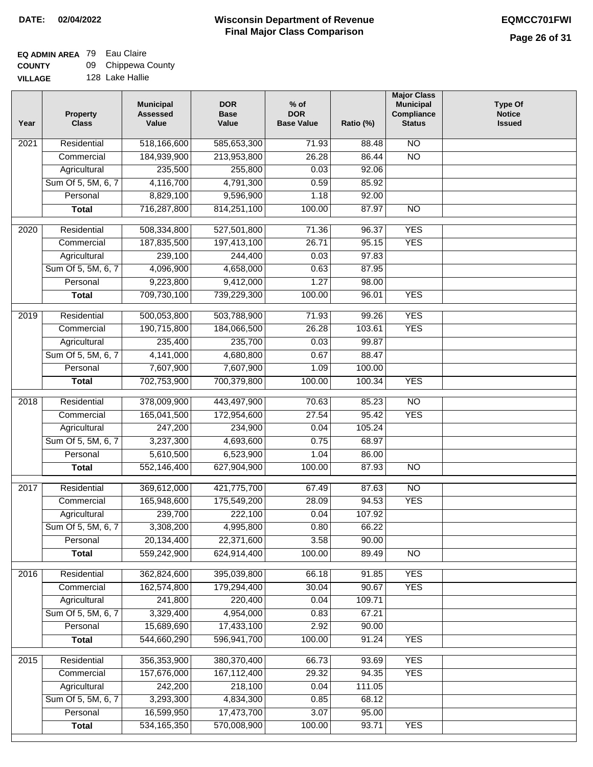### **Wisconsin Department of Revenue Final Major Class Comparison DATE: 02/04/2022 EQMCC701FWI**

# **EQ ADMIN AREA** 79 Eau Claire

**COUNTY VILLAGE** 09 Chippewa County

|  | 128 Lake Hallie |
|--|-----------------|
|  |                 |

| 518,166,600<br><b>NO</b><br>Residential<br>585,653,300<br>71.93<br>88.48<br>2021<br>$\overline{NO}$<br>26.28<br>Commercial<br>184,939,900<br>213,953,800<br>86.44<br>235,500<br>255,800<br>0.03<br>92.06<br>Agricultural<br>Sum Of 5, 5M, 6, 7<br>4,116,700<br>4,791,300<br>0.59<br>85.92<br>8,829,100<br>Personal<br>9,596,900<br>1.18<br>92.00<br>100.00<br>87.97<br>716,287,800<br>814,251,100<br>$\overline{NO}$<br><b>Total</b><br><b>YES</b><br>$\overline{2020}$<br>Residential<br>508,334,800<br>527,501,800<br>71.36<br>96.37<br>197,413,100<br>26.71<br>95.15<br><b>YES</b><br>Commercial<br>187,835,500<br>239,100<br>97.83<br>Agricultural<br>244,400<br>0.03<br>Sum Of 5, 5M, 6, 7<br>4,096,900<br>4,658,000<br>87.95<br>0.63<br>Personal<br>9,223,800<br>9,412,000<br>1.27<br>98.00<br>709,730,100<br><b>YES</b><br>739,229,300<br>100.00<br>96.01<br><b>Total</b><br><b>YES</b><br>$\frac{2019}{ }$<br>Residential<br>500,053,800<br>503,788,900<br>99.26<br>71.93<br><b>YES</b><br>Commercial<br>190,715,800<br>184,066,500<br>26.28<br>103.61<br>235,400<br>235,700<br>99.87<br>Agricultural<br>0.03<br>Sum Of 5, 5M, 6, 7<br>4,141,000<br>4,680,800<br>0.67<br>88.47<br>Personal<br>7,607,900<br>7,607,900<br>1.09<br>100.00<br><b>YES</b><br>702,753,900<br>700,379,800<br>100.00<br>100.34<br><b>Total</b><br>378,009,900<br>$\overline{NO}$<br>Residential<br>443,497,900<br>70.63<br>85.23<br>2018<br>95.42<br>Commercial<br>165,041,500<br>172,954,600<br>27.54<br><b>YES</b><br>Agricultural<br>247,200<br>234,900<br>0.04<br>105.24<br>Sum Of 5, 5M, 6, 7<br>3,237,300<br>4,693,600<br>0.75<br>68.97<br>Personal<br>5,610,500<br>6,523,900<br>1.04<br>86.00<br>552,146,400<br>627,904,900<br>100.00<br>87.93<br>$\overline{10}$<br><b>Total</b><br>Residential<br>369,612,000<br>421,775,700<br>87.63<br><b>NO</b><br>2017<br>67.49<br>165,948,600<br>175,549,200<br>28.09<br>94.53<br><b>YES</b><br>Commercial<br>239,700<br>222,100<br>0.04<br>107.92<br>Agricultural<br>Sum Of 5, 5M, 6, 7<br>3,308,200<br>4,995,800<br>0.80<br>66.22<br>3.58<br>Personal<br>20,134,400<br>22,371,600<br>90.00<br>559,242,900<br>624,914,400<br>100.00<br>89.49<br>$\overline{N}$<br><b>Total</b><br>2016<br>Residential<br>395,039,800<br>66.18<br><b>YES</b><br>362,824,600<br>91.85<br><b>YES</b><br>Commercial<br>162,574,800<br>179,294,400<br>30.04<br>90.67<br>241,800<br>220,400<br>0.04<br>109.71<br>Agricultural<br>Sum Of 5, 5M, 6, 7<br>3,329,400<br>4,954,000<br>0.83<br>67.21<br>Personal<br>15,689,690<br>17,433,100<br>2.92<br>90.00<br>544,660,290<br>596,941,700<br>100.00<br>91.24<br><b>YES</b><br><b>Total</b><br>356, 353, 900<br>380,370,400<br><b>YES</b><br>2015<br>Residential<br>66.73<br>93.69<br>157,676,000<br>167,112,400<br>29.32<br>94.35<br><b>YES</b><br>Commercial<br>242,200<br>Agricultural<br>218,100<br>111.05<br>0.04<br>Sum Of 5, 5M, 6, 7<br>3,293,300<br>4,834,300<br>0.85<br>68.12<br>Personal<br>16,599,950<br>17,473,700<br>3.07<br>95.00<br>570,008,900<br>100.00<br><b>YES</b><br>534, 165, 350<br>93.71<br><b>Total</b> | Year | <b>Property</b><br><b>Class</b> | <b>Municipal</b><br><b>Assessed</b><br>Value | <b>DOR</b><br><b>Base</b><br>Value | $%$ of<br><b>DOR</b><br><b>Base Value</b> | Ratio (%) | <b>Major Class</b><br><b>Municipal</b><br>Compliance<br><b>Status</b> | <b>Type Of</b><br><b>Notice</b><br><b>Issued</b> |
|---------------------------------------------------------------------------------------------------------------------------------------------------------------------------------------------------------------------------------------------------------------------------------------------------------------------------------------------------------------------------------------------------------------------------------------------------------------------------------------------------------------------------------------------------------------------------------------------------------------------------------------------------------------------------------------------------------------------------------------------------------------------------------------------------------------------------------------------------------------------------------------------------------------------------------------------------------------------------------------------------------------------------------------------------------------------------------------------------------------------------------------------------------------------------------------------------------------------------------------------------------------------------------------------------------------------------------------------------------------------------------------------------------------------------------------------------------------------------------------------------------------------------------------------------------------------------------------------------------------------------------------------------------------------------------------------------------------------------------------------------------------------------------------------------------------------------------------------------------------------------------------------------------------------------------------------------------------------------------------------------------------------------------------------------------------------------------------------------------------------------------------------------------------------------------------------------------------------------------------------------------------------------------------------------------------------------------------------------------------------------------------------------------------------------------------------------------------------------------------------------------------------------------------------------------------------------------------------------------------------------------------------------------------------------------------------------------------------------------------------------------------------------------------------------------------------------------------------------------------------------------------------------------------------------------------------------------------------------------------------------------------------------------------------------------------------------------------|------|---------------------------------|----------------------------------------------|------------------------------------|-------------------------------------------|-----------|-----------------------------------------------------------------------|--------------------------------------------------|
|                                                                                                                                                                                                                                                                                                                                                                                                                                                                                                                                                                                                                                                                                                                                                                                                                                                                                                                                                                                                                                                                                                                                                                                                                                                                                                                                                                                                                                                                                                                                                                                                                                                                                                                                                                                                                                                                                                                                                                                                                                                                                                                                                                                                                                                                                                                                                                                                                                                                                                                                                                                                                                                                                                                                                                                                                                                                                                                                                                                                                                                                                       |      |                                 |                                              |                                    |                                           |           |                                                                       |                                                  |
|                                                                                                                                                                                                                                                                                                                                                                                                                                                                                                                                                                                                                                                                                                                                                                                                                                                                                                                                                                                                                                                                                                                                                                                                                                                                                                                                                                                                                                                                                                                                                                                                                                                                                                                                                                                                                                                                                                                                                                                                                                                                                                                                                                                                                                                                                                                                                                                                                                                                                                                                                                                                                                                                                                                                                                                                                                                                                                                                                                                                                                                                                       |      |                                 |                                              |                                    |                                           |           |                                                                       |                                                  |
|                                                                                                                                                                                                                                                                                                                                                                                                                                                                                                                                                                                                                                                                                                                                                                                                                                                                                                                                                                                                                                                                                                                                                                                                                                                                                                                                                                                                                                                                                                                                                                                                                                                                                                                                                                                                                                                                                                                                                                                                                                                                                                                                                                                                                                                                                                                                                                                                                                                                                                                                                                                                                                                                                                                                                                                                                                                                                                                                                                                                                                                                                       |      |                                 |                                              |                                    |                                           |           |                                                                       |                                                  |
|                                                                                                                                                                                                                                                                                                                                                                                                                                                                                                                                                                                                                                                                                                                                                                                                                                                                                                                                                                                                                                                                                                                                                                                                                                                                                                                                                                                                                                                                                                                                                                                                                                                                                                                                                                                                                                                                                                                                                                                                                                                                                                                                                                                                                                                                                                                                                                                                                                                                                                                                                                                                                                                                                                                                                                                                                                                                                                                                                                                                                                                                                       |      |                                 |                                              |                                    |                                           |           |                                                                       |                                                  |
|                                                                                                                                                                                                                                                                                                                                                                                                                                                                                                                                                                                                                                                                                                                                                                                                                                                                                                                                                                                                                                                                                                                                                                                                                                                                                                                                                                                                                                                                                                                                                                                                                                                                                                                                                                                                                                                                                                                                                                                                                                                                                                                                                                                                                                                                                                                                                                                                                                                                                                                                                                                                                                                                                                                                                                                                                                                                                                                                                                                                                                                                                       |      |                                 |                                              |                                    |                                           |           |                                                                       |                                                  |
|                                                                                                                                                                                                                                                                                                                                                                                                                                                                                                                                                                                                                                                                                                                                                                                                                                                                                                                                                                                                                                                                                                                                                                                                                                                                                                                                                                                                                                                                                                                                                                                                                                                                                                                                                                                                                                                                                                                                                                                                                                                                                                                                                                                                                                                                                                                                                                                                                                                                                                                                                                                                                                                                                                                                                                                                                                                                                                                                                                                                                                                                                       |      |                                 |                                              |                                    |                                           |           |                                                                       |                                                  |
|                                                                                                                                                                                                                                                                                                                                                                                                                                                                                                                                                                                                                                                                                                                                                                                                                                                                                                                                                                                                                                                                                                                                                                                                                                                                                                                                                                                                                                                                                                                                                                                                                                                                                                                                                                                                                                                                                                                                                                                                                                                                                                                                                                                                                                                                                                                                                                                                                                                                                                                                                                                                                                                                                                                                                                                                                                                                                                                                                                                                                                                                                       |      |                                 |                                              |                                    |                                           |           |                                                                       |                                                  |
|                                                                                                                                                                                                                                                                                                                                                                                                                                                                                                                                                                                                                                                                                                                                                                                                                                                                                                                                                                                                                                                                                                                                                                                                                                                                                                                                                                                                                                                                                                                                                                                                                                                                                                                                                                                                                                                                                                                                                                                                                                                                                                                                                                                                                                                                                                                                                                                                                                                                                                                                                                                                                                                                                                                                                                                                                                                                                                                                                                                                                                                                                       |      |                                 |                                              |                                    |                                           |           |                                                                       |                                                  |
|                                                                                                                                                                                                                                                                                                                                                                                                                                                                                                                                                                                                                                                                                                                                                                                                                                                                                                                                                                                                                                                                                                                                                                                                                                                                                                                                                                                                                                                                                                                                                                                                                                                                                                                                                                                                                                                                                                                                                                                                                                                                                                                                                                                                                                                                                                                                                                                                                                                                                                                                                                                                                                                                                                                                                                                                                                                                                                                                                                                                                                                                                       |      |                                 |                                              |                                    |                                           |           |                                                                       |                                                  |
|                                                                                                                                                                                                                                                                                                                                                                                                                                                                                                                                                                                                                                                                                                                                                                                                                                                                                                                                                                                                                                                                                                                                                                                                                                                                                                                                                                                                                                                                                                                                                                                                                                                                                                                                                                                                                                                                                                                                                                                                                                                                                                                                                                                                                                                                                                                                                                                                                                                                                                                                                                                                                                                                                                                                                                                                                                                                                                                                                                                                                                                                                       |      |                                 |                                              |                                    |                                           |           |                                                                       |                                                  |
|                                                                                                                                                                                                                                                                                                                                                                                                                                                                                                                                                                                                                                                                                                                                                                                                                                                                                                                                                                                                                                                                                                                                                                                                                                                                                                                                                                                                                                                                                                                                                                                                                                                                                                                                                                                                                                                                                                                                                                                                                                                                                                                                                                                                                                                                                                                                                                                                                                                                                                                                                                                                                                                                                                                                                                                                                                                                                                                                                                                                                                                                                       |      |                                 |                                              |                                    |                                           |           |                                                                       |                                                  |
|                                                                                                                                                                                                                                                                                                                                                                                                                                                                                                                                                                                                                                                                                                                                                                                                                                                                                                                                                                                                                                                                                                                                                                                                                                                                                                                                                                                                                                                                                                                                                                                                                                                                                                                                                                                                                                                                                                                                                                                                                                                                                                                                                                                                                                                                                                                                                                                                                                                                                                                                                                                                                                                                                                                                                                                                                                                                                                                                                                                                                                                                                       |      |                                 |                                              |                                    |                                           |           |                                                                       |                                                  |
|                                                                                                                                                                                                                                                                                                                                                                                                                                                                                                                                                                                                                                                                                                                                                                                                                                                                                                                                                                                                                                                                                                                                                                                                                                                                                                                                                                                                                                                                                                                                                                                                                                                                                                                                                                                                                                                                                                                                                                                                                                                                                                                                                                                                                                                                                                                                                                                                                                                                                                                                                                                                                                                                                                                                                                                                                                                                                                                                                                                                                                                                                       |      |                                 |                                              |                                    |                                           |           |                                                                       |                                                  |
|                                                                                                                                                                                                                                                                                                                                                                                                                                                                                                                                                                                                                                                                                                                                                                                                                                                                                                                                                                                                                                                                                                                                                                                                                                                                                                                                                                                                                                                                                                                                                                                                                                                                                                                                                                                                                                                                                                                                                                                                                                                                                                                                                                                                                                                                                                                                                                                                                                                                                                                                                                                                                                                                                                                                                                                                                                                                                                                                                                                                                                                                                       |      |                                 |                                              |                                    |                                           |           |                                                                       |                                                  |
|                                                                                                                                                                                                                                                                                                                                                                                                                                                                                                                                                                                                                                                                                                                                                                                                                                                                                                                                                                                                                                                                                                                                                                                                                                                                                                                                                                                                                                                                                                                                                                                                                                                                                                                                                                                                                                                                                                                                                                                                                                                                                                                                                                                                                                                                                                                                                                                                                                                                                                                                                                                                                                                                                                                                                                                                                                                                                                                                                                                                                                                                                       |      |                                 |                                              |                                    |                                           |           |                                                                       |                                                  |
|                                                                                                                                                                                                                                                                                                                                                                                                                                                                                                                                                                                                                                                                                                                                                                                                                                                                                                                                                                                                                                                                                                                                                                                                                                                                                                                                                                                                                                                                                                                                                                                                                                                                                                                                                                                                                                                                                                                                                                                                                                                                                                                                                                                                                                                                                                                                                                                                                                                                                                                                                                                                                                                                                                                                                                                                                                                                                                                                                                                                                                                                                       |      |                                 |                                              |                                    |                                           |           |                                                                       |                                                  |
|                                                                                                                                                                                                                                                                                                                                                                                                                                                                                                                                                                                                                                                                                                                                                                                                                                                                                                                                                                                                                                                                                                                                                                                                                                                                                                                                                                                                                                                                                                                                                                                                                                                                                                                                                                                                                                                                                                                                                                                                                                                                                                                                                                                                                                                                                                                                                                                                                                                                                                                                                                                                                                                                                                                                                                                                                                                                                                                                                                                                                                                                                       |      |                                 |                                              |                                    |                                           |           |                                                                       |                                                  |
|                                                                                                                                                                                                                                                                                                                                                                                                                                                                                                                                                                                                                                                                                                                                                                                                                                                                                                                                                                                                                                                                                                                                                                                                                                                                                                                                                                                                                                                                                                                                                                                                                                                                                                                                                                                                                                                                                                                                                                                                                                                                                                                                                                                                                                                                                                                                                                                                                                                                                                                                                                                                                                                                                                                                                                                                                                                                                                                                                                                                                                                                                       |      |                                 |                                              |                                    |                                           |           |                                                                       |                                                  |
|                                                                                                                                                                                                                                                                                                                                                                                                                                                                                                                                                                                                                                                                                                                                                                                                                                                                                                                                                                                                                                                                                                                                                                                                                                                                                                                                                                                                                                                                                                                                                                                                                                                                                                                                                                                                                                                                                                                                                                                                                                                                                                                                                                                                                                                                                                                                                                                                                                                                                                                                                                                                                                                                                                                                                                                                                                                                                                                                                                                                                                                                                       |      |                                 |                                              |                                    |                                           |           |                                                                       |                                                  |
|                                                                                                                                                                                                                                                                                                                                                                                                                                                                                                                                                                                                                                                                                                                                                                                                                                                                                                                                                                                                                                                                                                                                                                                                                                                                                                                                                                                                                                                                                                                                                                                                                                                                                                                                                                                                                                                                                                                                                                                                                                                                                                                                                                                                                                                                                                                                                                                                                                                                                                                                                                                                                                                                                                                                                                                                                                                                                                                                                                                                                                                                                       |      |                                 |                                              |                                    |                                           |           |                                                                       |                                                  |
|                                                                                                                                                                                                                                                                                                                                                                                                                                                                                                                                                                                                                                                                                                                                                                                                                                                                                                                                                                                                                                                                                                                                                                                                                                                                                                                                                                                                                                                                                                                                                                                                                                                                                                                                                                                                                                                                                                                                                                                                                                                                                                                                                                                                                                                                                                                                                                                                                                                                                                                                                                                                                                                                                                                                                                                                                                                                                                                                                                                                                                                                                       |      |                                 |                                              |                                    |                                           |           |                                                                       |                                                  |
|                                                                                                                                                                                                                                                                                                                                                                                                                                                                                                                                                                                                                                                                                                                                                                                                                                                                                                                                                                                                                                                                                                                                                                                                                                                                                                                                                                                                                                                                                                                                                                                                                                                                                                                                                                                                                                                                                                                                                                                                                                                                                                                                                                                                                                                                                                                                                                                                                                                                                                                                                                                                                                                                                                                                                                                                                                                                                                                                                                                                                                                                                       |      |                                 |                                              |                                    |                                           |           |                                                                       |                                                  |
|                                                                                                                                                                                                                                                                                                                                                                                                                                                                                                                                                                                                                                                                                                                                                                                                                                                                                                                                                                                                                                                                                                                                                                                                                                                                                                                                                                                                                                                                                                                                                                                                                                                                                                                                                                                                                                                                                                                                                                                                                                                                                                                                                                                                                                                                                                                                                                                                                                                                                                                                                                                                                                                                                                                                                                                                                                                                                                                                                                                                                                                                                       |      |                                 |                                              |                                    |                                           |           |                                                                       |                                                  |
|                                                                                                                                                                                                                                                                                                                                                                                                                                                                                                                                                                                                                                                                                                                                                                                                                                                                                                                                                                                                                                                                                                                                                                                                                                                                                                                                                                                                                                                                                                                                                                                                                                                                                                                                                                                                                                                                                                                                                                                                                                                                                                                                                                                                                                                                                                                                                                                                                                                                                                                                                                                                                                                                                                                                                                                                                                                                                                                                                                                                                                                                                       |      |                                 |                                              |                                    |                                           |           |                                                                       |                                                  |
|                                                                                                                                                                                                                                                                                                                                                                                                                                                                                                                                                                                                                                                                                                                                                                                                                                                                                                                                                                                                                                                                                                                                                                                                                                                                                                                                                                                                                                                                                                                                                                                                                                                                                                                                                                                                                                                                                                                                                                                                                                                                                                                                                                                                                                                                                                                                                                                                                                                                                                                                                                                                                                                                                                                                                                                                                                                                                                                                                                                                                                                                                       |      |                                 |                                              |                                    |                                           |           |                                                                       |                                                  |
|                                                                                                                                                                                                                                                                                                                                                                                                                                                                                                                                                                                                                                                                                                                                                                                                                                                                                                                                                                                                                                                                                                                                                                                                                                                                                                                                                                                                                                                                                                                                                                                                                                                                                                                                                                                                                                                                                                                                                                                                                                                                                                                                                                                                                                                                                                                                                                                                                                                                                                                                                                                                                                                                                                                                                                                                                                                                                                                                                                                                                                                                                       |      |                                 |                                              |                                    |                                           |           |                                                                       |                                                  |
|                                                                                                                                                                                                                                                                                                                                                                                                                                                                                                                                                                                                                                                                                                                                                                                                                                                                                                                                                                                                                                                                                                                                                                                                                                                                                                                                                                                                                                                                                                                                                                                                                                                                                                                                                                                                                                                                                                                                                                                                                                                                                                                                                                                                                                                                                                                                                                                                                                                                                                                                                                                                                                                                                                                                                                                                                                                                                                                                                                                                                                                                                       |      |                                 |                                              |                                    |                                           |           |                                                                       |                                                  |
|                                                                                                                                                                                                                                                                                                                                                                                                                                                                                                                                                                                                                                                                                                                                                                                                                                                                                                                                                                                                                                                                                                                                                                                                                                                                                                                                                                                                                                                                                                                                                                                                                                                                                                                                                                                                                                                                                                                                                                                                                                                                                                                                                                                                                                                                                                                                                                                                                                                                                                                                                                                                                                                                                                                                                                                                                                                                                                                                                                                                                                                                                       |      |                                 |                                              |                                    |                                           |           |                                                                       |                                                  |
|                                                                                                                                                                                                                                                                                                                                                                                                                                                                                                                                                                                                                                                                                                                                                                                                                                                                                                                                                                                                                                                                                                                                                                                                                                                                                                                                                                                                                                                                                                                                                                                                                                                                                                                                                                                                                                                                                                                                                                                                                                                                                                                                                                                                                                                                                                                                                                                                                                                                                                                                                                                                                                                                                                                                                                                                                                                                                                                                                                                                                                                                                       |      |                                 |                                              |                                    |                                           |           |                                                                       |                                                  |
|                                                                                                                                                                                                                                                                                                                                                                                                                                                                                                                                                                                                                                                                                                                                                                                                                                                                                                                                                                                                                                                                                                                                                                                                                                                                                                                                                                                                                                                                                                                                                                                                                                                                                                                                                                                                                                                                                                                                                                                                                                                                                                                                                                                                                                                                                                                                                                                                                                                                                                                                                                                                                                                                                                                                                                                                                                                                                                                                                                                                                                                                                       |      |                                 |                                              |                                    |                                           |           |                                                                       |                                                  |
|                                                                                                                                                                                                                                                                                                                                                                                                                                                                                                                                                                                                                                                                                                                                                                                                                                                                                                                                                                                                                                                                                                                                                                                                                                                                                                                                                                                                                                                                                                                                                                                                                                                                                                                                                                                                                                                                                                                                                                                                                                                                                                                                                                                                                                                                                                                                                                                                                                                                                                                                                                                                                                                                                                                                                                                                                                                                                                                                                                                                                                                                                       |      |                                 |                                              |                                    |                                           |           |                                                                       |                                                  |
|                                                                                                                                                                                                                                                                                                                                                                                                                                                                                                                                                                                                                                                                                                                                                                                                                                                                                                                                                                                                                                                                                                                                                                                                                                                                                                                                                                                                                                                                                                                                                                                                                                                                                                                                                                                                                                                                                                                                                                                                                                                                                                                                                                                                                                                                                                                                                                                                                                                                                                                                                                                                                                                                                                                                                                                                                                                                                                                                                                                                                                                                                       |      |                                 |                                              |                                    |                                           |           |                                                                       |                                                  |
|                                                                                                                                                                                                                                                                                                                                                                                                                                                                                                                                                                                                                                                                                                                                                                                                                                                                                                                                                                                                                                                                                                                                                                                                                                                                                                                                                                                                                                                                                                                                                                                                                                                                                                                                                                                                                                                                                                                                                                                                                                                                                                                                                                                                                                                                                                                                                                                                                                                                                                                                                                                                                                                                                                                                                                                                                                                                                                                                                                                                                                                                                       |      |                                 |                                              |                                    |                                           |           |                                                                       |                                                  |
|                                                                                                                                                                                                                                                                                                                                                                                                                                                                                                                                                                                                                                                                                                                                                                                                                                                                                                                                                                                                                                                                                                                                                                                                                                                                                                                                                                                                                                                                                                                                                                                                                                                                                                                                                                                                                                                                                                                                                                                                                                                                                                                                                                                                                                                                                                                                                                                                                                                                                                                                                                                                                                                                                                                                                                                                                                                                                                                                                                                                                                                                                       |      |                                 |                                              |                                    |                                           |           |                                                                       |                                                  |
|                                                                                                                                                                                                                                                                                                                                                                                                                                                                                                                                                                                                                                                                                                                                                                                                                                                                                                                                                                                                                                                                                                                                                                                                                                                                                                                                                                                                                                                                                                                                                                                                                                                                                                                                                                                                                                                                                                                                                                                                                                                                                                                                                                                                                                                                                                                                                                                                                                                                                                                                                                                                                                                                                                                                                                                                                                                                                                                                                                                                                                                                                       |      |                                 |                                              |                                    |                                           |           |                                                                       |                                                  |
|                                                                                                                                                                                                                                                                                                                                                                                                                                                                                                                                                                                                                                                                                                                                                                                                                                                                                                                                                                                                                                                                                                                                                                                                                                                                                                                                                                                                                                                                                                                                                                                                                                                                                                                                                                                                                                                                                                                                                                                                                                                                                                                                                                                                                                                                                                                                                                                                                                                                                                                                                                                                                                                                                                                                                                                                                                                                                                                                                                                                                                                                                       |      |                                 |                                              |                                    |                                           |           |                                                                       |                                                  |
|                                                                                                                                                                                                                                                                                                                                                                                                                                                                                                                                                                                                                                                                                                                                                                                                                                                                                                                                                                                                                                                                                                                                                                                                                                                                                                                                                                                                                                                                                                                                                                                                                                                                                                                                                                                                                                                                                                                                                                                                                                                                                                                                                                                                                                                                                                                                                                                                                                                                                                                                                                                                                                                                                                                                                                                                                                                                                                                                                                                                                                                                                       |      |                                 |                                              |                                    |                                           |           |                                                                       |                                                  |
|                                                                                                                                                                                                                                                                                                                                                                                                                                                                                                                                                                                                                                                                                                                                                                                                                                                                                                                                                                                                                                                                                                                                                                                                                                                                                                                                                                                                                                                                                                                                                                                                                                                                                                                                                                                                                                                                                                                                                                                                                                                                                                                                                                                                                                                                                                                                                                                                                                                                                                                                                                                                                                                                                                                                                                                                                                                                                                                                                                                                                                                                                       |      |                                 |                                              |                                    |                                           |           |                                                                       |                                                  |
|                                                                                                                                                                                                                                                                                                                                                                                                                                                                                                                                                                                                                                                                                                                                                                                                                                                                                                                                                                                                                                                                                                                                                                                                                                                                                                                                                                                                                                                                                                                                                                                                                                                                                                                                                                                                                                                                                                                                                                                                                                                                                                                                                                                                                                                                                                                                                                                                                                                                                                                                                                                                                                                                                                                                                                                                                                                                                                                                                                                                                                                                                       |      |                                 |                                              |                                    |                                           |           |                                                                       |                                                  |
|                                                                                                                                                                                                                                                                                                                                                                                                                                                                                                                                                                                                                                                                                                                                                                                                                                                                                                                                                                                                                                                                                                                                                                                                                                                                                                                                                                                                                                                                                                                                                                                                                                                                                                                                                                                                                                                                                                                                                                                                                                                                                                                                                                                                                                                                                                                                                                                                                                                                                                                                                                                                                                                                                                                                                                                                                                                                                                                                                                                                                                                                                       |      |                                 |                                              |                                    |                                           |           |                                                                       |                                                  |
|                                                                                                                                                                                                                                                                                                                                                                                                                                                                                                                                                                                                                                                                                                                                                                                                                                                                                                                                                                                                                                                                                                                                                                                                                                                                                                                                                                                                                                                                                                                                                                                                                                                                                                                                                                                                                                                                                                                                                                                                                                                                                                                                                                                                                                                                                                                                                                                                                                                                                                                                                                                                                                                                                                                                                                                                                                                                                                                                                                                                                                                                                       |      |                                 |                                              |                                    |                                           |           |                                                                       |                                                  |
|                                                                                                                                                                                                                                                                                                                                                                                                                                                                                                                                                                                                                                                                                                                                                                                                                                                                                                                                                                                                                                                                                                                                                                                                                                                                                                                                                                                                                                                                                                                                                                                                                                                                                                                                                                                                                                                                                                                                                                                                                                                                                                                                                                                                                                                                                                                                                                                                                                                                                                                                                                                                                                                                                                                                                                                                                                                                                                                                                                                                                                                                                       |      |                                 |                                              |                                    |                                           |           |                                                                       |                                                  |
|                                                                                                                                                                                                                                                                                                                                                                                                                                                                                                                                                                                                                                                                                                                                                                                                                                                                                                                                                                                                                                                                                                                                                                                                                                                                                                                                                                                                                                                                                                                                                                                                                                                                                                                                                                                                                                                                                                                                                                                                                                                                                                                                                                                                                                                                                                                                                                                                                                                                                                                                                                                                                                                                                                                                                                                                                                                                                                                                                                                                                                                                                       |      |                                 |                                              |                                    |                                           |           |                                                                       |                                                  |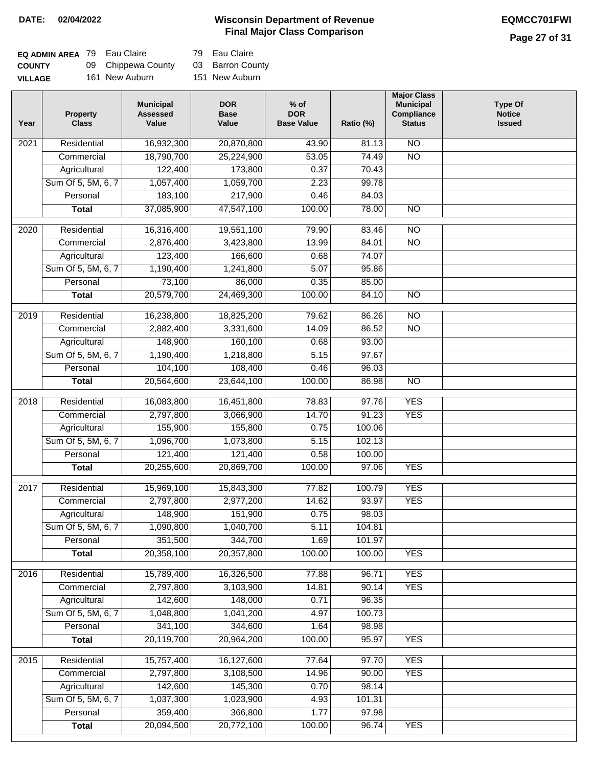### **Wisconsin Department of Revenue DATE: 02/04/2022 EQMCC701FWI Final Major Class Comparison**

### **Page 27 of 31**

| <b>EQ ADMIN AREA 79 Eau Claire</b> |                    | 79 Eau Claire    |
|------------------------------------|--------------------|------------------|
| <b>COUNTY</b>                      | 09 Chippewa County | 03 Barron County |
| <b>VILLAGE</b>                     | 161 New Auburn     | 151 New Auburn   |

| Year | <b>Property</b><br><b>Class</b> | <b>Municipal</b><br><b>Assessed</b><br>Value | <b>DOR</b><br><b>Base</b><br>Value | $%$ of<br><b>DOR</b><br><b>Base Value</b> | Ratio (%)        | <b>Major Class</b><br><b>Municipal</b><br>Compliance<br><b>Status</b> | <b>Type Of</b><br><b>Notice</b><br><b>Issued</b> |
|------|---------------------------------|----------------------------------------------|------------------------------------|-------------------------------------------|------------------|-----------------------------------------------------------------------|--------------------------------------------------|
| 2021 | Residential                     | 16,932,300                                   | 20,870,800                         | 43.90                                     | 81.13            | $\overline{NO}$                                                       |                                                  |
|      | Commercial                      | 18,790,700                                   | 25,224,900                         | 53.05                                     | 74.49            | $\overline{NO}$                                                       |                                                  |
|      | Agricultural                    | 122,400                                      | 173,800                            | 0.37                                      | 70.43            |                                                                       |                                                  |
|      | Sum Of 5, 5M, 6, 7              | 1,057,400                                    | 1,059,700                          | 2.23                                      | 99.78            |                                                                       |                                                  |
|      | Personal                        | 183,100                                      | 217,900                            | 0.46                                      | 84.03            |                                                                       |                                                  |
|      | <b>Total</b>                    | 37,085,900                                   | 47,547,100                         | 100.00                                    | 78.00            | $\overline{NO}$                                                       |                                                  |
| 2020 | Residential                     | 16,316,400                                   | 19,551,100                         | 79.90                                     | 83.46            | $\overline{10}$                                                       |                                                  |
|      | Commercial                      | 2,876,400                                    | 3,423,800                          | 13.99                                     | 84.01            | $\overline{NO}$                                                       |                                                  |
|      | Agricultural                    | 123,400                                      | 166,600                            | 0.68                                      | 74.07            |                                                                       |                                                  |
|      | Sum Of 5, 5M, 6, 7              | 1,190,400                                    | 1,241,800                          | 5.07                                      | 95.86            |                                                                       |                                                  |
|      | Personal                        | 73,100                                       | 86,000                             | 0.35                                      | 85.00            |                                                                       |                                                  |
|      | <b>Total</b>                    | 20,579,700                                   | 24,469,300                         | 100.00                                    | 84.10            | $\overline{NO}$                                                       |                                                  |
|      |                                 |                                              |                                    |                                           |                  |                                                                       |                                                  |
| 2019 | Residential                     | 16,238,800                                   | 18,825,200                         | 79.62                                     | 86.26            | $\overline{10}$                                                       |                                                  |
|      | Commercial                      | 2,882,400                                    | 3,331,600                          | 14.09                                     | 86.52            | $\overline{NO}$                                                       |                                                  |
|      | Agricultural                    | 148,900                                      | 160,100                            | 0.68                                      | 93.00            |                                                                       |                                                  |
|      | Sum Of 5, 5M, 6, 7              | 1,190,400                                    | 1,218,800                          | 5.15                                      | 97.67            |                                                                       |                                                  |
|      | Personal                        | 104,100                                      | 108,400                            | 0.46                                      | 96.03            |                                                                       |                                                  |
|      | <b>Total</b>                    | 20,564,600                                   | 23,644,100                         | 100.00                                    | 86.98            | $\overline{NO}$                                                       |                                                  |
| 2018 | Residential                     | 16,083,800                                   | 16,451,800                         | 78.83                                     | 97.76            | <b>YES</b>                                                            |                                                  |
|      | Commercial                      | 2,797,800                                    | 3,066,900                          | 14.70                                     | 91.23            | <b>YES</b>                                                            |                                                  |
|      | Agricultural                    | 155,900                                      | 155,800                            | 0.75                                      | 100.06           |                                                                       |                                                  |
|      | Sum Of 5, 5M, 6, 7              | 1,096,700                                    | 1,073,800                          | 5.15                                      | 102.13           |                                                                       |                                                  |
|      | Personal                        | 121,400                                      | 121,400                            | 0.58                                      | 100.00           |                                                                       |                                                  |
|      | <b>Total</b>                    | 20,255,600                                   | 20,869,700                         | 100.00                                    | 97.06            | <b>YES</b>                                                            |                                                  |
|      |                                 |                                              |                                    |                                           |                  |                                                                       |                                                  |
| 2017 | Residential                     | 15,969,100                                   | 15,843,300                         | 77.82                                     | 100.79           | <b>YES</b>                                                            |                                                  |
|      | Commercial                      | 2,797,800                                    | 2,977,200                          | 14.62                                     | 93.97            | <b>YES</b>                                                            |                                                  |
|      | Agricultural                    | 148,900                                      | 151,900                            | 0.75                                      | 98.03            |                                                                       |                                                  |
|      | Sum Of 5, 5M, 6, 7              | 1,090,800                                    | 1,040,700                          | 5.11                                      | 104.81           |                                                                       |                                                  |
|      | Personal                        | 351,500<br>20,358,100                        | 344,700<br>20,357,800              | 1.69<br>100.00                            | 101.97<br>100.00 | <b>YES</b>                                                            |                                                  |
|      | <b>Total</b>                    |                                              |                                    |                                           |                  |                                                                       |                                                  |
| 2016 | Residential                     | 15,789,400                                   | 16,326,500                         | 77.88                                     | 96.71            | <b>YES</b>                                                            |                                                  |
|      | Commercial                      | 2,797,800                                    | 3,103,900                          | 14.81                                     | 90.14            | <b>YES</b>                                                            |                                                  |
|      | Agricultural                    | 142,600                                      | 148,000                            | 0.71                                      | 96.35            |                                                                       |                                                  |
|      | Sum Of 5, 5M, 6, 7              | 1,048,800                                    | 1,041,200                          | 4.97                                      | 100.73           |                                                                       |                                                  |
|      | Personal                        | 341,100                                      | 344,600                            | 1.64                                      | 98.98            |                                                                       |                                                  |
|      | <b>Total</b>                    | 20,119,700                                   | 20,964,200                         | 100.00                                    | 95.97            | <b>YES</b>                                                            |                                                  |
| 2015 | Residential                     | 15,757,400                                   | 16,127,600                         | 77.64                                     | 97.70            | <b>YES</b>                                                            |                                                  |
|      | Commercial                      | 2,797,800                                    | 3,108,500                          | 14.96                                     | 90.00            | <b>YES</b>                                                            |                                                  |
|      | Agricultural                    | 142,600                                      | 145,300                            | 0.70                                      | 98.14            |                                                                       |                                                  |
|      | Sum Of 5, 5M, 6, 7              | 1,037,300                                    | 1,023,900                          | 4.93                                      | 101.31           |                                                                       |                                                  |
|      | Personal                        | 359,400                                      | 366,800                            | 1.77                                      | 97.98            |                                                                       |                                                  |
|      | <b>Total</b>                    | 20,094,500                                   | 20,772,100                         | 100.00                                    | 96.74            | <b>YES</b>                                                            |                                                  |
|      |                                 |                                              |                                    |                                           |                  |                                                                       |                                                  |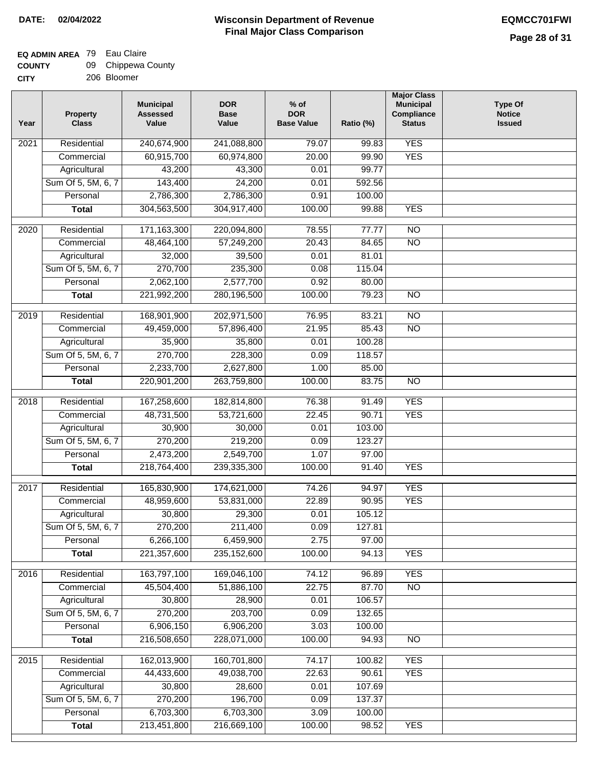# **EQ ADMIN AREA** 79 Eau Claire

| <b>COUNTY</b> | 09 Chippewa County |
|---------------|--------------------|
| CITY          | 206 Bloomer        |

206 Bloomer

| Year | <b>Property</b><br><b>Class</b> | <b>Municipal</b><br><b>Assessed</b><br>Value | <b>DOR</b><br><b>Base</b><br>Value | $%$ of<br><b>DOR</b><br><b>Base Value</b> | Ratio (%) | <b>Major Class</b><br><b>Municipal</b><br>Compliance<br><b>Status</b> | <b>Type Of</b><br><b>Notice</b><br><b>Issued</b> |
|------|---------------------------------|----------------------------------------------|------------------------------------|-------------------------------------------|-----------|-----------------------------------------------------------------------|--------------------------------------------------|
| 2021 | Residential                     | 240,674,900                                  | 241,088,800                        | 79.07                                     | 99.83     | <b>YES</b>                                                            |                                                  |
|      | Commercial                      | 60,915,700                                   | 60,974,800                         | 20.00                                     | 99.90     | <b>YES</b>                                                            |                                                  |
|      | Agricultural                    | 43,200                                       | 43,300                             | 0.01                                      | 99.77     |                                                                       |                                                  |
|      | Sum Of 5, 5M, 6, 7              | 143,400                                      | 24,200                             | 0.01                                      | 592.56    |                                                                       |                                                  |
|      | Personal                        | 2,786,300                                    | 2,786,300                          | 0.91                                      | 100.00    |                                                                       |                                                  |
|      | <b>Total</b>                    | 304,563,500                                  | 304,917,400                        | 100.00                                    | 99.88     | <b>YES</b>                                                            |                                                  |
| 2020 | Residential                     | 171,163,300                                  | 220,094,800                        | 78.55                                     | 77.77     | $\overline{NO}$                                                       |                                                  |
|      | Commercial                      | 48,464,100                                   | 57,249,200                         | 20.43                                     | 84.65     | $\overline{NO}$                                                       |                                                  |
|      | Agricultural                    | 32,000                                       | 39,500                             | 0.01                                      | 81.01     |                                                                       |                                                  |
|      | Sum Of 5, 5M, 6, 7              | 270,700                                      | 235,300                            | 0.08                                      | 115.04    |                                                                       |                                                  |
|      | Personal                        | 2,062,100                                    | 2,577,700                          | 0.92                                      | 80.00     |                                                                       |                                                  |
|      | <b>Total</b>                    | 221,992,200                                  | 280,196,500                        | 100.00                                    | 79.23     | $\overline{NO}$                                                       |                                                  |
| 2019 | Residential                     | 168,901,900                                  | 202,971,500                        | 76.95                                     | 83.21     | $\overline{NO}$                                                       |                                                  |
|      | Commercial                      | 49,459,000                                   | 57,896,400                         | 21.95                                     | 85.43     | $\overline{NO}$                                                       |                                                  |
|      | Agricultural                    | 35,900                                       | 35,800                             | 0.01                                      | 100.28    |                                                                       |                                                  |
|      | Sum Of 5, 5M, 6, 7              | 270,700                                      | 228,300                            | 0.09                                      | 118.57    |                                                                       |                                                  |
|      | Personal                        | 2,233,700                                    | 2,627,800                          | 1.00                                      | 85.00     |                                                                       |                                                  |
|      | <b>Total</b>                    | 220,901,200                                  | 263,759,800                        | 100.00                                    | 83.75     | $\overline{NO}$                                                       |                                                  |
| 2018 | Residential                     | 167,258,600                                  | 182,814,800                        | 76.38                                     | 91.49     | <b>YES</b>                                                            |                                                  |
|      | Commercial                      | 48,731,500                                   | 53,721,600                         | 22.45                                     | 90.71     | <b>YES</b>                                                            |                                                  |
|      | Agricultural                    | 30,900                                       | 30,000                             | 0.01                                      | 103.00    |                                                                       |                                                  |
|      | Sum Of 5, 5M, 6, 7              | 270,200                                      | 219,200                            | 0.09                                      | 123.27    |                                                                       |                                                  |
|      | Personal                        | 2,473,200                                    | 2,549,700                          | 1.07                                      | 97.00     |                                                                       |                                                  |
|      | <b>Total</b>                    | 218,764,400                                  | 239,335,300                        | 100.00                                    | 91.40     | <b>YES</b>                                                            |                                                  |
| 2017 | Residential                     | 165,830,900                                  | 174,621,000                        | 74.26                                     | 94.97     | <b>YES</b>                                                            |                                                  |
|      | Commercial                      | 48,959,600                                   | 53,831,000                         | 22.89                                     | 90.95     | <b>YES</b>                                                            |                                                  |
|      | Agricultural                    | 30,800                                       | 29,300                             | 0.01                                      | 105.12    |                                                                       |                                                  |
|      | Sum Of 5, 5M, 6, 7              | 270,200                                      | 211,400                            | 0.09                                      | 127.81    |                                                                       |                                                  |
|      | Personal                        | 6,266,100                                    | 6,459,900                          | 2.75                                      | 97.00     |                                                                       |                                                  |
|      | <b>Total</b>                    | 221,357,600                                  | 235, 152, 600                      | 100.00                                    | 94.13     | <b>YES</b>                                                            |                                                  |
| 2016 | Residential                     | 163,797,100                                  | 169,046,100                        | 74.12                                     | 96.89     | <b>YES</b>                                                            |                                                  |
|      | Commercial                      | 45,504,400                                   | 51,886,100                         | 22.75                                     | 87.70     | N <sub>O</sub>                                                        |                                                  |
|      | Agricultural                    | 30,800                                       | 28,900                             | 0.01                                      | 106.57    |                                                                       |                                                  |
|      | Sum Of 5, 5M, 6, 7              | 270,200                                      | 203,700                            | 0.09                                      | 132.65    |                                                                       |                                                  |
|      | Personal                        | 6,906,150                                    | 6,906,200                          | 3.03                                      | 100.00    |                                                                       |                                                  |
|      | <b>Total</b>                    | 216,508,650                                  | 228,071,000                        | 100.00                                    | 94.93     | N <sub>O</sub>                                                        |                                                  |
| 2015 | Residential                     | 162,013,900                                  | 160,701,800                        | 74.17                                     | 100.82    | <b>YES</b>                                                            |                                                  |
|      | Commercial                      | 44,433,600                                   | 49,038,700                         | 22.63                                     | 90.61     | <b>YES</b>                                                            |                                                  |
|      | Agricultural                    | 30,800                                       | 28,600                             | 0.01                                      | 107.69    |                                                                       |                                                  |
|      | Sum Of 5, 5M, 6, 7              | 270,200                                      | 196,700                            | 0.09                                      | 137.37    |                                                                       |                                                  |
|      | Personal                        | 6,703,300                                    | 6,703,300                          | 3.09                                      | 100.00    |                                                                       |                                                  |
|      | <b>Total</b>                    | 213,451,800                                  | 216,669,100                        | 100.00                                    | 98.52     | <b>YES</b>                                                            |                                                  |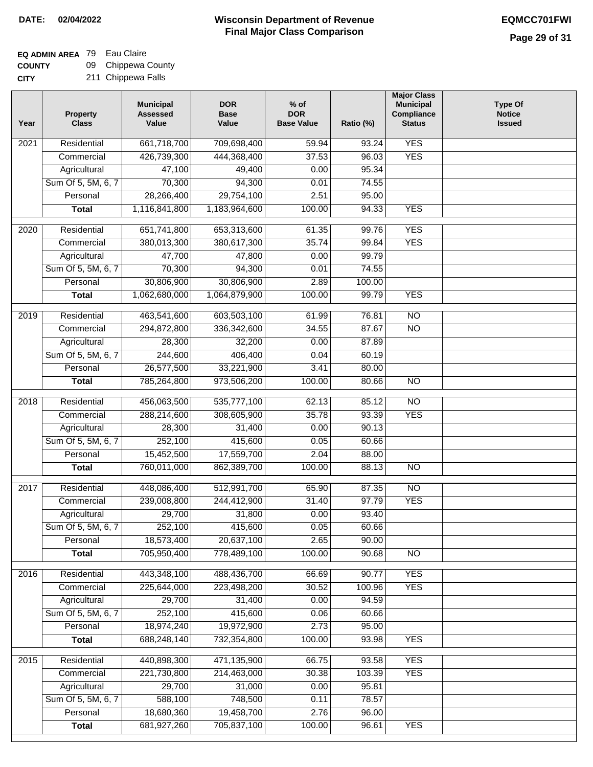## **EQ ADMIN AREA** 79 Eau Claire

**COUNTY CITY** 09 Chippewa County

|  | 211 Chippewa Falls |  |
|--|--------------------|--|
|--|--------------------|--|

| Year | <b>Property</b><br><b>Class</b> | <b>Municipal</b><br><b>Assessed</b><br>Value | <b>DOR</b><br><b>Base</b><br>Value | $%$ of<br><b>DOR</b><br><b>Base Value</b> | Ratio (%) | <b>Major Class</b><br><b>Municipal</b><br>Compliance<br><b>Status</b> | <b>Type Of</b><br><b>Notice</b><br><b>Issued</b> |
|------|---------------------------------|----------------------------------------------|------------------------------------|-------------------------------------------|-----------|-----------------------------------------------------------------------|--------------------------------------------------|
| 2021 | Residential                     | 661,718,700                                  | 709,698,400                        | 59.94                                     | 93.24     | <b>YES</b>                                                            |                                                  |
|      | Commercial                      | 426,739,300                                  | 444,368,400                        | 37.53                                     | 96.03     | <b>YES</b>                                                            |                                                  |
|      | Agricultural                    | 47,100                                       | 49,400                             | 0.00                                      | 95.34     |                                                                       |                                                  |
|      | Sum Of 5, 5M, 6, 7              | 70,300                                       | 94,300                             | 0.01                                      | 74.55     |                                                                       |                                                  |
|      | Personal                        | 28,266,400                                   | 29,754,100                         | 2.51                                      | 95.00     |                                                                       |                                                  |
|      | <b>Total</b>                    | 1,116,841,800                                | 1,183,964,600                      | 100.00                                    | 94.33     | <b>YES</b>                                                            |                                                  |
| 2020 | Residential                     | 651,741,800                                  | 653,313,600                        | 61.35                                     | 99.76     | <b>YES</b>                                                            |                                                  |
|      | Commercial                      | 380,013,300                                  | 380,617,300                        | 35.74                                     | 99.84     | <b>YES</b>                                                            |                                                  |
|      | Agricultural                    | 47,700                                       | 47,800                             | 0.00                                      | 99.79     |                                                                       |                                                  |
|      | Sum Of 5, 5M, 6, 7              | 70,300                                       | 94,300                             | 0.01                                      | 74.55     |                                                                       |                                                  |
|      | Personal                        | 30,806,900                                   | 30,806,900                         | 2.89                                      | 100.00    |                                                                       |                                                  |
|      | <b>Total</b>                    | 1,062,680,000                                | 1,064,879,900                      | 100.00                                    | 99.79     | <b>YES</b>                                                            |                                                  |
| 2019 | Residential                     | 463,541,600                                  | 603,503,100                        | 61.99                                     | 76.81     | $\overline{NO}$                                                       |                                                  |
|      | Commercial                      | 294,872,800                                  | 336, 342, 600                      | 34.55                                     | 87.67     | $\overline{NO}$                                                       |                                                  |
|      | Agricultural                    | 28,300                                       | 32,200                             | 0.00                                      | 87.89     |                                                                       |                                                  |
|      | Sum Of 5, 5M, 6, 7              | 244,600                                      | 406,400                            | 0.04                                      | 60.19     |                                                                       |                                                  |
|      | Personal                        | 26,577,500                                   | 33,221,900                         | 3.41                                      | 80.00     |                                                                       |                                                  |
|      | <b>Total</b>                    | 785,264,800                                  | 973,506,200                        | 100.00                                    | 80.66     | $\overline{NO}$                                                       |                                                  |
| 2018 | Residential                     | 456,063,500                                  | 535,777,100                        | 62.13                                     | 85.12     | $\overline{NO}$                                                       |                                                  |
|      | Commercial                      | 288,214,600                                  | 308,605,900                        | 35.78                                     | 93.39     | <b>YES</b>                                                            |                                                  |
|      | Agricultural                    | 28,300                                       | 31,400                             | 0.00                                      | 90.13     |                                                                       |                                                  |
|      | Sum Of 5, 5M, 6, 7              | 252,100                                      | 415,600                            | 0.05                                      | 60.66     |                                                                       |                                                  |
|      | Personal                        | 15,452,500                                   | 17,559,700                         | 2.04                                      | 88.00     |                                                                       |                                                  |
|      | <b>Total</b>                    | 760,011,000                                  | 862,389,700                        | 100.00                                    | 88.13     | <b>NO</b>                                                             |                                                  |
| 2017 | Residential                     | 448,086,400                                  | 512,991,700                        | 65.90                                     | 87.35     | $\overline{NO}$                                                       |                                                  |
|      | Commercial                      | 239,008,800                                  | 244,412,900                        | 31.40                                     | 97.79     | <b>YES</b>                                                            |                                                  |
|      | Agricultural                    | 29,700                                       | 31,800                             | 0.00                                      | 93.40     |                                                                       |                                                  |
|      | Sum Of 5, 5M, 6, 7              | 252,100                                      | 415,600                            | 0.05                                      | 60.66     |                                                                       |                                                  |
|      | Personal                        | 18,573,400                                   | 20,637,100                         | 2.65                                      | 90.00     |                                                                       |                                                  |
|      | <b>Total</b>                    | 705,950,400                                  | 778,489,100                        | 100.00                                    | 90.68     | $\overline{N}$                                                        |                                                  |
| 2016 | Residential                     | 443,348,100                                  | 488,436,700                        | 66.69                                     | 90.77     | <b>YES</b>                                                            |                                                  |
|      | Commercial                      | 225,644,000                                  | 223,498,200                        | 30.52                                     | 100.96    | <b>YES</b>                                                            |                                                  |
|      | Agricultural                    | 29,700                                       | 31,400                             | 0.00                                      | 94.59     |                                                                       |                                                  |
|      | Sum Of 5, 5M, 6, 7              | 252,100                                      | 415,600                            | 0.06                                      | 60.66     |                                                                       |                                                  |
|      | Personal                        | 18,974,240                                   | 19,972,900                         | 2.73                                      | 95.00     |                                                                       |                                                  |
|      | <b>Total</b>                    | 688,248,140                                  | 732,354,800                        | 100.00                                    | 93.98     | <b>YES</b>                                                            |                                                  |
| 2015 | Residential                     | 440,898,300                                  | 471,135,900                        | 66.75                                     | 93.58     | <b>YES</b>                                                            |                                                  |
|      | Commercial                      | 221,730,800                                  | 214,463,000                        | 30.38                                     | 103.39    | <b>YES</b>                                                            |                                                  |
|      | Agricultural                    | 29,700                                       | 31,000                             | 0.00                                      | 95.81     |                                                                       |                                                  |
|      | Sum Of 5, 5M, 6, 7              | 588,100                                      | 748,500                            | 0.11                                      | 78.57     |                                                                       |                                                  |
|      | Personal                        | 18,680,360                                   | 19,458,700                         | 2.76                                      | 96.00     |                                                                       |                                                  |
|      | <b>Total</b>                    | 681,927,260                                  | 705,837,100                        | 100.00                                    | 96.61     | <b>YES</b>                                                            |                                                  |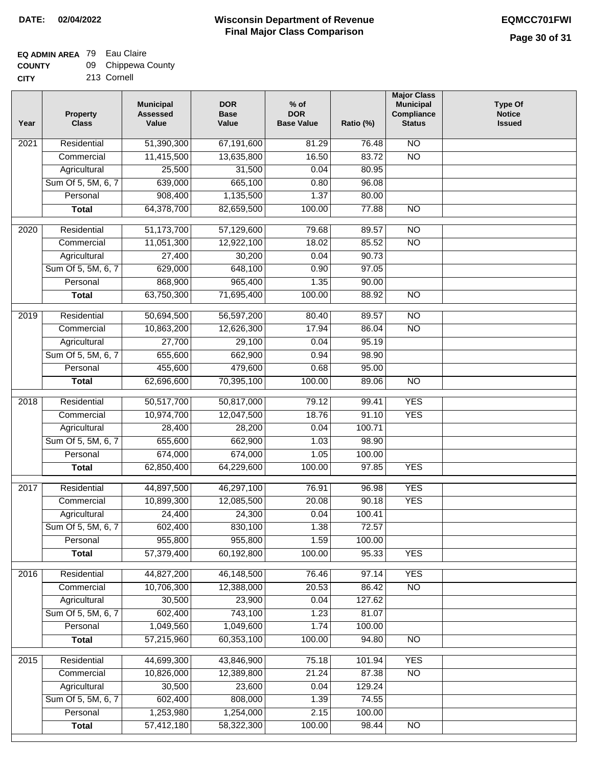### **EQ ADMIN AREA** 79 Eau Claire

| <b>COUNTY</b> | 09 | Chippewa County |  |
|---------------|----|-----------------|--|
|---------------|----|-----------------|--|

**CITY** 213 Cornell

| 51,390,300<br>$\overline{NO}$<br>$\overline{202}1$<br>Residential<br>67,191,600<br>81.29<br>76.48<br>11,415,500<br>13,635,800<br>16.50<br>83.72<br>$\overline{NO}$<br>Commercial<br>Agricultural<br>25,500<br>31,500<br>0.04<br>80.95<br>Sum Of 5, 5M, 6, 7<br>665,100<br>639,000<br>0.80<br>96.08 |  |
|----------------------------------------------------------------------------------------------------------------------------------------------------------------------------------------------------------------------------------------------------------------------------------------------------|--|
|                                                                                                                                                                                                                                                                                                    |  |
|                                                                                                                                                                                                                                                                                                    |  |
|                                                                                                                                                                                                                                                                                                    |  |
|                                                                                                                                                                                                                                                                                                    |  |
| 908,400<br>1,135,500<br>1.37<br>80.00<br>Personal                                                                                                                                                                                                                                                  |  |
| 64,378,700<br>82,659,500<br>$\overline{NO}$<br><b>Total</b><br>100.00<br>77.88                                                                                                                                                                                                                     |  |
| $\overline{2020}$<br>Residential<br>51,173,700<br>57,129,600<br>79.68<br>89.57<br>$\overline{NO}$                                                                                                                                                                                                  |  |
| 11,051,300<br>12,922,100<br>18.02<br>85.52<br>$\overline{NO}$<br>Commercial                                                                                                                                                                                                                        |  |
| 90.73<br>27,400<br>30,200<br>0.04<br>Agricultural                                                                                                                                                                                                                                                  |  |
| Sum Of 5, 5M, 6, 7<br>648,100<br>629,000<br>0.90<br>97.05                                                                                                                                                                                                                                          |  |
| 868,900<br>965,400<br>1.35<br>90.00<br>Personal                                                                                                                                                                                                                                                    |  |
| 63,750,300<br>71,695,400<br>100.00<br>$\overline{NO}$<br>88.92<br><b>Total</b>                                                                                                                                                                                                                     |  |
|                                                                                                                                                                                                                                                                                                    |  |
| Residential<br>50,694,500<br>56,597,200<br>80.40<br>89.57<br>$\overline{NO}$<br>2019                                                                                                                                                                                                               |  |
| $\overline{NO}$<br>10,863,200<br>12,626,300<br>17.94<br>86.04<br>Commercial                                                                                                                                                                                                                        |  |
| 95.19<br>27,700<br>29,100<br>0.04<br>Agricultural                                                                                                                                                                                                                                                  |  |
| 655,600<br>662,900<br>Sum Of 5, 5M, 6, 7<br>0.94<br>98.90                                                                                                                                                                                                                                          |  |
| 455,600<br>479,600<br>Personal<br>0.68<br>95.00                                                                                                                                                                                                                                                    |  |
| 62,696,600<br>70,395,100<br>100.00<br>$\overline{NO}$<br>89.06<br><b>Total</b>                                                                                                                                                                                                                     |  |
| <b>YES</b><br>Residential<br>50,517,700<br>50,817,000<br>79.12<br>2018<br>99.41                                                                                                                                                                                                                    |  |
| 10,974,700<br><b>YES</b><br>Commercial<br>12,047,500<br>18.76<br>91.10                                                                                                                                                                                                                             |  |
| 100.71<br>Agricultural<br>28,400<br>28,200<br>0.04                                                                                                                                                                                                                                                 |  |
| Sum Of 5, 5M, 6, 7<br>655,600<br>662,900<br>98.90<br>1.03                                                                                                                                                                                                                                          |  |
| Personal<br>674,000<br>674,000<br>100.00<br>1.05                                                                                                                                                                                                                                                   |  |
| 62,850,400<br>64,229,600<br>100.00<br><b>YES</b><br>97.85<br><b>Total</b>                                                                                                                                                                                                                          |  |
| Residential<br>44,897,500<br>96.98<br><b>YES</b><br>2017<br>46,297,100<br>76.91                                                                                                                                                                                                                    |  |
| <b>YES</b><br>Commercial<br>10,899,300<br>12,085,500<br>20.08<br>90.18                                                                                                                                                                                                                             |  |
| 24,400<br>24,300<br>0.04<br>100.41<br>Agricultural                                                                                                                                                                                                                                                 |  |
| Sum Of 5, 5M, 6, 7<br>602,400<br>830,100<br>1.38<br>72.57                                                                                                                                                                                                                                          |  |
| Personal<br>955,800<br>955,800<br>1.59<br>100.00                                                                                                                                                                                                                                                   |  |
| 57,379,400<br>60,192,800<br>100.00<br>95.33<br><b>YES</b><br><b>Total</b>                                                                                                                                                                                                                          |  |
| <b>YES</b><br>Residential<br>44,827,200<br>46,148,500<br>97.14<br>2016<br>76.46                                                                                                                                                                                                                    |  |
| 10,706,300<br>86.42<br>N <sub>O</sub><br>Commercial<br>12,388,000<br>20.53                                                                                                                                                                                                                         |  |
| Agricultural<br>30,500<br>23,900<br>0.04<br>127.62                                                                                                                                                                                                                                                 |  |
| Sum Of 5, 5M, 6, 7<br>602,400<br>743,100<br>1.23<br>81.07                                                                                                                                                                                                                                          |  |
| 1,049,560<br>1,049,600<br>Personal<br>1.74<br>100.00                                                                                                                                                                                                                                               |  |
| 57,215,960<br>60,353,100<br>100.00<br>94.80<br>N <sub>O</sub><br><b>Total</b>                                                                                                                                                                                                                      |  |
| <b>YES</b><br>Residential<br>44,699,300<br>43,846,900<br>75.18<br>101.94<br>2015                                                                                                                                                                                                                   |  |
| 10,826,000<br>12,389,800<br>21.24<br>87.38<br>$\overline{NO}$<br>Commercial                                                                                                                                                                                                                        |  |
| 30,500<br>23,600<br>Agricultural<br>0.04<br>129.24                                                                                                                                                                                                                                                 |  |
| Sum Of 5, 5M, 6, 7<br>602,400<br>808,000<br>1.39<br>74.55                                                                                                                                                                                                                                          |  |
| 1,253,980<br>1,254,000<br>2.15<br>100.00<br>Personal                                                                                                                                                                                                                                               |  |
| 57,412,180<br>58,322,300<br>100.00<br>98.44<br><b>Total</b><br>N <sub>O</sub>                                                                                                                                                                                                                      |  |